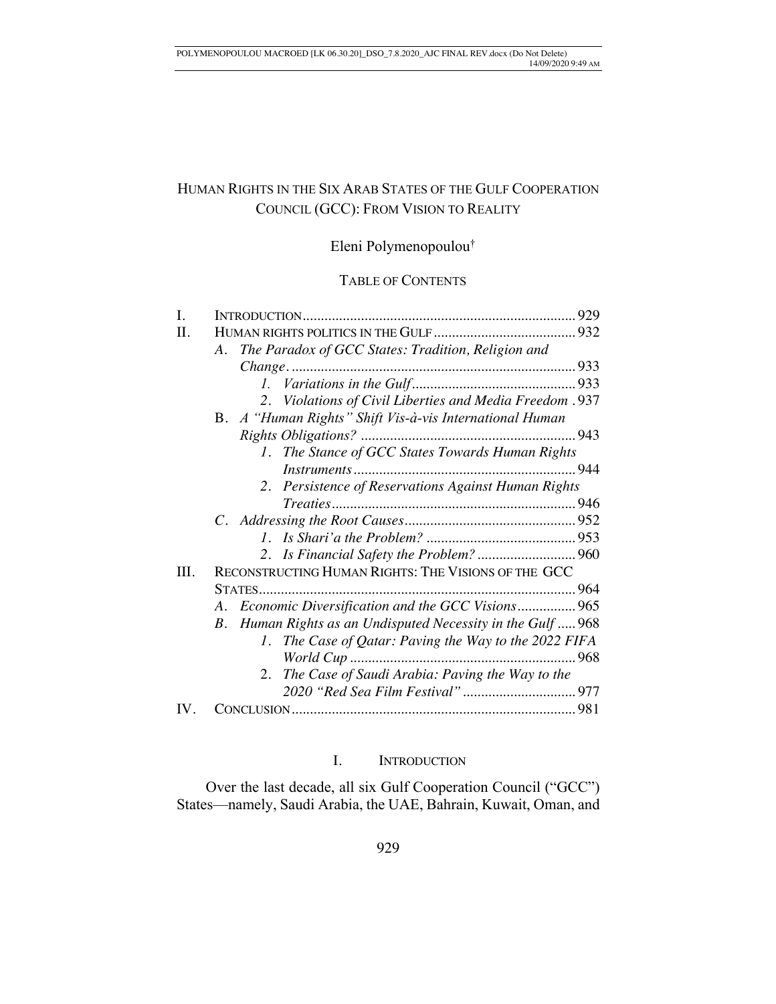# HUMAN RIGHTS IN THE SIX ARAB STATES OF THE GULF COOPERATION COUNCIL (GCC): FROM VISION TO REALITY

Eleni Polymenopoulou†

# TABLE OF CONTENTS

| The Paradox of GCC States: Tradition, Religion and<br>А.    |                                                 |
|-------------------------------------------------------------|-------------------------------------------------|
|                                                             |                                                 |
|                                                             |                                                 |
| 2. Violations of Civil Liberties and Media Freedom .937     |                                                 |
| B. A "Human Rights" Shift Vis-à-vis International Human     |                                                 |
|                                                             |                                                 |
| 1. The Stance of GCC States Towards Human Rights            |                                                 |
|                                                             |                                                 |
| 2. Persistence of Reservations Against Human Rights         |                                                 |
|                                                             |                                                 |
|                                                             |                                                 |
|                                                             |                                                 |
|                                                             |                                                 |
| RECONSTRUCTING HUMAN RIGHTS: THE VISIONS OF THE GCC         |                                                 |
|                                                             |                                                 |
| A. Economic Diversification and the GCC Visions 965         |                                                 |
| B. Human Rights as an Undisputed Necessity in the Gulf  968 |                                                 |
| The Case of Qatar: Paving the Way to the 2022 FIFA<br>Ι.    |                                                 |
|                                                             |                                                 |
| 2.                                                          |                                                 |
|                                                             |                                                 |
|                                                             |                                                 |
|                                                             | The Case of Saudi Arabia: Paving the Way to the |

# I. INTRODUCTION

Over the last decade, all six Gulf Cooperation Council ("GCC") States—namely, Saudi Arabia, the UAE, Bahrain, Kuwait, Oman, and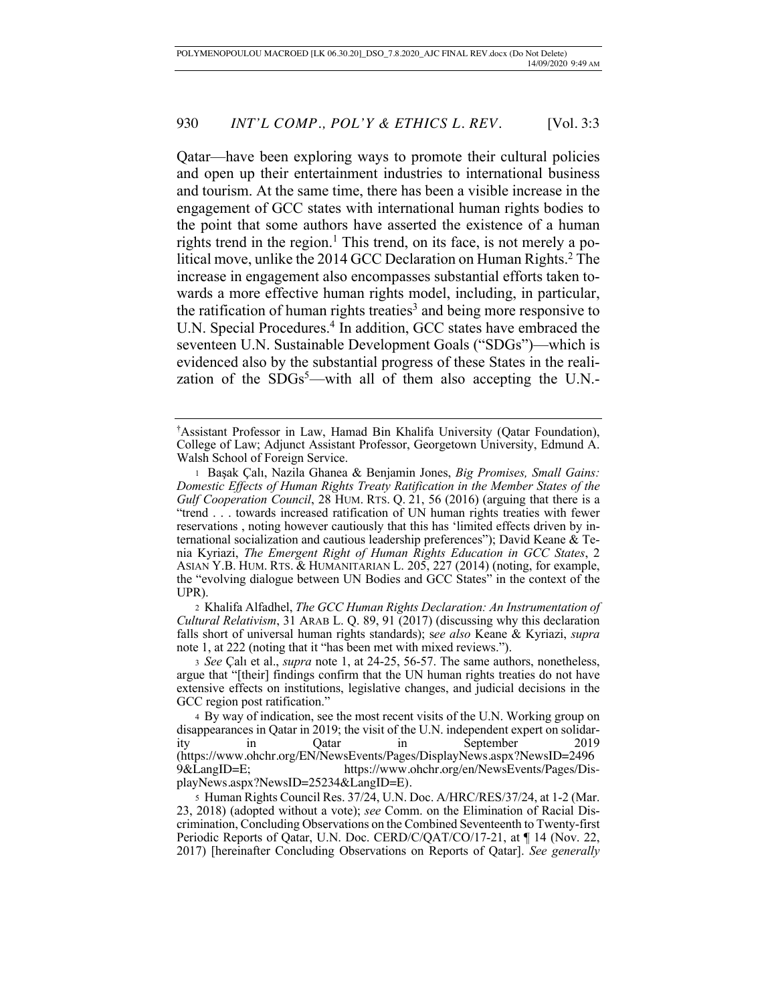Qatar—have been exploring ways to promote their cultural policies and open up their entertainment industries to international business and tourism. At the same time, there has been a visible increase in the engagement of GCC states with international human rights bodies to the point that some authors have asserted the existence of a human rights trend in the region.<sup>1</sup> This trend, on its face, is not merely a political move, unlike the 2014 GCC Declaration on Human Rights.<sup>2</sup> The increase in engagement also encompasses substantial efforts taken towards a more effective human rights model, including, in particular, the ratification of human rights treaties<sup>3</sup> and being more responsive to U.N. Special Procedures.<sup>4</sup> In addition, GCC states have embraced the seventeen U.N. Sustainable Development Goals ("SDGs")—which is evidenced also by the substantial progress of these States in the realization of the  $SDGs^5$ —with all of them also accepting the U.N.-

<sup>2</sup> Khalifa Alfadhel, *The GCC Human Rights Declaration: An Instrumentation of Cultural Relativism*, 31 ARAB L. Q. 89, 91 (2017) (discussing why this declaration falls short of universal human rights standards); s*ee also* Keane & Kyriazi, *supra* note 1, at 222 (noting that it "has been met with mixed reviews.").

<sup>3</sup> *See* Çalı et al., *supra* note 1, at 24-25, 56-57. The same authors, nonetheless, argue that "[their] findings confirm that the UN human rights treaties do not have extensive effects on institutions, legislative changes, and judicial decisions in the GCC region post ratification."

<sup>†</sup> Assistant Professor in Law, Hamad Bin Khalifa University (Qatar Foundation), College of Law; Adjunct Assistant Professor, Georgetown University, Edmund A. Walsh School of Foreign Service.

<sup>1</sup> Başak Çalı, Nazila Ghanea & Benjamin Jones, *Big Promises, Small Gains: Domestic Effects of Human Rights Treaty Ratification in the Member States of the Gulf Cooperation Council*, 28 HUM. RTS. Q. 21, 56 (2016) (arguing that there is a "trend . . . towards increased ratification of UN human rights treaties with fewer reservations , noting however cautiously that this has 'limited effects driven by international socialization and cautious leadership preferences"); David Keane & Tenia Kyriazi, *The Emergent Right of Human Rights Education in GCC States*, 2 ASIAN Y.B. HUM. RTS. & HUMANITARIAN L. 205, 227 (2014) (noting, for example, the "evolving dialogue between UN Bodies and GCC States" in the context of the UPR).

<sup>4</sup> By way of indication, see the most recent visits of the U.N. Working group on disappearances in Qatar in 2019; the visit of the U.N. independent expert on solidarity in Qatar in September 2019 (https://www.ohchr.org/EN/NewsEvents/Pages/DisplayNews.aspx?NewsID=2496 9&LangID=E; https://www.ohchr.org/en/NewsEvents/Pages/DisplayNews.aspx?NewsID=25234&LangID=E).

<sup>5</sup> Human Rights Council Res. 37/24, U.N. Doc. A/HRC/RES/37/24, at 1-2 (Mar. 23, 2018) (adopted without a vote); *see* Comm. on the Elimination of Racial Discrimination, Concluding Observations on the Combined Seventeenth to Twenty-first Periodic Reports of Qatar, U.N. Doc. CERD/C/QAT/CO/17-21, at ¶ 14 (Nov. 22, 2017) [hereinafter Concluding Observations on Reports of Qatar]. *See generally*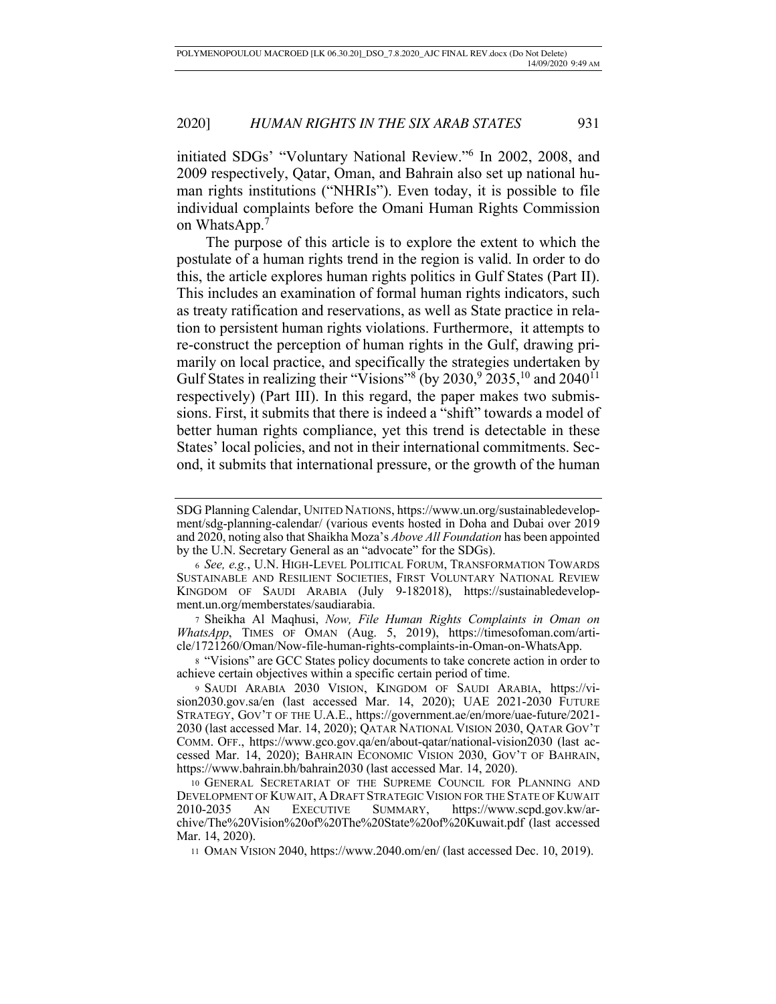initiated SDGs' "Voluntary National Review."6 In 2002, 2008, and 2009 respectively, Qatar, Oman, and Bahrain also set up national human rights institutions ("NHRIs"). Even today, it is possible to file individual complaints before the Omani Human Rights Commission on WhatsApp.7

The purpose of this article is to explore the extent to which the postulate of a human rights trend in the region is valid. In order to do this, the article explores human rights politics in Gulf States (Part II). This includes an examination of formal human rights indicators, such as treaty ratification and reservations, as well as State practice in relation to persistent human rights violations. Furthermore, it attempts to re-construct the perception of human rights in the Gulf, drawing primarily on local practice, and specifically the strategies undertaken by Gulf States in realizing their "Visions" (by  $2030, 92035, 10$  and  $2040^{11}$ respectively) (Part III). In this regard, the paper makes two submissions. First, it submits that there is indeed a "shift" towards a model of better human rights compliance, yet this trend is detectable in these States' local policies, and not in their international commitments. Second, it submits that international pressure, or the growth of the human

<sup>7</sup> Sheikha Al Maqhusi, *Now, File Human Rights Complaints in Oman on WhatsApp*, TIMES OF OMAN (Aug. 5, 2019), https://timesofoman.com/article/1721260/Oman/Now-file-human-rights-complaints-in-Oman-on-WhatsApp.

<sup>8</sup> "Visions" are GCC States policy documents to take concrete action in order to achieve certain objectives within a specific certain period of time.

9 SAUDI ARABIA 2030 VISION, KINGDOM OF SAUDI ARABIA, https://vision2030.gov.sa/en (last accessed Mar. 14, 2020); UAE 2021-2030 FUTURE STRATEGY, GOV'T OF THE U.A.E., https://government.ae/en/more/uae-future/2021- 2030 (last accessed Mar. 14, 2020); QATAR NATIONAL VISION 2030, QATAR GOV'T COMM. OFF., https://www.gco.gov.qa/en/about-qatar/national-vision2030 (last accessed Mar. 14, 2020); BAHRAIN ECONOMIC VISION 2030, GOV'T OF BAHRAIN, https://www.bahrain.bh/bahrain2030 (last accessed Mar. 14, 2020).

10 GENERAL SECRETARIAT OF THE SUPREME COUNCIL FOR PLANNING AND DEVELOPMENT OF KUWAIT, A DRAFT STRATEGIC VISION FOR THE STATE OF KUWAIT 2010-2035 AN EXECUTIVE SUMMARY, https://www.scpd.gov.kw/archive/The%20Vision%20of%20The%20State%20of%20Kuwait.pdf (last accessed Mar. 14, 2020).

11 OMAN VISION 2040, https://www.2040.om/en/ (last accessed Dec. 10, 2019).

SDG Planning Calendar, UNITED NATIONS, https://www.un.org/sustainabledevelopment/sdg-planning-calendar/ (various events hosted in Doha and Dubai over 2019 and 2020, noting also that Shaikha Moza's *Above All Foundation* has been appointed by the U.N. Secretary General as an "advocate" for the SDGs).

<sup>6</sup> *See, e.g.*, U.N. HIGH-LEVEL POLITICAL FORUM, TRANSFORMATION TOWARDS SUSTAINABLE AND RESILIENT SOCIETIES, FIRST VOLUNTARY NATIONAL REVIEW KINGDOM OF SAUDI ARABIA (July 9-182018), https://sustainabledevelopment.un.org/memberstates/saudiarabia.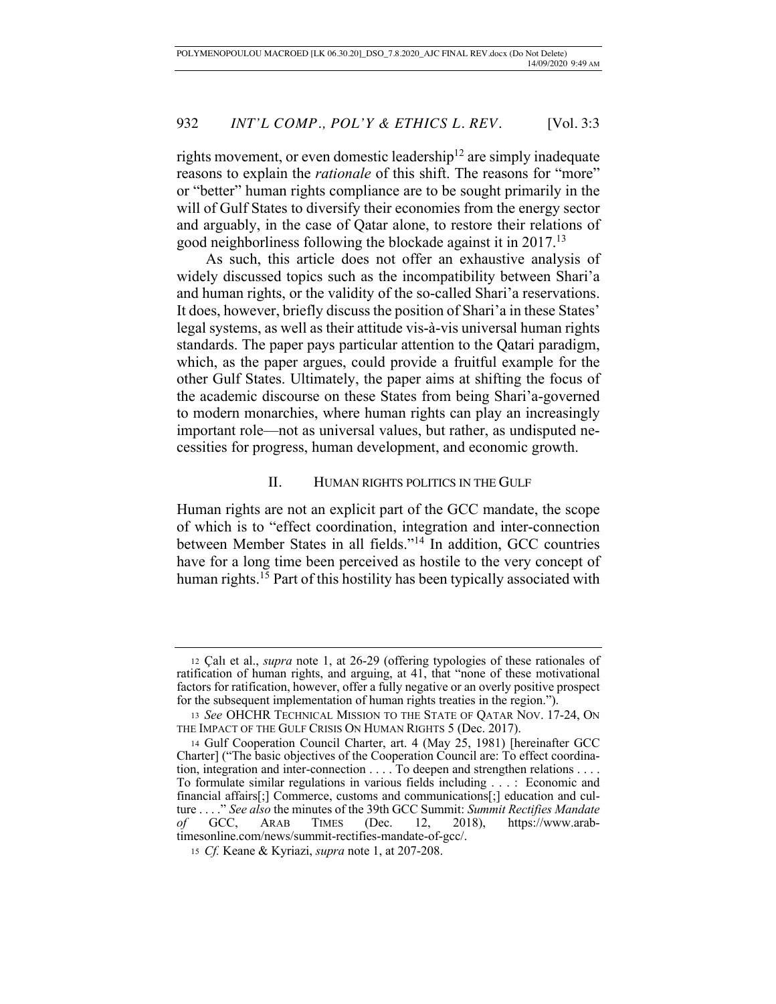rights movement, or even domestic leadership<sup>12</sup> are simply inadequate reasons to explain the *rationale* of this shift. The reasons for "more" or "better" human rights compliance are to be sought primarily in the will of Gulf States to diversify their economies from the energy sector and arguably, in the case of Qatar alone, to restore their relations of good neighborliness following the blockade against it in 2017.13

As such, this article does not offer an exhaustive analysis of widely discussed topics such as the incompatibility between Shari'a and human rights, or the validity of the so-called Shari'a reservations. It does, however, briefly discuss the position of Shari'a in these States' legal systems, as well as their attitude vis-à-vis universal human rights standards. The paper pays particular attention to the Qatari paradigm, which, as the paper argues, could provide a fruitful example for the other Gulf States. Ultimately, the paper aims at shifting the focus of the academic discourse on these States from being Shari'a-governed to modern monarchies, where human rights can play an increasingly important role—not as universal values, but rather, as undisputed necessities for progress, human development, and economic growth.

# II. HUMAN RIGHTS POLITICS IN THE GULF

Human rights are not an explicit part of the GCC mandate, the scope of which is to "effect coordination, integration and inter-connection between Member States in all fields."14 In addition, GCC countries have for a long time been perceived as hostile to the very concept of human rights.<sup>15</sup> Part of this hostility has been typically associated with

<sup>12</sup> Çalı et al., *supra* note 1, at 26-29 (offering typologies of these rationales of ratification of human rights, and arguing, at 41, that "none of these motivational factors for ratification, however, offer a fully negative or an overly positive prospect for the subsequent implementation of human rights treaties in the region.").

<sup>13</sup> *See* OHCHR TECHNICAL MISSION TO THE STATE OF QATAR NOV. 17-24, ON THE IMPACT OF THE GULF CRISIS ON HUMAN RIGHTS 5 (Dec. 2017).

<sup>14</sup> Gulf Cooperation Council Charter, art. 4 (May 25, 1981) [hereinafter GCC Charter] ("The basic objectives of the Cooperation Council are: To effect coordination, integration and inter-connection . . . . To deepen and strengthen relations . . . . To formulate similar regulations in various fields including . . . : Economic and financial affairs[;] Commerce, customs and communications[;] education and culture . . . ." *See also* the minutes of the 39th GCC Summit: *Summit Rectifies Mandate of* GCC, ARAB TIMES (Dec. 12, 2018), https://www.arabtimesonline.com/news/summit-rectifies-mandate-of-gcc/.

<sup>15</sup> *Cf.* Keane & Kyriazi, *supra* note 1, at 207-208.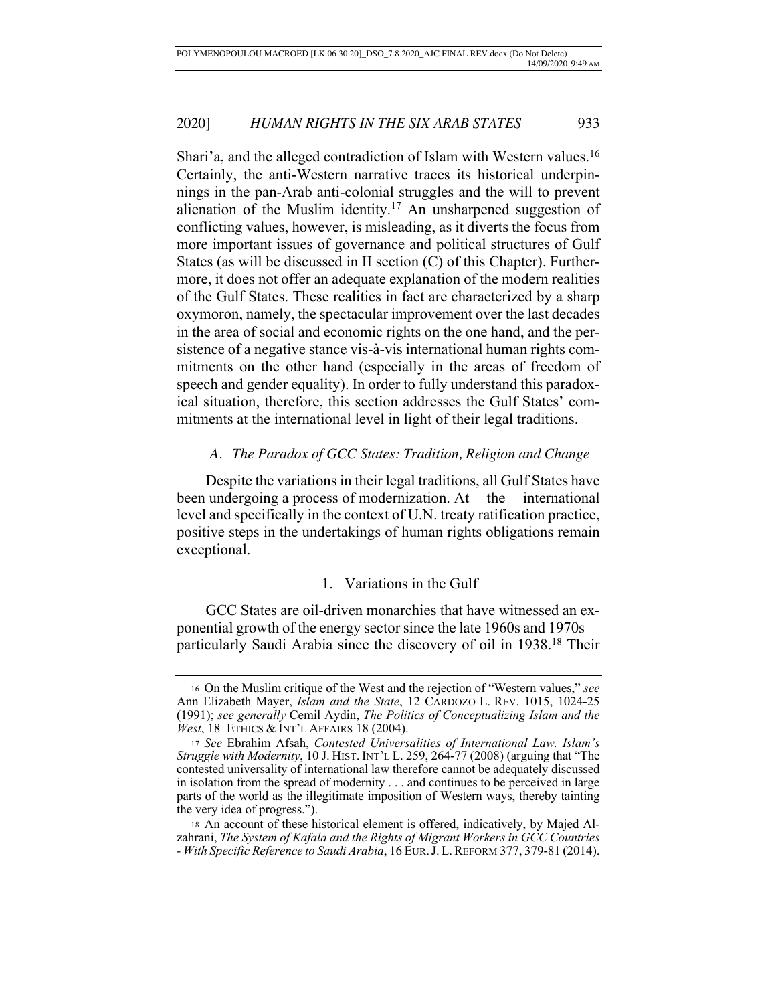Shari'a, and the alleged contradiction of Islam with Western values.<sup>16</sup> Certainly, the anti-Western narrative traces its historical underpinnings in the pan-Arab anti-colonial struggles and the will to prevent alienation of the Muslim identity.<sup>17</sup> An unsharpened suggestion of conflicting values, however, is misleading, as it diverts the focus from more important issues of governance and political structures of Gulf States (as will be discussed in II section (C) of this Chapter). Furthermore, it does not offer an adequate explanation of the modern realities of the Gulf States. These realities in fact are characterized by a sharp oxymoron, namely, the spectacular improvement over the last decades in the area of social and economic rights on the one hand, and the persistence of a negative stance vis-à-vis international human rights commitments on the other hand (especially in the areas of freedom of speech and gender equality). In order to fully understand this paradoxical situation, therefore, this section addresses the Gulf States' commitments at the international level in light of their legal traditions.

# *A. The Paradox of GCC States: Tradition, Religion and Change*

Despite the variations in their legal traditions, all Gulf States have been undergoing a process of modernization. At the international level and specifically in the context of U.N. treaty ratification practice, positive steps in the undertakings of human rights obligations remain exceptional.

# 1. Variations in the Gulf

GCC States are oil-driven monarchies that have witnessed an exponential growth of the energy sector since the late 1960s and 1970s particularly Saudi Arabia since the discovery of oil in 1938.<sup>18</sup> Their

<sup>16</sup> On the Muslim critique of the West and the rejection of "Western values," *see* Ann Elizabeth Mayer, *Islam and the State*, 12 CARDOZO L. REV. 1015, 1024-25 (1991); *see generally* Cemil Aydin, *The Politics of Conceptualizing Islam and the West*, 18 ETHICS & INT'L AFFAIRS 18 (2004).

<sup>17</sup> *See* Ebrahim Afsah, *Contested Universalities of International Law. Islam's Struggle with Modernity*, 10 J. HIST. INT'L L. 259, 264-77 (2008) (arguing that "The contested universality of international law therefore cannot be adequately discussed in isolation from the spread of modernity . . . and continues to be perceived in large parts of the world as the illegitimate imposition of Western ways, thereby tainting the very idea of progress.").

<sup>18</sup> An account of these historical element is offered, indicatively, by Majed Alzahrani, *The System of Kafala and the Rights of Migrant Workers in GCC Countries - With Specific Reference to Saudi Arabia*, 16 EUR.J.L.REFORM 377, 379-81 (2014).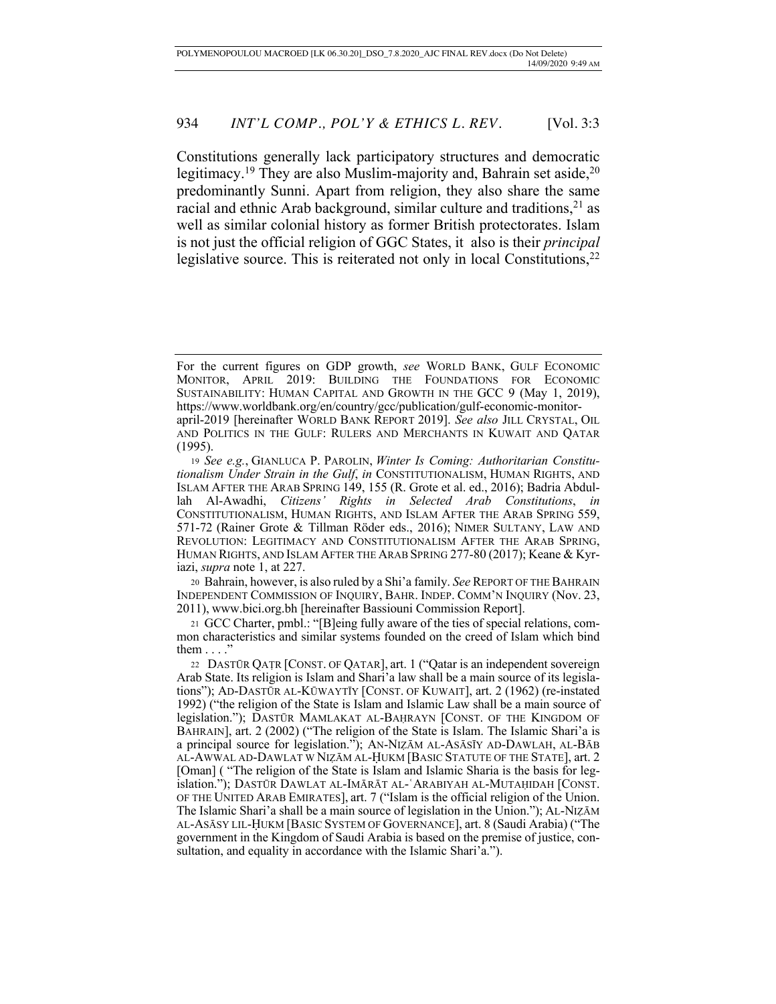Constitutions generally lack participatory structures and democratic legitimacy.<sup>19</sup> They are also Muslim-majority and, Bahrain set aside,<sup>20</sup> predominantly Sunni. Apart from religion, they also share the same racial and ethnic Arab background, similar culture and traditions, $21$  as well as similar colonial history as former British protectorates. Islam is not just the official religion of GGC States, it also is their *principal* legislative source. This is reiterated not only in local Constitutions, $2<sup>2</sup>$ 

<sup>20</sup> Bahrain, however, is also ruled by a Shi'a family. *See* REPORT OF THE BAHRAIN INDEPENDENT COMMISSION OF INQUIRY, BAHR. INDEP. COMM'N INQUIRY (Nov. 23, 2011), www.bici.org.bh [hereinafter Bassiouni Commission Report].

<sup>21</sup> GCC Charter, pmbl.: "[B]eing fully aware of the ties of special relations, common characteristics and similar systems founded on the creed of Islam which bind them  $\dots$ ."

For the current figures on GDP growth, *see* WORLD BANK, GULF ECONOMIC MONITOR, APRIL 2019: BUILDING THE FOUNDATIONS FOR ECONOMIC SUSTAINABILITY: HUMAN CAPITAL AND GROWTH IN THE GCC 9 (May 1, 2019), https://www.worldbank.org/en/country/gcc/publication/gulf-economic-monitorapril-2019 [hereinafter WORLD BANK REPORT 2019]. *See also* JILL CRYSTAL, OIL AND POLITICS IN THE GULF: RULERS AND MERCHANTS IN KUWAIT AND QATAR (1995).

<sup>19</sup> *See e.g.*, GIANLUCA P. PAROLIN, *Winter Is Coming: Authoritarian Constitutionalism Under Strain in the Gulf*, *in* CONSTITUTIONALISM, HUMAN RIGHTS, AND ISLAM AFTER THE ARAB SPRING 149, 155 (R. Grote et al. ed., 2016); Badria Abdullah Al-Awadhi, *Citizens' Rights in Selected Arab Constitutions*, *in*  CONSTITUTIONALISM, HUMAN RIGHTS, AND ISLAM AFTER THE ARAB SPRING 559, 571-72 (Rainer Grote & Tillman Röder eds., 2016); NIMER SULTANY, LAW AND REVOLUTION: LEGITIMACY AND CONSTITUTIONALISM AFTER THE ARAB SPRING, HUMAN RIGHTS, AND ISLAM AFTER THE ARAB SPRING 277-80 (2017); Keane & Kyriazi, *supra* note 1, at 227.

<sup>22</sup> DASTŪR QAṬR [CONST. OF QATAR], art. 1 ("Qatar is an independent sovereign Arab State. Its religion is Islam and Shari'a law shall be a main source of its legislations"); AD-DASTŪR AL-KŪWAYTĪY [CONST. OF KUWAIT], art. 2 (1962) (re-instated 1992) ("the religion of the State is Islam and Islamic Law shall be a main source of legislation."); DASTŪR MAMLAKAT AL-BAḤRAYN [CONST. OF THE KINGDOM OF BAHRAIN], art. 2 (2002) ("The religion of the State is Islam. The Islamic Shari'a is a principal source for legislation."); AN-NIẒĀM AL-ASĀSĪY AD-DAWLAH, AL-BĀB AL-AWWAL AD-DAWLAT W NIẒĀM AL-ḤUKM [BASIC STATUTE OF THE STATE], art. 2 [Oman] ("The religion of the State is Islam and Islamic Sharia is the basis for legislation."); DASTŪR DAWLAT AL-IMĀRĀT AL-ʿARABIYAH AL-MUTAḤIDAH [CONST. OF THE UNITED ARAB EMIRATES], art. 7 ("Islam is the official religion of the Union. The Islamic Shari'a shall be a main source of legislation in the Union."); AL-NIẒĀM AL-ASĀSY LIL-ḤUKM [BASIC SYSTEM OF GOVERNANCE], art. 8 (Saudi Arabia) ("The government in the Kingdom of Saudi Arabia is based on the premise of justice, consultation, and equality in accordance with the Islamic Shari'a.").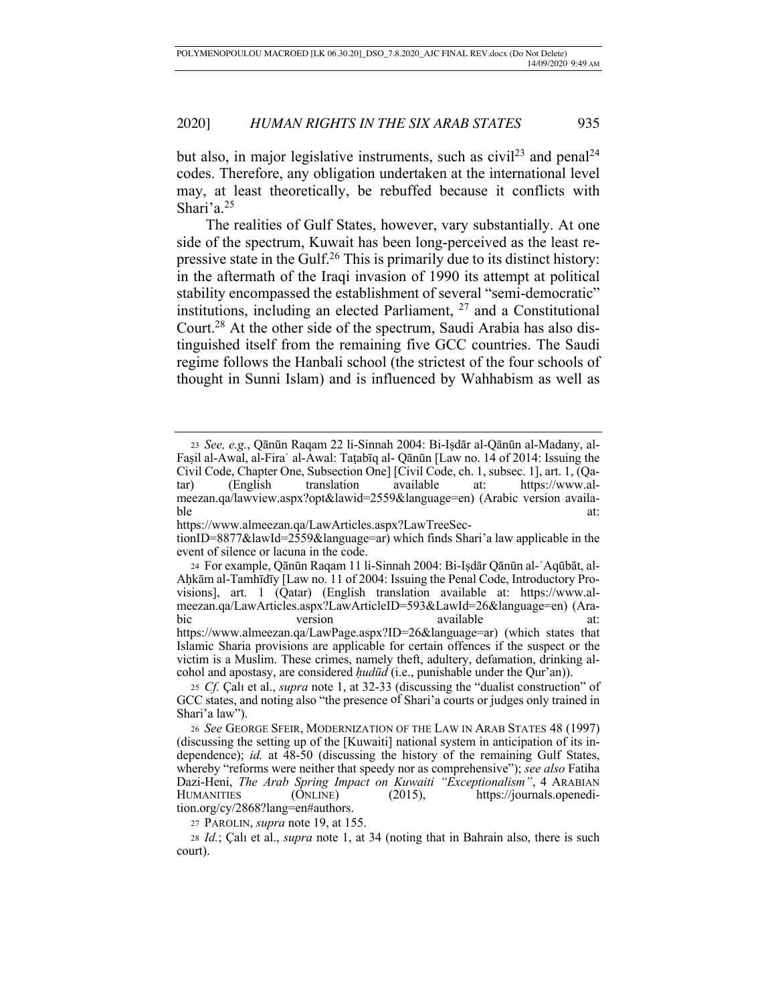but also, in major legislative instruments, such as  $\text{civil}^{23}$  and penal<sup>24</sup> codes. Therefore, any obligation undertaken at the international level may, at least theoretically, be rebuffed because it conflicts with Shari'a. $25$ 

The realities of Gulf States, however, vary substantially. At one side of the spectrum, Kuwait has been long-perceived as the least repressive state in the Gulf.26 This is primarily due to its distinct history: in the aftermath of the Iraqi invasion of 1990 its attempt at political stability encompassed the establishment of several "semi-democratic" institutions, including an elected Parliament,  $27$  and a Constitutional Court.28 At the other side of the spectrum, Saudi Arabia has also distinguished itself from the remaining five GCC countries. The Saudi regime follows the Hanbali school (the strictest of the four schools of thought in Sunni Islam) and is influenced by Wahhabism as well as

27 PAROLIN, *supra* note 19, at 155.

<sup>23</sup> *See, e.g.*, Qānūn Raqam 22 li-Sinnah 2004: Bi-Iṣdār al-Qānūn al-Madany, al-Faṣil al-Awal, al-Firaʿ al-Awal: Taṭabīq al- Qānūn [Law no. 14 of 2014: Issuing the Civil Code, Chapter One, Subsection One] [Civil Code, ch. 1, subsec. 1], art. 1, (Qatar) (English translation available at: https://www.almeezan.qa/lawview.aspx?opt&lawid=2559&language=en) (Arabic version available at:

https://www.almeezan.qa/LawArticles.aspx?LawTreeSec-

tionID=8877&lawId=2559&language=ar) which finds Shari'a law applicable in the event of silence or lacuna in the code.

<sup>24</sup> For example, Qānūn Raqam 11 li-Sinnah 2004: Bi-Iṣdār Qānūn al-ʿAqūbāt, al-Aḥkām al-Tamhīdīy [Law no. 11 of 2004: Issuing the Penal Code, Introductory Provisions], art. 1 (Qatar) (English translation available at: https://www.almeezan.qa/LawArticles.aspx?LawArticleID=593&LawId=26&language=en) (Arabic version available at: https://www.almeezan.qa/LawPage.aspx?ID=26&language=ar) (which states that Islamic Sharia provisions are applicable for certain offences if the suspect or the victim is a Muslim. These crimes, namely theft, adultery, defamation, drinking alcohol and apostasy, are considered *ḥudūd* (i.e., punishable under the Qur'an)).

<sup>25</sup> *Cf.* Çalı et al., *supra* note 1, at 32-33 (discussing the "dualist construction" of GCC states, and noting also "the presence of Shari'a courts or judges only trained in Shari'a law").

<sup>26</sup> *See* GEORGE SFEIR, MODERNIZATION OF THE LAW IN ARAB STATES 48 (1997) (discussing the setting up of the [Kuwaiti] national system in anticipation of its independence); *id.* at 48-50 (discussing the history of the remaining Gulf States, whereby "reforms were neither that speedy nor as comprehensive"); *see also* Fatiha Dazi-Heni, *The Arab Spring Impact on Kuwaiti "Exceptionalism"*, 4 ARABIAN HUMANITIES (ONLINE) (2015), https://journals.openedi-HUMANITIES (ONLINE) (2015), https://journals.openedition.org/cy/2868?lang=en#authors.

<sup>28</sup> *Id.*; Çalı et al., *supra* note 1, at 34 (noting that in Bahrain also, there is such court).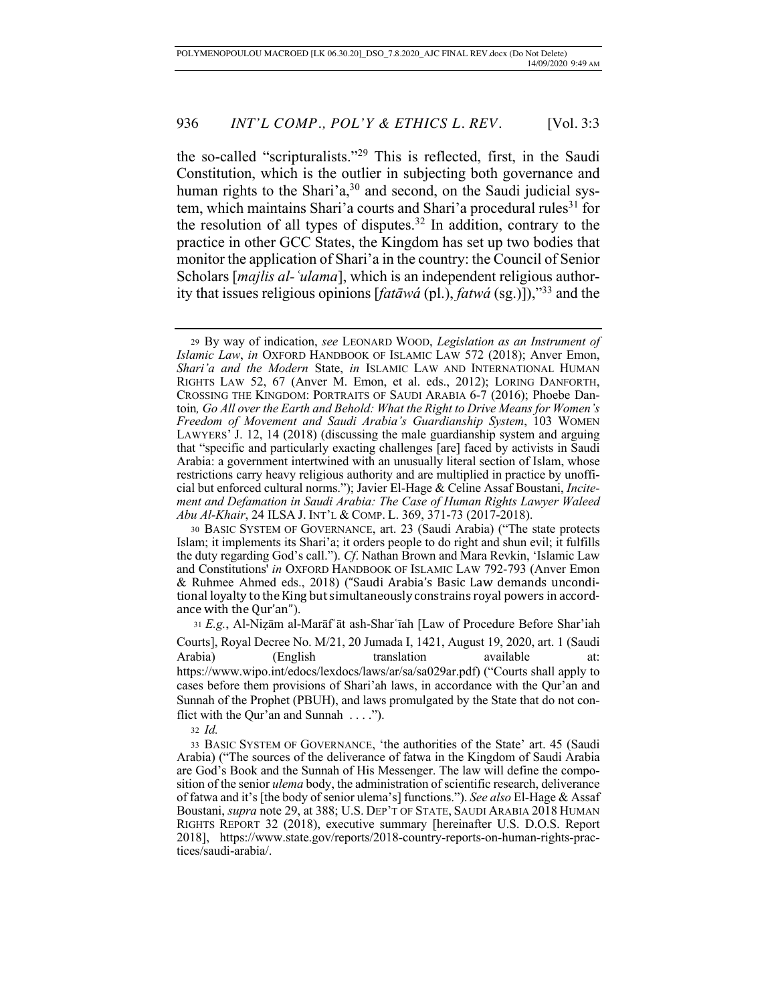the so-called "scripturalists."29 This is reflected, first, in the Saudi Constitution, which is the outlier in subjecting both governance and human rights to the Shari'a,<sup>30</sup> and second, on the Saudi judicial system, which maintains Shari'a courts and Shari'a procedural rules<sup>31</sup> for the resolution of all types of disputes.<sup>32</sup> In addition, contrary to the practice in other GCC States, the Kingdom has set up two bodies that monitor the application of Shari'a in the country: the Council of Senior Scholars [*majlis al-ʿulama*], which is an independent religious authority that issues religious opinions [*fatāwá* (pl.), *fatwá* (sg.)]),"33 and the

<sup>31</sup> *E.g.*, Al-Niẓām al-Marāfʿāt ash-Sharʿīah [Law of Procedure Before Shar'iah Courts], Royal Decree No. M/21, 20 Jumada I, 1421, August 19, 2020, art. 1 (Saudi Arabia) (English translation available at: https://www.wipo.int/edocs/lexdocs/laws/ar/sa/sa029ar.pdf) ("Courts shall apply to cases before them provisions of Shari'ah laws, in accordance with the Qur'an and Sunnah of the Prophet (PBUH), and laws promulgated by the State that do not conflict with the Our'an and Sunnah . . . .").

<sup>32</sup> *Id.*

33 BASIC SYSTEM OF GOVERNANCE, 'the authorities of the State' art. 45 (Saudi Arabia) ("The sources of the deliverance of fatwa in the Kingdom of Saudi Arabia are God's Book and the Sunnah of His Messenger. The law will define the composition of the senior *ulema* body, the administration of scientific research, deliverance of fatwa and it's [the body of senior ulema's] functions."). *See also* El-Hage & Assaf Boustani, *supra* note 29, at 388; U.S. DEP'T OF STATE, SAUDI ARABIA 2018 HUMAN RIGHTS REPORT 32 (2018), executive summary [hereinafter U.S. D.O.S. Report 2018], https://www.state.gov/reports/2018-country-reports-on-human-rights-practices/saudi-arabia/.

<sup>29</sup> By way of indication, *see* LEONARD WOOD, *Legislation as an Instrument of Islamic Law*, *in* OXFORD HANDBOOK OF ISLAMIC LAW 572 (2018); Anver Emon, *Shari'a and the Modern* State, *in* ISLAMIC LAW AND INTERNATIONAL HUMAN RIGHTS LAW 52, 67 (Anver M. Emon, et al. eds., 2012); LORING DANFORTH, CROSSING THE KINGDOM: PORTRAITS OF SAUDI ARABIA 6-7 (2016); Phoebe Dantoin*, Go All over the Earth and Behold: What the Right to Drive Means for Women's Freedom of Movement and Saudi Arabia's Guardianship System*, 103 WOMEN LAWYERS' J. 12, 14 (2018) (discussing the male guardianship system and arguing that "specific and particularly exacting challenges [are] faced by activists in Saudi Arabia: a government intertwined with an unusually literal section of Islam, whose restrictions carry heavy religious authority and are multiplied in practice by unofficial but enforced cultural norms."); Javier El-Hage & Celine Assaf Boustani, *Incitement and Defamation in Saudi Arabia: The Case of Human Rights Lawyer Waleed Abu Al-Khair*, 24 ILSA J. INT'L & COMP. L. 369, 371-73 (2017-2018).

<sup>30</sup> BASIC SYSTEM OF GOVERNANCE, art. 23 (Saudi Arabia) ("The state protects Islam; it implements its Shari'a; it orders people to do right and shun evil; it fulfills the duty regarding God's call."). *Cf*. Nathan Brown and Mara Revkin, 'Islamic Law and Constitutions' *in* OXFORD HANDBOOK OF ISLAMIC LAW 792-793 (Anver Emon & Ruhmee Ahmed eds., 2018) ("Saudi Arabia's Basic Law demands unconditional loyalty to the King but simultaneously constrains royal powers in accordance with the Qur'an").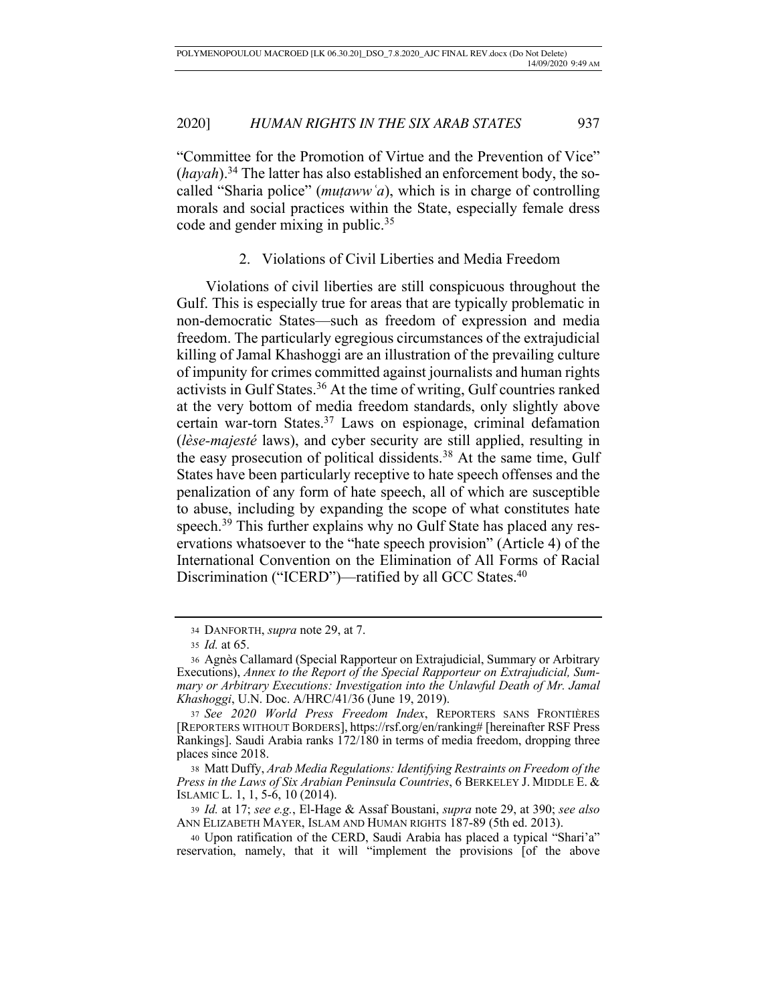"Committee for the Promotion of Virtue and the Prevention of Vice" (*hayah*).34 The latter has also established an enforcement body, the socalled "Sharia police" (*muṭawwʿa*), which is in charge of controlling morals and social practices within the State, especially female dress code and gender mixing in public.<sup>35</sup>

# 2. Violations of Civil Liberties and Media Freedom

Violations of civil liberties are still conspicuous throughout the Gulf. This is especially true for areas that are typically problematic in non-democratic States—such as freedom of expression and media freedom. The particularly egregious circumstances of the extrajudicial killing of Jamal Khashoggi are an illustration of the prevailing culture of impunity for crimes committed against journalists and human rights activists in Gulf States.36 At the time of writing, Gulf countries ranked at the very bottom of media freedom standards, only slightly above certain war-torn States.37 Laws on espionage, criminal defamation (*lèse-majesté* laws), and cyber security are still applied, resulting in the easy prosecution of political dissidents.<sup>38</sup> At the same time, Gulf States have been particularly receptive to hate speech offenses and the penalization of any form of hate speech, all of which are susceptible to abuse, including by expanding the scope of what constitutes hate speech.<sup>39</sup> This further explains why no Gulf State has placed any reservations whatsoever to the "hate speech provision" (Article 4) of the International Convention on the Elimination of All Forms of Racial Discrimination ("ICERD")—ratified by all GCC States.<sup>40</sup>

<sup>38</sup> Matt Duffy, *Arab Media Regulations: Identifying Restraints on Freedom of the Press in the Laws of Six Arabian Peninsula Countries*, 6 BERKELEY J. MIDDLE E. & ISLAMIC L. 1, 1, 5-6, 10 (2014).

<sup>39</sup> *Id.* at 17; *see e.g.*, El-Hage & Assaf Boustani, *supra* note 29, at 390; *see also* ANN ELIZABETH MAYER, ISLAM AND HUMAN RIGHTS 187-89 (5th ed. 2013).

<sup>34</sup> DANFORTH, *supra* note 29, at 7.

<sup>35</sup> *Id.* at 65.

<sup>36</sup> Agnès Callamard (Special Rapporteur on Extrajudicial, Summary or Arbitrary Executions), *Annex to the Report of the Special Rapporteur on Extrajudicial, Summary or Arbitrary Executions: Investigation into the Unlawful Death of Mr. Jamal Khashoggi*, U.N. Doc. A/HRC/41/36 (June 19, 2019).

<sup>37</sup> *See 2020 World Press Freedom Index*, REPORTERS SANS FRONTIÈRES [REPORTERS WITHOUT BORDERS], https://rsf.org/en/ranking# [hereinafter RSF Press Rankings]. Saudi Arabia ranks  $172/180$  in terms of media freedom, dropping three places since 2018.

<sup>40</sup> Upon ratification of the CERD, Saudi Arabia has placed a typical "Shari'a" reservation, namely, that it will "implement the provisions [of the above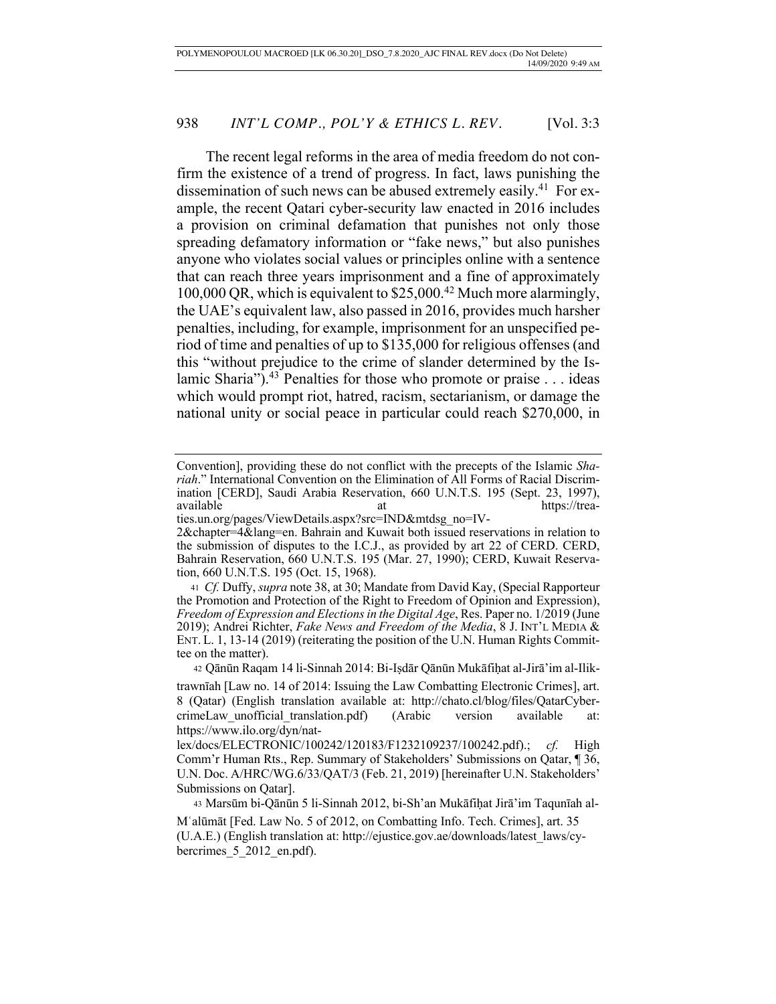The recent legal reforms in the area of media freedom do not confirm the existence of a trend of progress. In fact, laws punishing the dissemination of such news can be abused extremely easily.<sup>41</sup> For example, the recent Qatari cyber-security law enacted in 2016 includes a provision on criminal defamation that punishes not only those spreading defamatory information or "fake news," but also punishes anyone who violates social values or principles online with a sentence that can reach three years imprisonment and a fine of approximately 100,000 QR, which is equivalent to \$25,000.42 Much more alarmingly, the UAE's equivalent law, also passed in 2016, provides much harsher penalties, including, for example, imprisonment for an unspecified period of time and penalties of up to \$135,000 for religious offenses (and this "without prejudice to the crime of slander determined by the Islamic Sharia").<sup>43</sup> Penalties for those who promote or praise  $\dots$  ideas which would prompt riot, hatred, racism, sectarianism, or damage the national unity or social peace in particular could reach \$270,000, in

ties.un.org/pages/ViewDetails.aspx?src=IND&mtdsg\_no=IV-2&chapter=4&lang=en. Bahrain and Kuwait both issued reservations in relation to the submission of disputes to the I.C.J., as provided by art 22 of CERD. CERD, Bahrain Reservation, 660 U.N.T.S. 195 (Mar. 27, 1990); CERD, Kuwait Reservation, 660 U.N.T.S. 195 (Oct. 15, 1968).

<sup>42</sup> Qānūn Raqam 14 li-Sinnah 2014: Bi-Iṣdār Qānūn Mukāfiḥat al-Jirā'im al-Ilik-

<sup>43</sup> Marsūm bi-Qānūn 5 li-Sinnah 2012, bi-Sh'an Mukāfiḥat Jirā'im Taqunīah al-

Convention], providing these do not conflict with the precepts of the Islamic *Shariah*." International Convention on the Elimination of All Forms of Racial Discrimination [CERD], Saudi Arabia Reservation, 660 U.N.T.S. 195 (Sept. 23, 1997), at https://trea-

<sup>41</sup> *Cf.* Duffy, *supra* note 38, at 30; Mandate from David Kay, (Special Rapporteur the Promotion and Protection of the Right to Freedom of Opinion and Expression), *Freedom of Expression and Elections in the Digital Age*, Res. Paper no. 1/2019 (June 2019); Andrei Richter, *Fake News and Freedom of the Media*, 8 J. INT'L MEDIA & ENT. L. 1, 13-14 (2019) (reiterating the position of the U.N. Human Rights Committee on the matter).

trawnīah [Law no. 14 of 2014: Issuing the Law Combatting Electronic Crimes], art. 8 (Qatar) (English translation available at: http://chato.cl/blog/files/QatarCybercrimeLaw\_unofficial\_translation.pdf) (Arabic version available at: https://www.ilo.org/dyn/nat-

lex/docs/ELECTRONIC/100242/120183/F1232109237/100242.pdf).; *cf.* High Comm'r Human Rts., Rep. Summary of Stakeholders' Submissions on Qatar, ¶ 36, U.N. Doc. A/HRC/WG.6/33/QAT/3 (Feb. 21, 2019) [hereinafter U.N. Stakeholders' Submissions on Qatar].

Mʿalūmāt [Fed. Law No. 5 of 2012, on Combatting Info. Tech. Crimes], art. 35 (U.A.E.) (English translation at: http://ejustice.gov.ae/downloads/latest\_laws/cybercrimes 5 2012 en.pdf).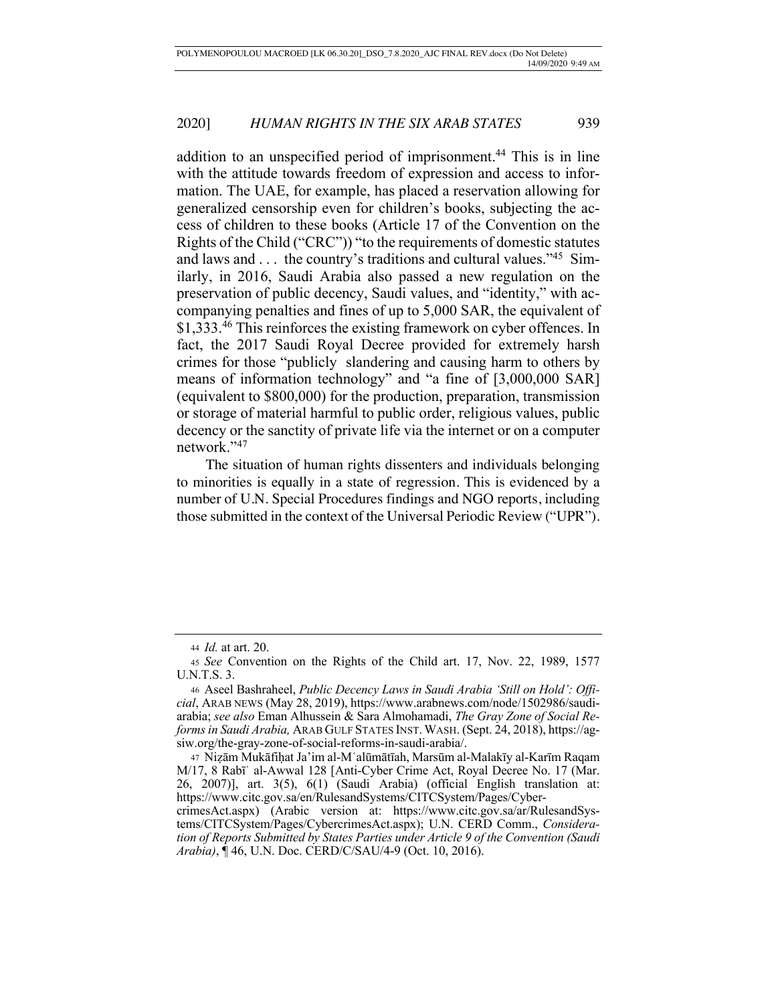addition to an unspecified period of imprisonment.<sup>44</sup> This is in line with the attitude towards freedom of expression and access to information. The UAE, for example, has placed a reservation allowing for generalized censorship even for children's books, subjecting the access of children to these books (Article 17 of the Convention on the Rights of the Child ("CRC")) "to the requirements of domestic statutes and laws and . . . the country's traditions and cultural values."45 Similarly, in 2016, Saudi Arabia also passed a new regulation on the preservation of public decency, Saudi values, and "identity," with accompanying penalties and fines of up to 5,000 SAR, the equivalent of \$1,333.46 This reinforces the existing framework on cyber offences. In fact, the 2017 Saudi Royal Decree provided for extremely harsh crimes for those "publicly slandering and causing harm to others by means of information technology" and "a fine of [3,000,000 SAR] (equivalent to \$800,000) for the production, preparation, transmission or storage of material harmful to public order, religious values, public decency or the sanctity of private life via the internet or on a computer network."47

The situation of human rights dissenters and individuals belonging to minorities is equally in a state of regression. This is evidenced by a number of U.N. Special Procedures findings and NGO reports, including those submitted in the context of the Universal Periodic Review ("UPR").

*Arabia)*, ¶ 46, U.N. Doc. CERD/C/SAU/4-9 (Oct. 10, 2016).

<sup>44</sup> *Id.* at art. 20.

<sup>45</sup> *See* Convention on the Rights of the Child art. 17, Nov. 22, 1989, 1577 U.N.T.S. 3.

<sup>46</sup> Aseel Bashraheel, *Public Decency Laws in Saudi Arabia 'Still on Hold': Official*, ARAB NEWS (May 28, 2019), https://www.arabnews.com/node/1502986/saudiarabia; *see also* Eman Alhussein & Sara Almohamadi, *The Gray Zone of Social Reforms in Saudi Arabia,* ARAB GULF STATES INST. WASH. (Sept. 24, 2018), https://agsiw.org/the-gray-zone-of-social-reforms-in-saudi-arabia/.

<sup>47</sup> Niẓām Mukāfiḥat Ja'im al-Mʿalūmātīah, Marsūm al-Malakīy al-Karīm Raqam M/17, 8 Rabī<sup>'</sup> al-Awwal 128 [Anti-Cyber Crime Act, Royal Decree No. 17 (Mar. 26, 2007)], art. 3(5), 6(1) (Saudi Arabia) (official English translation at: https://www.citc.gov.sa/en/RulesandSystems/CITCSystem/Pages/CybercrimesAct.aspx) (Arabic version at: https://www.citc.gov.sa/ar/RulesandSystems/CITCSystem/Pages/CybercrimesAct.aspx); U.N. CERD Comm., *Consideration of Reports Submitted by States Parties under Article 9 of the Convention (Saudi*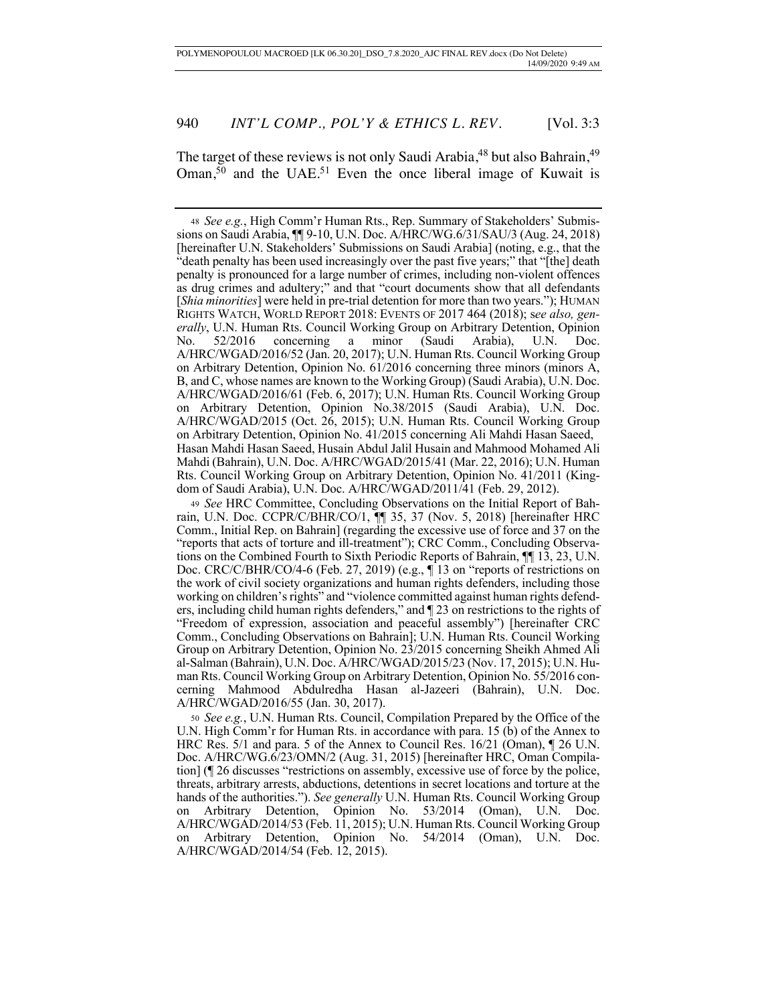The target of these reviews is not only Saudi Arabia,<sup>48</sup> but also Bahrain,<sup>49</sup> Oman,<sup>50</sup> and the UAE.<sup>51</sup> Even the once liberal image of Kuwait is

<sup>48</sup> *See e.g.*, High Comm'r Human Rts., Rep. Summary of Stakeholders' Submissions on Saudi Arabia, ¶¶ 9-10, U.N. Doc. A/HRC/WG.6/31/SAU/3 (Aug. 24, 2018) [hereinafter U.N. Stakeholders' Submissions on Saudi Arabia] (noting, e.g., that the "death penalty has been used increasingly over the past five years;" that "[the] death penalty is pronounced for a large number of crimes, including non-violent offences as drug crimes and adultery;" and that "court documents show that all defendants [*Shia minorities*] were held in pre-trial detention for more than two years."); HUMAN RIGHTS WATCH, WORLD REPORT 2018: EVENTS OF 2017 464 (2018); s*ee also, generally*, U.N. Human Rts. Council Working Group on Arbitrary Detention, Opinion No. 52/2016 concerning a minor (Saudi Arabia), U.N. Doc. A/HRC/WGAD/2016/52 (Jan. 20, 2017); U.N. Human Rts. Council Working Group on Arbitrary Detention, Opinion No. 61/2016 concerning three minors (minors A, B, and C, whose names are known to the Working Group) (Saudi Arabia), U.N. Doc. A/HRC/WGAD/2016/61 (Feb. 6, 2017); U.N. Human Rts. Council Working Group on Arbitrary Detention, Opinion No.38/2015 (Saudi Arabia), U.N. Doc. A/HRC/WGAD/2015 (Oct. 26, 2015); U.N. Human Rts. Council Working Group on Arbitrary Detention, Opinion No. 41/2015 concerning Ali Mahdi Hasan Saeed, Hasan Mahdi Hasan Saeed, Husain Abdul Jalil Husain and Mahmood Mohamed Ali Mahdi (Bahrain), U.N. Doc. A/HRC/WGAD/2015/41 (Mar. 22, 2016); U.N. Human Rts. Council Working Group on Arbitrary Detention, Opinion No. 41/2011 (Kingdom of Saudi Arabia), U.N. Doc. A/HRC/WGAD/2011/41 (Feb. 29, 2012).

<sup>49</sup> *See* HRC Committee, Concluding Observations on the Initial Report of Bahrain, U.N. Doc. CCPR/C/BHR/CO/1, ¶¶ 35, 37 (Nov. 5, 2018) [hereinafter HRC Comm., Initial Rep. on Bahrain] (regarding the excessive use of force and 37 on the "reports that acts of torture and ill-treatment"); CRC Comm., Concluding Observations on the Combined Fourth to Sixth Periodic Reports of Bahrain, ¶¶ 13, 23, U.N. Doc. CRC/C/BHR/CO/4-6 (Feb. 27, 2019) (e.g., ¶ 13 on "reports of restrictions on the work of civil society organizations and human rights defenders, including those working on children's rights" and "violence committed against human rights defenders, including child human rights defenders," and ¶ 23 on restrictions to the rights of "Freedom of expression, association and peaceful assembly") [hereinafter CRC Comm., Concluding Observations on Bahrain]; U.N. Human Rts. Council Working Group on Arbitrary Detention, Opinion No. 23/2015 concerning Sheikh Ahmed Ali al-Salman (Bahrain), U.N. Doc. A/HRC/WGAD/2015/23 (Nov. 17, 2015); U.N. Human Rts. Council Working Group on Arbitrary Detention, Opinion No. 55/2016 concerning Mahmood Abdulredha Hasan al-Jazeeri (Bahrain), U.N. Doc. A/HRC/WGAD/2016/55 (Jan. 30, 2017).

<sup>50</sup> *See e.g.*, U.N. Human Rts. Council, Compilation Prepared by the Office of the U.N. High Comm'r for Human Rts. in accordance with para. 15 (b) of the Annex to HRC Res. 5/1 and para. 5 of the Annex to Council Res. 16/21 (Oman), ¶ 26 U.N. Doc. A/HRC/WG.6/23/OMN/2 (Aug. 31, 2015) [hereinafter HRC, Oman Compilation] (¶ 26 discusses "restrictions on assembly, excessive use of force by the police, threats, arbitrary arrests, abductions, detentions in secret locations and torture at the hands of the authorities."). *See generally* U.N. Human Rts. Council Working Group on Arbitrary Detention, Opinion No. 53/2014 (Oman), U.N. Doc. A/HRC/WGAD/2014/53 (Feb. 11, 2015); U.N. Human Rts. Council Working Group on Arbitrary Detention, Opinion No. 54/2014 (Oman), U.N. Doc. A/HRC/WGAD/2014/54 (Feb. 12, 2015).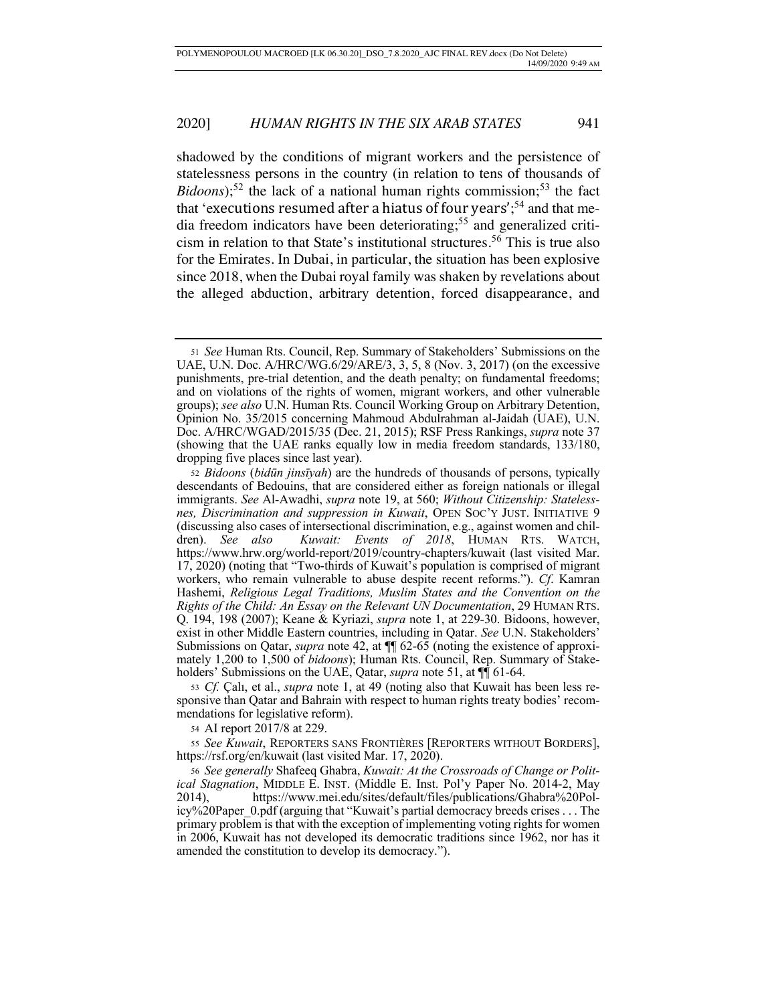shadowed by the conditions of migrant workers and the persistence of statelessness persons in the country (in relation to tens of thousands of  $Bidoons$ ;<sup>52</sup> the lack of a national human rights commission;<sup>53</sup> the fact that 'executions resumed after a hiatus of four years';<sup>54</sup> and that media freedom indicators have been deteriorating; <sup>55</sup> and generalized criticism in relation to that State's institutional structures.<sup>56</sup> This is true also for the Emirates. In Dubai, in particular, the situation has been explosive since 2018, when the Dubai royal family was shaken by revelations about the alleged abduction, arbitrary detention, forced disappearance, and

<sup>53</sup> *Cf.* Çalı, et al., *supra* note 1, at 49 (noting also that Kuwait has been less responsive than Qatar and Bahrain with respect to human rights treaty bodies' recommendations for legislative reform).

<sup>54</sup> AI report 2017/8 at 229.

<sup>55</sup> *See Kuwait*, REPORTERS SANS FRONTIÈRES [REPORTERS WITHOUT BORDERS], https://rsf.org/en/kuwait (last visited Mar. 17, 2020).

<sup>51</sup> *See* Human Rts. Council, Rep. Summary of Stakeholders' Submissions on the UAE, U.N. Doc. A/HRC/WG.6/29/ARE/3, 3, 5, 8 (Nov. 3, 2017) (on the excessive punishments, pre-trial detention, and the death penalty; on fundamental freedoms; and on violations of the rights of women, migrant workers, and other vulnerable groups); *see also* U.N. Human Rts. Council Working Group on Arbitrary Detention, Opinion No. 35/2015 concerning Mahmoud Abdulrahman al-Jaidah (UAE), U.N. Doc. A/HRC/WGAD/2015/35 (Dec. 21, 2015); RSF Press Rankings, *supra* note 37 (showing that the UAE ranks equally low in media freedom standards, 133/180, dropping five places since last year).

<sup>52</sup> *Bidoons* (*bidūn jinsīyah*) are the hundreds of thousands of persons, typically descendants of Bedouins, that are considered either as foreign nationals or illegal immigrants. *See* Al-Awadhi, *supra* note 19, at 560; *Without Citizenship: Statelessnes, Discrimination and suppression in Kuwait*, OPEN SOC'Y JUST. INITIATIVE 9 (discussing also cases of intersectional discrimination, e.g., against women and children). *See also Kuwait: Events of 2018*, HUMAN RTS. WATCH, https://www.hrw.org/world-report/2019/country-chapters/kuwait (last visited Mar. 17, 2020) (noting that "Two-thirds of Kuwait's population is comprised of migrant workers, who remain vulnerable to abuse despite recent reforms."). *Cf*. Kamran Hashemi, *Religious Legal Traditions, Muslim States and the Convention on the Rights of the Child: An Essay on the Relevant UN Documentation*, 29 HUMAN RTS. Q. 194, 198 (2007); Keane & Kyriazi, *supra* note 1, at 229-30. Bidoons, however, exist in other Middle Eastern countries, including in Qatar. *See* U.N. Stakeholders' Submissions on Qatar, *supra* note 42, at ¶¶ 62-65 (noting the existence of approximately 1,200 to 1,500 of *bidoons*); Human Rts. Council, Rep. Summary of Stakeholders' Submissions on the UAE, Qatar, *supra* note 51, at  $\P$  61-64.

<sup>56</sup> *See generally* Shafeeq Ghabra, *Kuwait: At the Crossroads of Change or Political Stagnation*, MIDDLE E. INST. (Middle E. Inst. Pol'y Paper No. 2014-2, May 2014), https://www.mei.edu/sites/default/files/publications/Ghabra%20Policy%20Paper\_0.pdf (arguing that "Kuwait's partial democracy breeds crises . . . The primary problem is that with the exception of implementing voting rights for women in 2006, Kuwait has not developed its democratic traditions since 1962, nor has it amended the constitution to develop its democracy.").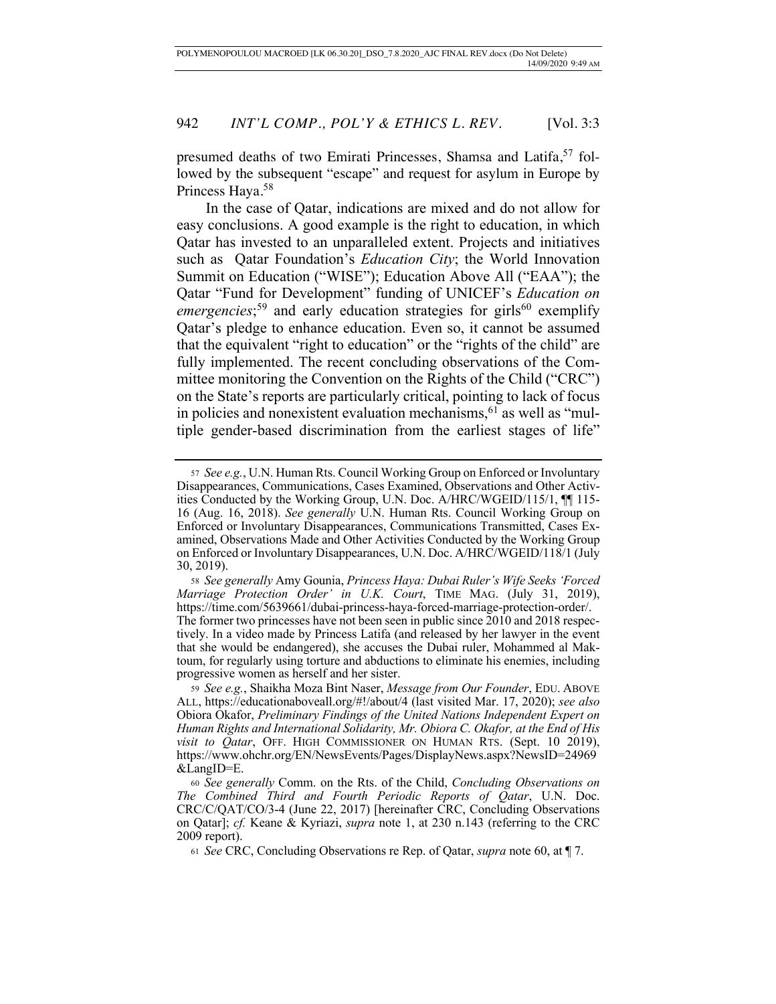presumed deaths of two Emirati Princesses, Shamsa and Latifa,<sup>57</sup> followed by the subsequent "escape" and request for asylum in Europe by Princess Haya.<sup>58</sup>

In the case of Qatar, indications are mixed and do not allow for easy conclusions. A good example is the right to education, in which Qatar has invested to an unparalleled extent. Projects and initiatives such as Qatar Foundation's *Education City*; the World Innovation Summit on Education ("WISE"); Education Above All ("EAA"); the Qatar "Fund for Development" funding of UNICEF's *Education on*  emergencies;<sup>59</sup> and early education strategies for girls<sup>60</sup> exemplify Qatar's pledge to enhance education. Even so, it cannot be assumed that the equivalent "right to education" or the "rights of the child" are fully implemented. The recent concluding observations of the Committee monitoring the Convention on the Rights of the Child ("CRC") on the State's reports are particularly critical, pointing to lack of focus in policies and nonexistent evaluation mechanisms,  $61$  as well as "multiple gender-based discrimination from the earliest stages of life"

<sup>57</sup> *See e.g.*, U.N. Human Rts. Council Working Group on Enforced or Involuntary Disappearances, Communications, Cases Examined, Observations and Other Activities Conducted by the Working Group, U.N. Doc. A/HRC/WGEID/115/1, ¶¶ 115- 16 (Aug. 16, 2018). *See generally* U.N. Human Rts. Council Working Group on Enforced or Involuntary Disappearances, Communications Transmitted, Cases Examined, Observations Made and Other Activities Conducted by the Working Group on Enforced or Involuntary Disappearances, U.N. Doc. A/HRC/WGEID/118/1 (July 30, 2019).

<sup>58</sup> *See generally* Amy Gounia, *Princess Haya: Dubai Ruler's Wife Seeks 'Forced Marriage Protection Order' in U.K. Court*, TIME MAG. (July 31, 2019), https://time.com/5639661/dubai-princess-haya-forced-marriage-protection-order/. The former two princesses have not been seen in public since 2010 and 2018 respectively. In a video made by Princess Latifa (and released by her lawyer in the event that she would be endangered), she accuses the Dubai ruler, Mohammed al Maktoum, for regularly using torture and abductions to eliminate his enemies, including progressive women as herself and her sister.

<sup>59</sup> *See e.g.*, Shaikha Moza Bint Naser, *Message from Our Founder*, EDU. ABOVE ALL, https://educationaboveall.org/#!/about/4 (last visited Mar. 17, 2020); *see also* Obiora Okafor, *Preliminary Findings of the United Nations Independent Expert on Human Rights and International Solidarity, Mr. Obiora C. Okafor, at the End of His visit to Qatar*, OFF. HIGH COMMISSIONER ON HUMAN RTS. (Sept. 10 2019), https://www.ohchr.org/EN/NewsEvents/Pages/DisplayNews.aspx?NewsID=24969 &LangID=E.

<sup>60</sup> *See generally* Comm. on the Rts. of the Child, *Concluding Observations on The Combined Third and Fourth Periodic Reports of Qatar*, U.N. Doc. CRC/C/QAT/CO/3-4 (June 22, 2017) [hereinafter CRC, Concluding Observations on Qatar]; *cf.* Keane & Kyriazi, *supra* note 1, at 230 n.143 (referring to the CRC 2009 report).

<sup>61</sup> *See* CRC, Concluding Observations re Rep. of Qatar, *supra* note 60, at ¶ 7.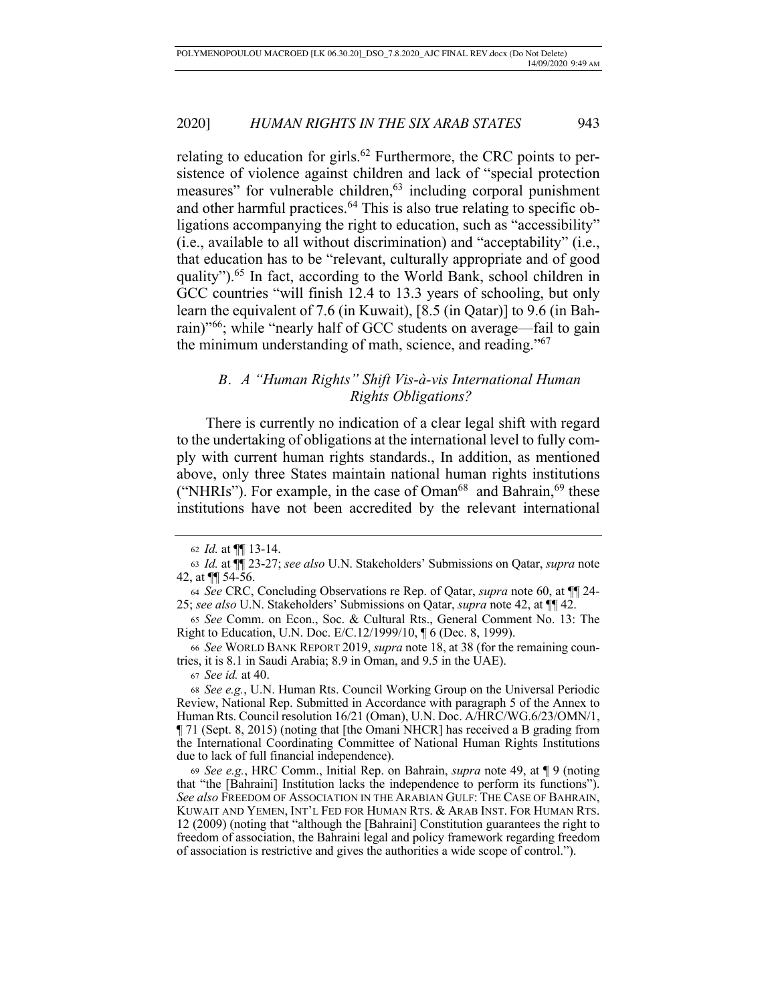relating to education for girls.<sup>62</sup> Furthermore, the CRC points to persistence of violence against children and lack of "special protection measures" for vulnerable children,<sup>63</sup> including corporal punishment and other harmful practices.64 This is also true relating to specific obligations accompanying the right to education, such as "accessibility" (i.e., available to all without discrimination) and "acceptability" (i.e., that education has to be "relevant, culturally appropriate and of good quality").<sup>65</sup> In fact, according to the World Bank, school children in GCC countries "will finish 12.4 to 13.3 years of schooling, but only learn the equivalent of 7.6 (in Kuwait), [8.5 (in Qatar)] to 9.6 (in Bahrain)"66; while "nearly half of GCC students on average—fail to gain the minimum understanding of math, science, and reading."67

# *B. A "Human Rights" Shift Vis-à-vis International Human Rights Obligations?*

There is currently no indication of a clear legal shift with regard to the undertaking of obligations at the international level to fully comply with current human rights standards., In addition, as mentioned above, only three States maintain national human rights institutions ("NHRIs"). For example, in the case of  $Oman<sup>68</sup>$  and Bahrain,<sup>69</sup> these institutions have not been accredited by the relevant international

<sup>67</sup> *See id.* at 40.

<sup>62</sup> *Id.* at ¶¶ 13-14.

<sup>63</sup> *Id.* at ¶¶ 23-27; *see also* U.N. Stakeholders' Submissions on Qatar, *supra* note 42, at ¶¶ 54-56.

<sup>64</sup> *See* CRC, Concluding Observations re Rep. of Qatar, *supra* note 60, at ¶¶ 24- 25; *see also* U.N. Stakeholders' Submissions on Qatar, *supra* note 42, at ¶¶ 42.

<sup>65</sup> *See* Comm. on Econ., Soc. & Cultural Rts., General Comment No. 13: The Right to Education, U.N. Doc. E/C.12/1999/10, ¶ 6 (Dec. 8, 1999).

<sup>66</sup> *See* WORLD BANK REPORT 2019, *supra* note 18, at 38 (for the remaining countries, it is 8.1 in Saudi Arabia; 8.9 in Oman, and 9.5 in the UAE).

<sup>68</sup> *See e.g.*, U.N. Human Rts. Council Working Group on the Universal Periodic Review, National Rep. Submitted in Accordance with paragraph 5 of the Annex to Human Rts. Council resolution 16/21 (Oman), U.N. Doc. A/HRC/WG.6/23/OMN/1, ¶ 71 (Sept. 8, 2015) (noting that [the Omani NHCR] has received a B grading from the International Coordinating Committee of National Human Rights Institutions due to lack of full financial independence).

<sup>69</sup> *See e.g.*, HRC Comm., Initial Rep. on Bahrain, *supra* note 49, at ¶ 9 (noting that "the [Bahraini] Institution lacks the independence to perform its functions"). *See also* FREEDOM OF ASSOCIATION IN THE ARABIAN GULF: THE CASE OF BAHRAIN, KUWAIT AND YEMEN, INT'L FED FOR HUMAN RTS. & ARAB INST. FOR HUMAN RTS. 12 (2009) (noting that "although the [Bahraini] Constitution guarantees the right to freedom of association, the Bahraini legal and policy framework regarding freedom of association is restrictive and gives the authorities a wide scope of control.").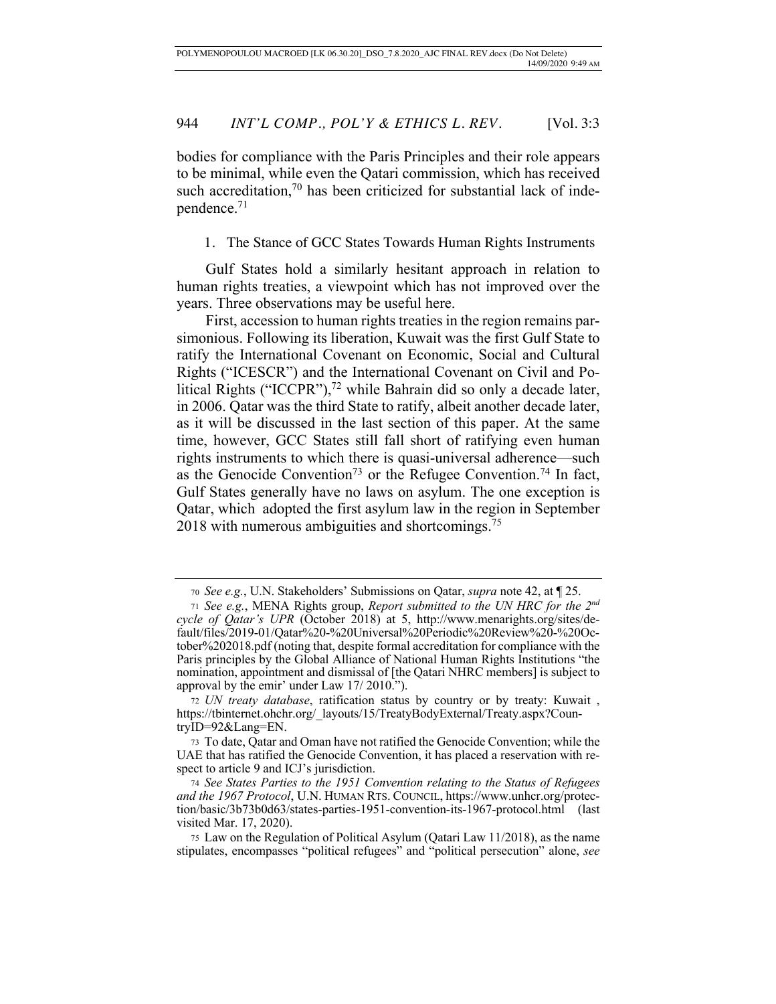bodies for compliance with the Paris Principles and their role appears to be minimal, while even the Qatari commission, which has received such accreditation, $70$  has been criticized for substantial lack of independence.71

1. The Stance of GCC States Towards Human Rights Instruments

Gulf States hold a similarly hesitant approach in relation to human rights treaties, a viewpoint which has not improved over the years. Three observations may be useful here.

First, accession to human rights treaties in the region remains parsimonious. Following its liberation, Kuwait was the first Gulf State to ratify the International Covenant on Economic, Social and Cultural Rights ("ICESCR") and the International Covenant on Civil and Political Rights ("ICCPR"),<sup>72</sup> while Bahrain did so only a decade later, in 2006. Qatar was the third State to ratify, albeit another decade later, as it will be discussed in the last section of this paper. At the same time, however, GCC States still fall short of ratifying even human rights instruments to which there is quasi-universal adherence—such as the Genocide Convention<sup>73</sup> or the Refugee Convention.<sup>74</sup> In fact, Gulf States generally have no laws on asylum. The one exception is Qatar, which adopted the first asylum law in the region in September 2018 with numerous ambiguities and shortcomings.<sup>75</sup>

<sup>70</sup> *See e.g.*, U.N. Stakeholders' Submissions on Qatar, *supra* note 42, at ¶ 25.

<sup>71</sup> *See e.g.*, MENA Rights group, *Report submitted to the UN HRC for the 2nd cycle of Qatar's UPR* (October 2018) at 5, http://www.menarights.org/sites/default/files/2019-01/Qatar%20-%20Universal%20Periodic%20Review%20-%20October%202018.pdf (noting that, despite formal accreditation for compliance with the Paris principles by the Global Alliance of National Human Rights Institutions "the nomination, appointment and dismissal of [the Qatari NHRC members] is subject to approval by the emir' under Law 17/ 2010.").

<sup>72</sup> *UN treaty database*, ratification status by country or by treaty: Kuwait , https://tbinternet.ohchr.org/\_layouts/15/TreatyBodyExternal/Treaty.aspx?CountryID=92&Lang=EN.

<sup>73</sup> To date, Qatar and Oman have not ratified the Genocide Convention; while the UAE that has ratified the Genocide Convention, it has placed a reservation with respect to article 9 and ICJ's jurisdiction.

<sup>74</sup> *See States Parties to the 1951 Convention relating to the Status of Refugees and the 1967 Protocol*, U.N. HUMAN RTS. COUNCIL, https://www.unhcr.org/protection/basic/3b73b0d63/states-parties-1951-convention-its-1967-protocol.html (last visited Mar. 17, 2020).

<sup>75</sup> Law on the Regulation of Political Asylum (Qatari Law 11/2018), as the name stipulates, encompasses "political refugees" and "political persecution" alone, *see*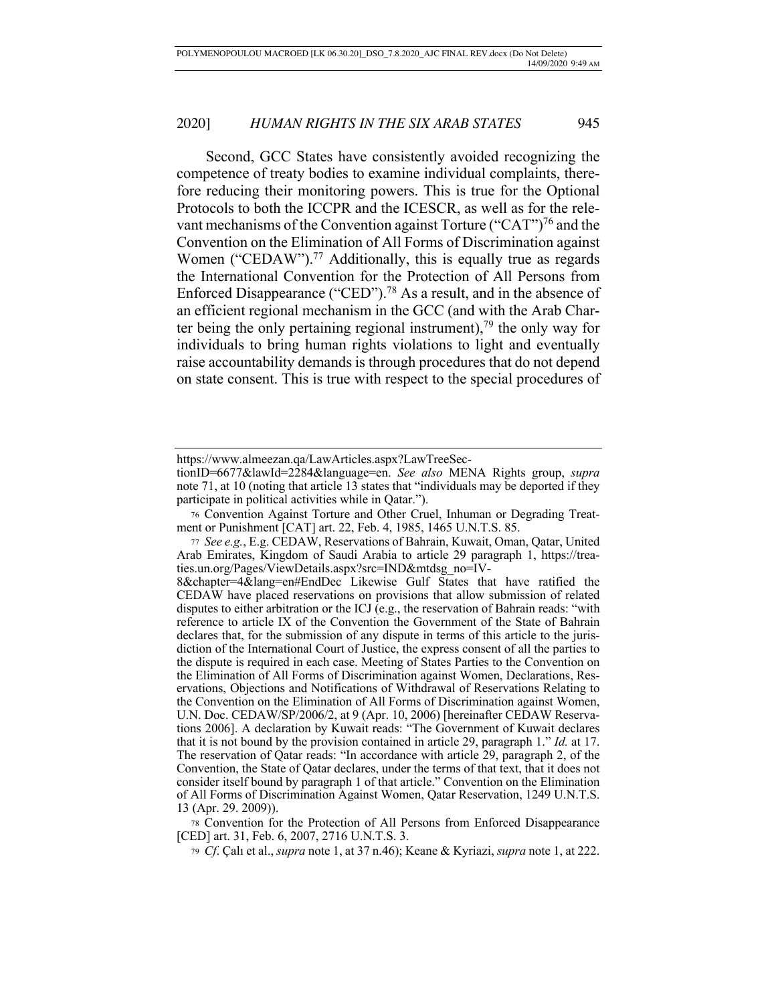Second, GCC States have consistently avoided recognizing the competence of treaty bodies to examine individual complaints, therefore reducing their monitoring powers. This is true for the Optional Protocols to both the ICCPR and the ICESCR, as well as for the relevant mechanisms of the Convention against Torture ("CAT")<sup>76</sup> and the Convention on the Elimination of All Forms of Discrimination against Women ("CEDAW").<sup>77</sup> Additionally, this is equally true as regards the International Convention for the Protection of All Persons from Enforced Disappearance ("CED").78 As a result, and in the absence of an efficient regional mechanism in the GCC (and with the Arab Charter being the only pertaining regional instrument),<sup>79</sup> the only way for individuals to bring human rights violations to light and eventually raise accountability demands is through procedures that do not depend on state consent. This is true with respect to the special procedures of

<sup>78</sup> Convention for the Protection of All Persons from Enforced Disappearance [CED] art. 31, Feb. 6, 2007, 2716 U.N.T.S. 3.

<sup>79</sup> *Cf*. Çalı et al., *supra* note 1, at 37 n.46); Keane & Kyriazi, *supra* note 1, at 222.

https://www.almeezan.qa/LawArticles.aspx?LawTreeSec-

tionID=6677&lawId=2284&language=en. *See also* MENA Rights group, *supra* note 71, at 10 (noting that article 13 states that "individuals may be deported if they participate in political activities while in Qatar.").

<sup>76</sup> Convention Against Torture and Other Cruel, Inhuman or Degrading Treatment or Punishment [CAT] art. 22, Feb. 4, 1985, 1465 U.N.T.S. 85.

<sup>77</sup> *See e.g.*, E.g. CEDAW, Reservations of Bahrain, Kuwait, Oman, Qatar, United Arab Emirates, Kingdom of Saudi Arabia to article 29 paragraph 1, https://treaties.un.org/Pages/ViewDetails.aspx?src=IND&mtdsg\_no=IV-

<sup>8&</sup>amp;chapter=4&lang=en#EndDec Likewise Gulf States that have ratified the CEDAW have placed reservations on provisions that allow submission of related disputes to either arbitration or the ICJ (e.g., the reservation of Bahrain reads: "with reference to article IX of the Convention the Government of the State of Bahrain declares that, for the submission of any dispute in terms of this article to the jurisdiction of the International Court of Justice, the express consent of all the parties to the dispute is required in each case. Meeting of States Parties to the Convention on the Elimination of All Forms of Discrimination against Women, Declarations, Reservations, Objections and Notifications of Withdrawal of Reservations Relating to the Convention on the Elimination of All Forms of Discrimination against Women, U.N. Doc. CEDAW/SP/2006/2, at 9 (Apr. 10, 2006) [hereinafter CEDAW Reservations 2006]. A declaration by Kuwait reads: "The Government of Kuwait declares that it is not bound by the provision contained in article 29, paragraph 1." *Id.* at 17. The reservation of Qatar reads: "In accordance with article 29, paragraph 2, of the Convention, the State of Qatar declares, under the terms of that text, that it does not consider itself bound by paragraph 1 of that article." Convention on the Elimination of All Forms of Discrimination Against Women, Qatar Reservation, 1249 U.N.T.S. 13 (Apr. 29. 2009)).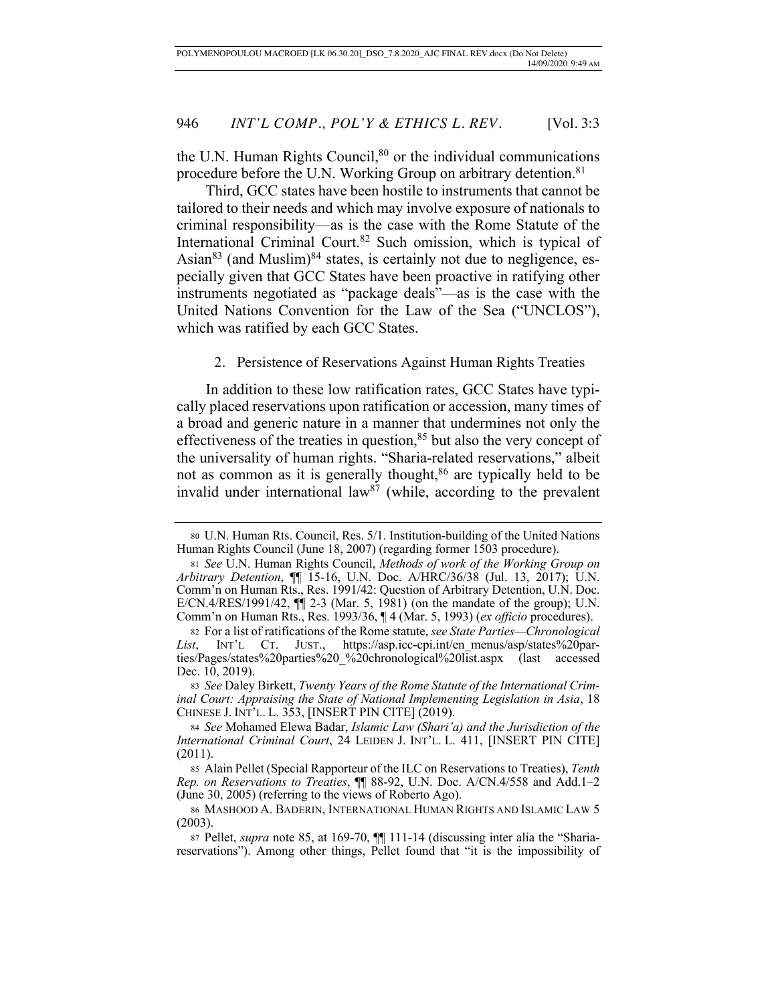the U.N. Human Rights Council, $80$  or the individual communications procedure before the U.N. Working Group on arbitrary detention.<sup>81</sup>

Third, GCC states have been hostile to instruments that cannot be tailored to their needs and which may involve exposure of nationals to criminal responsibility—as is the case with the Rome Statute of the International Criminal Court.<sup>82</sup> Such omission, which is typical of Asian<sup>83</sup> (and Muslim)<sup>84</sup> states, is certainly not due to negligence, especially given that GCC States have been proactive in ratifying other instruments negotiated as "package deals"—as is the case with the United Nations Convention for the Law of the Sea ("UNCLOS"), which was ratified by each GCC States.

2. Persistence of Reservations Against Human Rights Treaties

In addition to these low ratification rates, GCC States have typically placed reservations upon ratification or accession, many times of a broad and generic nature in a manner that undermines not only the effectiveness of the treaties in question, $85$  but also the very concept of the universality of human rights. "Sharia-related reservations," albeit not as common as it is generally thought,<sup>86</sup> are typically held to be invalid under international law<sup>87</sup> (while, according to the prevalent

<sup>83</sup> *See* Daley Birkett, *Twenty Years of the Rome Statute of the International Criminal Court: Appraising the State of National Implementing Legislation in Asia*, 18 CHINESE J. INT'L. L. 353, [INSERT PIN CITE] (2019).

<sup>80</sup> U.N. Human Rts. Council, Res. 5/1. Institution-building of the United Nations Human Rights Council (June 18, 2007) (regarding former 1503 procedure).

<sup>81</sup> *See* U.N. Human Rights Council, *Methods of work of the Working Group on Arbitrary Detention*, ¶¶ 15-16, U.N. Doc. A/HRC/36/38 (Jul. 13, 2017); U.N. Comm'n on Human Rts., Res. 1991/42: Question of Arbitrary Detention, U.N. Doc. E/CN.4/RES/1991/42, ¶¶ 2-3 (Mar. 5, 1981) (on the mandate of the group); U.N. Comm'n on Human Rts., Res. 1993/36, ¶ 4 (Mar. 5, 1993) (*ex officio* procedures).

<sup>82</sup> For a list of ratifications of the Rome statute, *see State Parties—Chronological List*, INT'L CT. JUST., https://asp.icc-cpi.int/en\_menus/asp/states%20parties/Pages/states%20parties%20\_%20chronological%20list.aspx (last accessed Dec. 10, 2019).

<sup>84</sup> *See* Mohamed Elewa Badar, *Islamic Law (Shari'a) and the Jurisdiction of the International Criminal Court*, 24 LEIDEN J. INT'L. L. 411, [INSERT PIN CITE] (2011).

<sup>85</sup> Alain Pellet (Special Rapporteur of the ILC on Reservations to Treaties), *Tenth Rep. on Reservations to Treaties*, ¶¶ 88-92, U.N. Doc. A/CN.4/558 and Add.1–2 (June 30, 2005) (referring to the views of Roberto Ago).

<sup>86</sup> MASHOOD A. BADERIN, INTERNATIONAL HUMAN RIGHTS AND ISLAMIC LAW 5 (2003).

<sup>87</sup> Pellet, *supra* note 85, at 169-70, ¶¶ 111-14 (discussing inter alia the "Shariareservations"). Among other things, Pellet found that "it is the impossibility of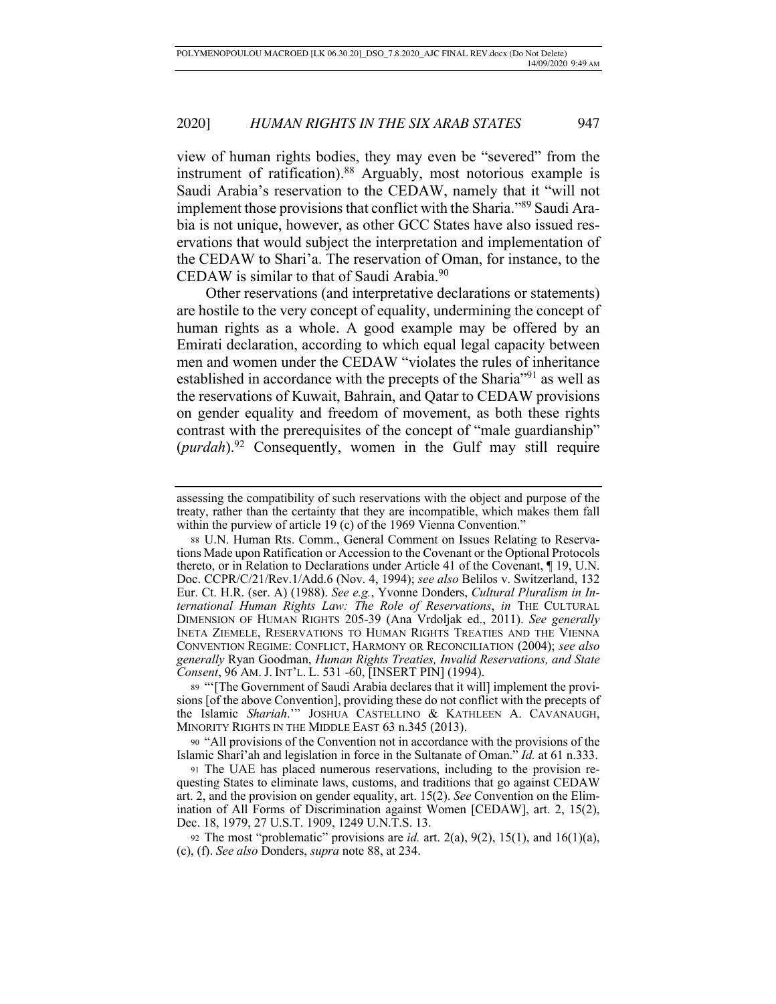view of human rights bodies, they may even be "severed" from the instrument of ratification).88 Arguably, most notorious example is Saudi Arabia's reservation to the CEDAW, namely that it "will not implement those provisions that conflict with the Sharia."89 Saudi Arabia is not unique, however, as other GCC States have also issued reservations that would subject the interpretation and implementation of the CEDAW to Shari'a. The reservation of Oman, for instance, to the CEDAW is similar to that of Saudi Arabia.<sup>90</sup>

Other reservations (and interpretative declarations or statements) are hostile to the very concept of equality, undermining the concept of human rights as a whole. A good example may be offered by an Emirati declaration, according to which equal legal capacity between men and women under the CEDAW "violates the rules of inheritance established in accordance with the precepts of the Sharia"91 as well as the reservations of Kuwait, Bahrain, and Qatar to CEDAW provisions on gender equality and freedom of movement, as both these rights contrast with the prerequisites of the concept of "male guardianship" (*purdah*).92 Consequently, women in the Gulf may still require

<sup>89</sup> "'[The Government of Saudi Arabia declares that it will] implement the provisions [of the above Convention], providing these do not conflict with the precepts of the Islamic *Shariah*.'" JOSHUA CASTELLINO & KATHLEEN A. CAVANAUGH, MINORITY RIGHTS IN THE MIDDLE EAST 63 n.345 (2013).

<sup>90</sup> "All provisions of the Convention not in accordance with the provisions of the Islamic Sharî'ah and legislation in force in the Sultanate of Oman." *Id.* at 61 n.333.

<sup>91</sup> The UAE has placed numerous reservations, including to the provision requesting States to eliminate laws, customs, and traditions that go against CEDAW art. 2, and the provision on gender equality, art. 15(2). *See* Convention on the Elimination of All Forms of Discrimination against Women [CEDAW], art. 2, 15(2), Dec. 18, 1979, 27 U.S.T. 1909, 1249 U.N.T.S. 13.

92 The most "problematic" provisions are  $id$ . art.  $2(a)$ ,  $9(2)$ ,  $15(1)$ , and  $16(1)(a)$ , (c), (f). *See also* Donders, *supra* note 88, at 234.

assessing the compatibility of such reservations with the object and purpose of the treaty, rather than the certainty that they are incompatible, which makes them fall within the purview of article 19 (c) of the 1969 Vienna Convention."

<sup>88</sup> U.N. Human Rts. Comm., General Comment on Issues Relating to Reservations Made upon Ratification or Accession to the Covenant or the Optional Protocols thereto, or in Relation to Declarations under Article 41 of the Covenant, ¶ 19, U.N. Doc. CCPR/C/21/Rev.1/Add.6 (Nov. 4, 1994); *see also* Belilos v. Switzerland, 132 Eur. Ct. H.R. (ser. A) (1988). *See e.g.*, Yvonne Donders, *Cultural Pluralism in International Human Rights Law: The Role of Reservations*, *in* THE CULTURAL DIMENSION OF HUMAN RIGHTS 205-39 (Ana Vrdoljak ed., 2011). *See generally* INETA ZIEMELE, RESERVATIONS TO HUMAN RIGHTS TREATIES AND THE VIENNA CONVENTION REGIME: CONFLICT, HARMONY OR RECONCILIATION (2004); *see also generally* Ryan Goodman, *Human Rights Treaties, Invalid Reservations, and State Consent*, 96 AM. J. INT'L. L. 531 -60, [INSERT PIN] (1994).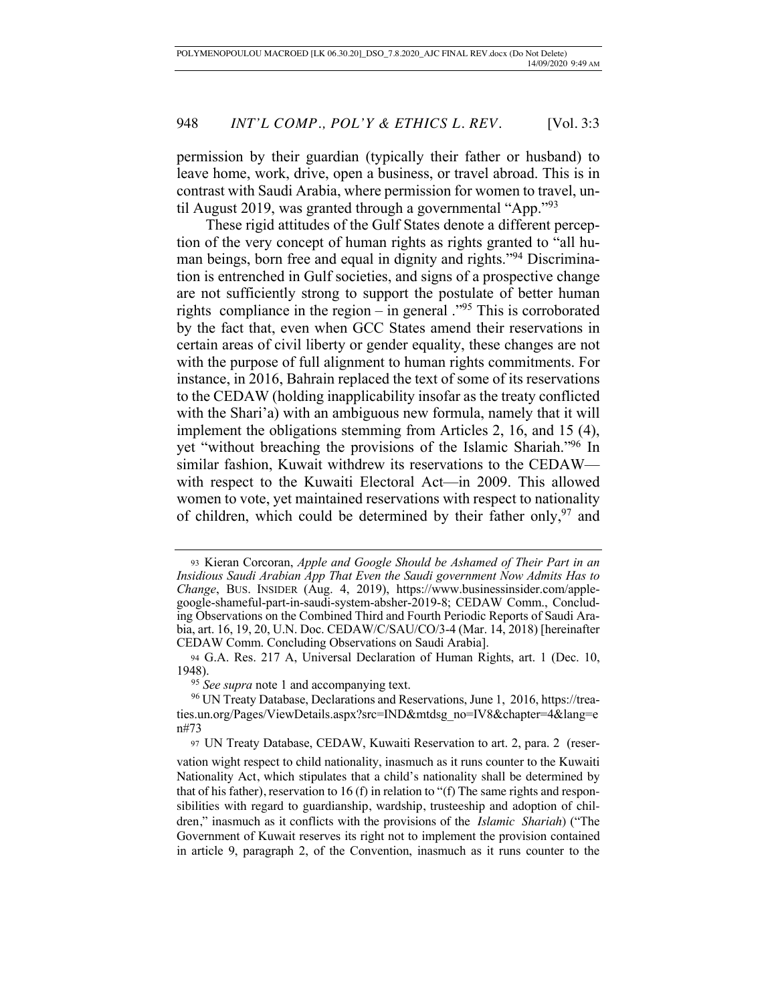permission by their guardian (typically their father or husband) to leave home, work, drive, open a business, or travel abroad. This is in contrast with Saudi Arabia, where permission for women to travel, until August 2019, was granted through a governmental "App."<sup>93</sup>

These rigid attitudes of the Gulf States denote a different perception of the very concept of human rights as rights granted to "all human beings, born free and equal in dignity and rights."94 Discrimination is entrenched in Gulf societies, and signs of a prospective change are not sufficiently strong to support the postulate of better human rights compliance in the region – in general ."95 This is corroborated by the fact that, even when GCC States amend their reservations in certain areas of civil liberty or gender equality, these changes are not with the purpose of full alignment to human rights commitments. For instance, in 2016, Bahrain replaced the text of some of its reservations to the CEDAW (holding inapplicability insofar as the treaty conflicted with the Shari'a) with an ambiguous new formula, namely that it will implement the obligations stemming from Articles 2, 16, and 15 (4), yet "without breaching the provisions of the Islamic Shariah."96 In similar fashion, Kuwait withdrew its reservations to the CEDAW with respect to the Kuwaiti Electoral Act—in 2009. This allowed women to vote, yet maintained reservations with respect to nationality of children, which could be determined by their father only,  $97$  and

<sup>93</sup> Kieran Corcoran, *Apple and Google Should be Ashamed of Their Part in an Insidious Saudi Arabian App That Even the Saudi government Now Admits Has to Change*, BUS. INSIDER (Aug. 4, 2019), https://www.businessinsider.com/applegoogle-shameful-part-in-saudi-system-absher-2019-8; CEDAW Comm., Concluding Observations on the Combined Third and Fourth Periodic Reports of Saudi Arabia, art. 16, 19, 20, U.N. Doc. CEDAW/C/SAU/CO/3-4 (Mar. 14, 2018) [hereinafter CEDAW Comm. Concluding Observations on Saudi Arabia].

<sup>94</sup> G.A. Res. 217 A, Universal Declaration of Human Rights, art. 1 (Dec. 10, 1948).

<sup>&</sup>lt;sup>95</sup> See supra note 1 and accompanying text.

<sup>96</sup> UN Treaty Database, Declarations and Reservations, June 1, 2016, https://treaties.un.org/Pages/ViewDetails.aspx?src=IND&mtdsg\_no=IV8&chapter=4&lang=e n#73

<sup>97</sup> UN Treaty Database, CEDAW, Kuwaiti Reservation to art. 2, para. 2 (reser-

vation wight respect to child nationality, inasmuch as it runs counter to the Kuwaiti Nationality Act, which stipulates that a child's nationality shall be determined by that of his father), reservation to 16 (f) in relation to "(f) The same rights and responsibilities with regard to guardianship, wardship, trusteeship and adoption of children," inasmuch as it conflicts with the provisions of the *Islamic Shariah*) ("The Government of Kuwait reserves its right not to implement the provision contained in article 9, paragraph 2, of the Convention, inasmuch as it runs counter to the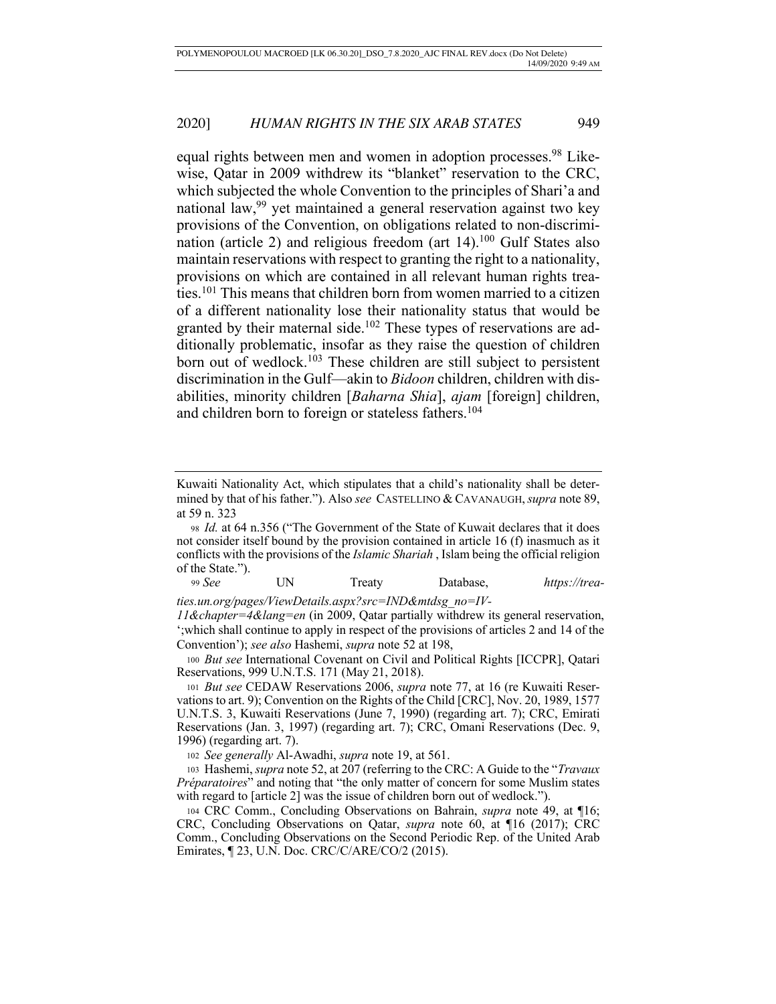equal rights between men and women in adoption processes.<sup>98</sup> Likewise, Qatar in 2009 withdrew its "blanket" reservation to the CRC, which subjected the whole Convention to the principles of Shari'a and national law,<sup>99</sup> yet maintained a general reservation against two key provisions of the Convention, on obligations related to non-discrimination (article 2) and religious freedom (art  $14$ ).<sup>100</sup> Gulf States also maintain reservations with respect to granting the right to a nationality, provisions on which are contained in all relevant human rights treaties.101 This means that children born from women married to a citizen of a different nationality lose their nationality status that would be granted by their maternal side.<sup>102</sup> These types of reservations are additionally problematic, insofar as they raise the question of children born out of wedlock.<sup>103</sup> These children are still subject to persistent discrimination in the Gulf—akin to *Bidoon* children, children with disabilities, minority children [*Baharna Shia*], *ajam* [foreign] children, and children born to foreign or stateless fathers.<sup>104</sup>

<sup>99</sup> *See* UN Treaty Database, *https://trea-*

*ties.un.org/pages/ViewDetails.aspx?src=IND&mtdsg\_no=IV-*

*11&chapter=4&lang=en* (in 2009, Qatar partially withdrew its general reservation, ';which shall continue to apply in respect of the provisions of articles 2 and 14 of the Convention'); *see also* Hashemi, *supra* note 52 at 198,

<sup>100</sup> *But see* International Covenant on Civil and Political Rights [ICCPR], Qatari Reservations, 999 U.N.T.S. 171 (May 21, 2018).

<sup>101</sup> *But see* CEDAW Reservations 2006, *supra* note 77, at 16 (re Kuwaiti Reservations to art. 9); Convention on the Rights of the Child [CRC], Nov. 20, 1989, 1577 U.N.T.S. 3, Kuwaiti Reservations (June 7, 1990) (regarding art. 7); CRC, Emirati Reservations (Jan. 3, 1997) (regarding art. 7); CRC, Omani Reservations (Dec. 9, 1996) (regarding art. 7).

<sup>102</sup> *See generally* Al-Awadhi, *supra* note 19, at 561.

<sup>103</sup> Hashemi, *supra* note 52, at 207 (referring to the CRC: A Guide to the "*Travaux Préparatoires*" and noting that "the only matter of concern for some Muslim states with regard to [article 2] was the issue of children born out of wedlock.").

<sup>104</sup> CRC Comm., Concluding Observations on Bahrain, *supra* note 49, at ¶16; CRC, Concluding Observations on Qatar, *supra* note 60, at ¶16 (2017); CRC Comm., Concluding Observations on the Second Periodic Rep. of the United Arab Emirates, ¶ 23, U.N. Doc. CRC/C/ARE/CO/2 (2015).

Kuwaiti Nationality Act, which stipulates that a child's nationality shall be determined by that of his father."). Also *see* CASTELLINO & CAVANAUGH,*supra* note 89, at 59 n. 323

<sup>98</sup> *Id.* at 64 n.356 ("The Government of the State of Kuwait declares that it does not consider itself bound by the provision contained in article 16 (f) inasmuch as it conflicts with the provisions of the *Islamic Shariah* , Islam being the official religion of the State.").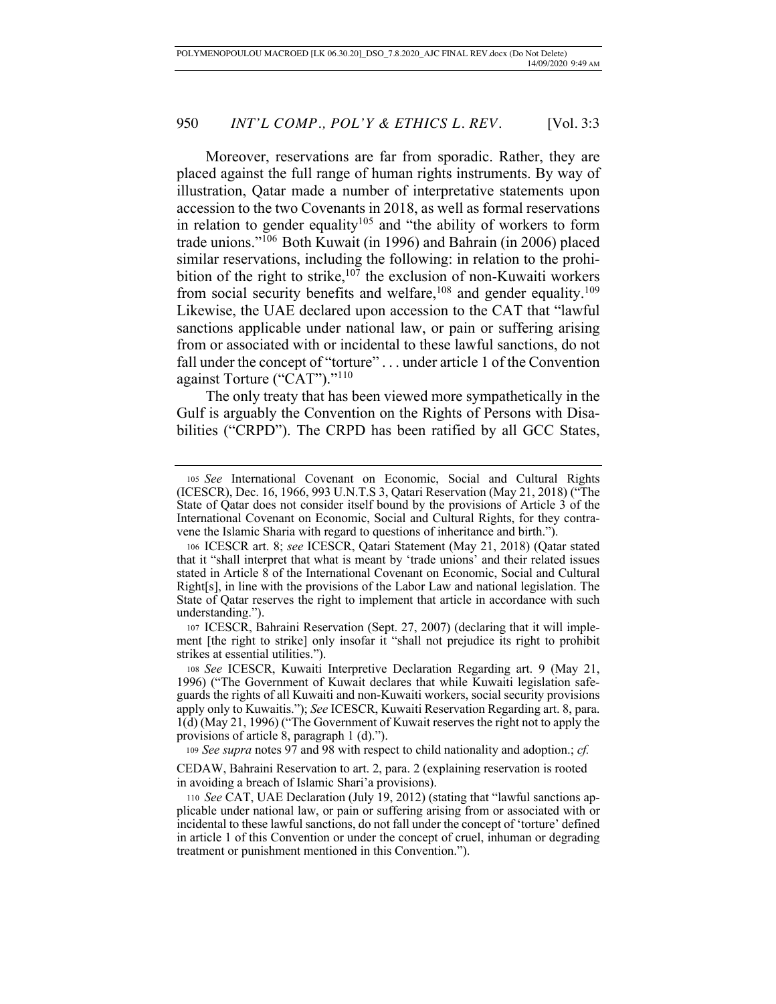Moreover, reservations are far from sporadic. Rather, they are placed against the full range of human rights instruments. By way of illustration, Qatar made a number of interpretative statements upon accession to the two Covenants in 2018, as well as formal reservations in relation to gender equality<sup>105</sup> and "the ability of workers to form trade unions."106 Both Kuwait (in 1996) and Bahrain (in 2006) placed similar reservations, including the following: in relation to the prohibition of the right to strike,<sup>107</sup> the exclusion of non-Kuwaiti workers from social security benefits and welfare,<sup>108</sup> and gender equality.<sup>109</sup> Likewise, the UAE declared upon accession to the CAT that "lawful sanctions applicable under national law, or pain or suffering arising from or associated with or incidental to these lawful sanctions, do not fall under the concept of "torture" . . . under article 1 of the Convention against Torture ("CAT")."110

The only treaty that has been viewed more sympathetically in the Gulf is arguably the Convention on the Rights of Persons with Disabilities ("CRPD"). The CRPD has been ratified by all GCC States,

<sup>107</sup> ICESCR, Bahraini Reservation (Sept. 27, 2007) (declaring that it will implement [the right to strike] only insofar it "shall not prejudice its right to prohibit strikes at essential utilities.").

<sup>109</sup> *See supra* notes 97 and 98 with respect to child nationality and adoption.; *cf.* 

CEDAW, Bahraini Reservation to art. 2, para. 2 (explaining reservation is rooted in avoiding a breach of Islamic Shari'a provisions).

<sup>105</sup> *See* International Covenant on Economic, Social and Cultural Rights (ICESCR), Dec. 16, 1966, 993 U.N.T.S 3, Qatari Reservation (May 21, 2018) ("The State of Qatar does not consider itself bound by the provisions of Article 3 of the International Covenant on Economic, Social and Cultural Rights, for they contravene the Islamic Sharia with regard to questions of inheritance and birth.").

<sup>106</sup> ICESCR art. 8; *see* ICESCR, Qatari Statement (May 21, 2018) (Qatar stated that it "shall interpret that what is meant by 'trade unions' and their related issues stated in Article 8 of the International Covenant on Economic, Social and Cultural Right[s], in line with the provisions of the Labor Law and national legislation. The State of Qatar reserves the right to implement that article in accordance with such understanding.").

<sup>108</sup> *See* ICESCR, Kuwaiti Interpretive Declaration Regarding art. 9 (May 21, 1996) ("The Government of Kuwait declares that while Kuwaiti legislation safeguards the rights of all Kuwaiti and non-Kuwaiti workers, social security provisions apply only to Kuwaitis."); *See* ICESCR, Kuwaiti Reservation Regarding art. 8, para. 1(d) (May 21, 1996) ("The Government of Kuwait reserves the right not to apply the provisions of article 8, paragraph 1 (d).").

<sup>110</sup> *See* CAT, UAE Declaration (July 19, 2012) (stating that "lawful sanctions applicable under national law, or pain or suffering arising from or associated with or incidental to these lawful sanctions, do not fall under the concept of 'torture' defined in article 1 of this Convention or under the concept of cruel, inhuman or degrading treatment or punishment mentioned in this Convention.").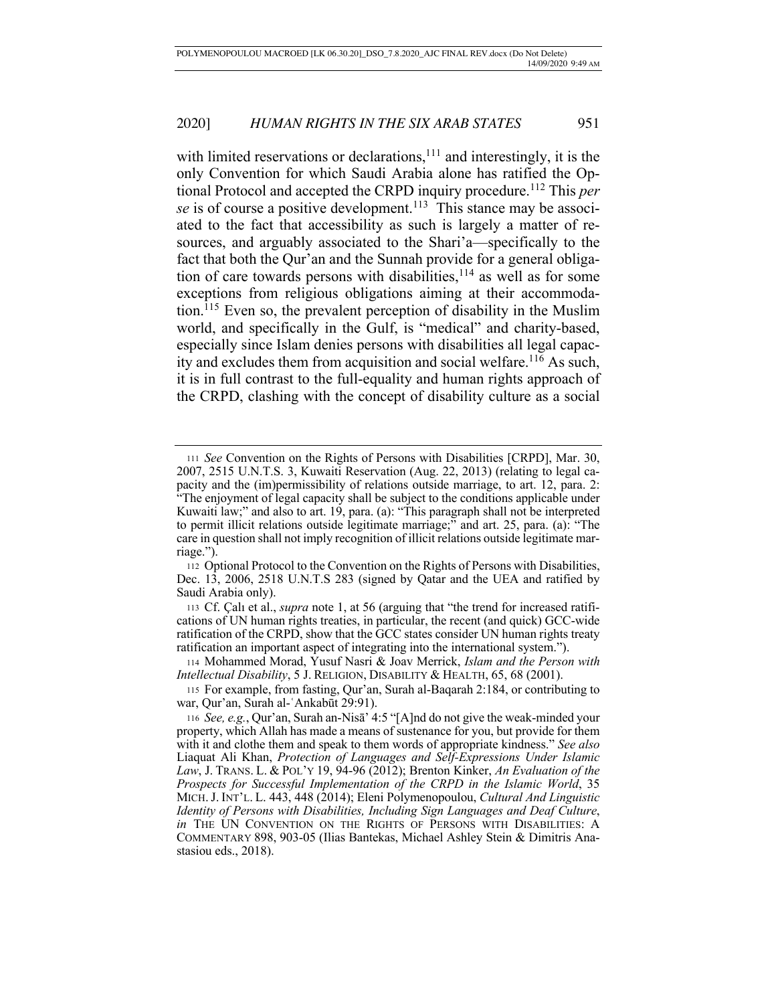with limited reservations or declarations, $111$  and interestingly, it is the only Convention for which Saudi Arabia alone has ratified the Optional Protocol and accepted the CRPD inquiry procedure.112 This *per se* is of course a positive development.<sup>113</sup> This stance may be associated to the fact that accessibility as such is largely a matter of resources, and arguably associated to the Shari'a—specifically to the fact that both the Qur'an and the Sunnah provide for a general obligation of care towards persons with disabilities,  $114$  as well as for some exceptions from religious obligations aiming at their accommodation.<sup>115</sup> Even so, the prevalent perception of disability in the Muslim world, and specifically in the Gulf, is "medical" and charity-based, especially since Islam denies persons with disabilities all legal capacity and excludes them from acquisition and social welfare.116 As such, it is in full contrast to the full-equality and human rights approach of the CRPD, clashing with the concept of disability culture as a social

<sup>114</sup> Mohammed Morad, Yusuf Nasri & Joav Merrick, *Islam and the Person with Intellectual Disability*, 5 J. RELIGION, DISABILITY & HEALTH, 65, 68 (2001).

<sup>111</sup> *See* Convention on the Rights of Persons with Disabilities [CRPD], Mar. 30, 2007, 2515 U.N.T.S. 3, Kuwaiti Reservation (Aug. 22, 2013) (relating to legal capacity and the (im)permissibility of relations outside marriage, to art. 12, para. 2: "The enjoyment of legal capacity shall be subject to the conditions applicable under Kuwaiti law;" and also to art. 19, para. (a): "This paragraph shall not be interpreted to permit illicit relations outside legitimate marriage;" and art. 25, para. (a): "The care in question shall not imply recognition of illicit relations outside legitimate marriage.").

<sup>112</sup> Optional Protocol to the Convention on the Rights of Persons with Disabilities, Dec. 13, 2006, 2518 U.N.T.S 283 (signed by Qatar and the UEA and ratified by Saudi Arabia only).

<sup>113</sup> Cf. Çalı et al., *supra* note 1, at 56 (arguing that "the trend for increased ratifications of UN human rights treaties, in particular, the recent (and quick) GCC-wide ratification of the CRPD, show that the GCC states consider UN human rights treaty ratification an important aspect of integrating into the international system.").

<sup>115</sup> For example, from fasting, Qur'an, Surah al-Baqarah 2:184, or contributing to war, Qur'an, Surah al-ʿAnkabūt 29:91).

<sup>116</sup> *See, e.g.*, Qur'an, Surah an-Nisā' 4:5 "[A]nd do not give the weak-minded your property, which Allah has made a means of sustenance for you, but provide for them with it and clothe them and speak to them words of appropriate kindness." *See also* Liaquat Ali Khan, *Protection of Languages and Self-Expressions Under Islamic Law*, J. TRANS. L. & POL'Y 19, 94-96 (2012); Brenton Kinker, *An Evaluation of the Prospects for Successful Implementation of the CRPD in the Islamic World*, 35 MICH.J. INT'L. L. 443, 448 (2014); Eleni Polymenopoulou, *Cultural And Linguistic Identity of Persons with Disabilities, Including Sign Languages and Deaf Culture*, *in* THE UN CONVENTION ON THE RIGHTS OF PERSONS WITH DISABILITIES: A COMMENTARY 898, 903-05 (Ilias Bantekas, Michael Ashley Stein & Dimitris Anastasiou eds., 2018).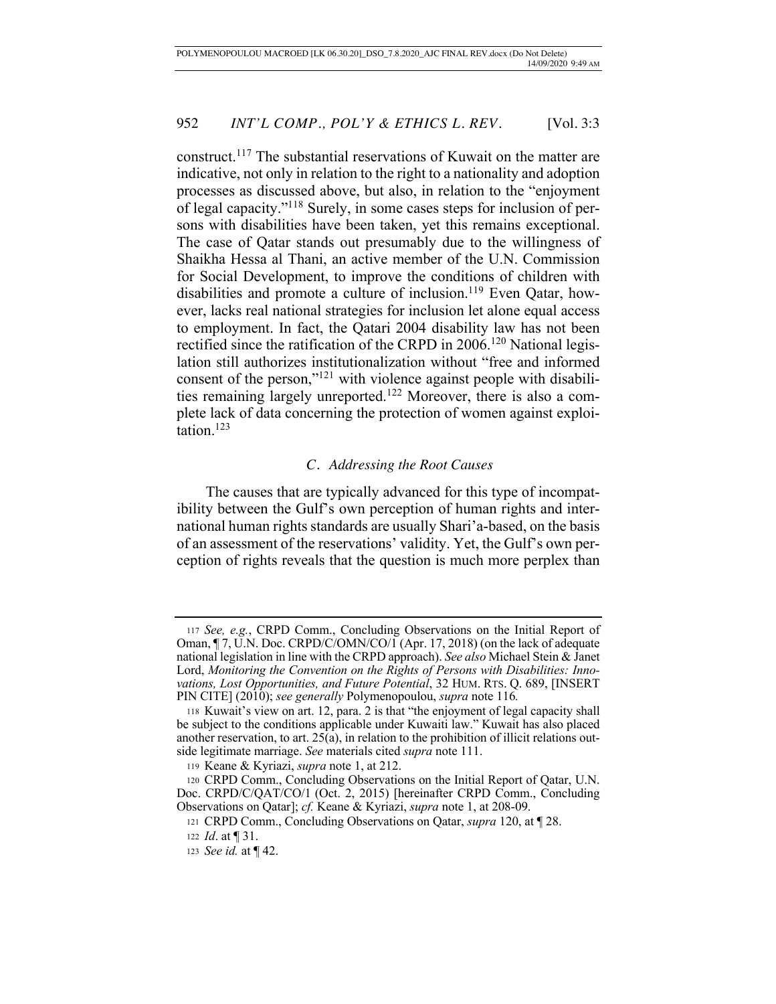construct.117 The substantial reservations of Kuwait on the matter are indicative, not only in relation to the right to a nationality and adoption processes as discussed above, but also, in relation to the "enjoyment of legal capacity."118 Surely, in some cases steps for inclusion of persons with disabilities have been taken, yet this remains exceptional. The case of Qatar stands out presumably due to the willingness of Shaikha Hessa al Thani, an active member of the U.N. Commission for Social Development, to improve the conditions of children with disabilities and promote a culture of inclusion.<sup>119</sup> Even Qatar, however, lacks real national strategies for inclusion let alone equal access to employment. In fact, the Qatari 2004 disability law has not been rectified since the ratification of the CRPD in 2006.<sup>120</sup> National legislation still authorizes institutionalization without "free and informed consent of the person,"121 with violence against people with disabilities remaining largely unreported.122 Moreover, there is also a complete lack of data concerning the protection of women against exploitation.123

### *C. Addressing the Root Causes*

The causes that are typically advanced for this type of incompatibility between the Gulf's own perception of human rights and international human rights standards are usually Shari'a-based, on the basis of an assessment of the reservations' validity. Yet, the Gulf's own perception of rights reveals that the question is much more perplex than

<sup>117</sup> *See, e.g.*, CRPD Comm., Concluding Observations on the Initial Report of Oman, ¶ 7, U.N. Doc. CRPD/C/OMN/CO/1 (Apr. 17, 2018) (on the lack of adequate national legislation in line with the CRPD approach). *See also* Michael Stein & Janet Lord, *Monitoring the Convention on the Rights of Persons with Disabilities: Innovations, Lost Opportunities, and Future Potential*, 32 HUM. RTS. Q. 689, [INSERT PIN CITE] (2010); *see generally* Polymenopoulou, *supra* note 116*.*

<sup>118</sup> Kuwait's view on art. 12, para. 2 is that "the enjoyment of legal capacity shall be subject to the conditions applicable under Kuwaiti law." Kuwait has also placed another reservation, to art.  $25(a)$ , in relation to the prohibition of illicit relations outside legitimate marriage. *See* materials cited *supra* note 111.

<sup>119</sup> Keane & Kyriazi, *supra* note 1, at 212.

<sup>120</sup> CRPD Comm., Concluding Observations on the Initial Report of Qatar, U.N. Doc. CRPD/C/QAT/CO/1 (Oct. 2, 2015) [hereinafter CRPD Comm., Concluding Observations on Qatar]; *cf.* Keane & Kyriazi, *supra* note 1, at 208-09.

<sup>121</sup> CRPD Comm., Concluding Observations on Qatar, *supra* 120, at ¶ 28.

<sup>122</sup> *Id*. at ¶ 31.

<sup>123</sup> *See id.* at ¶ 42.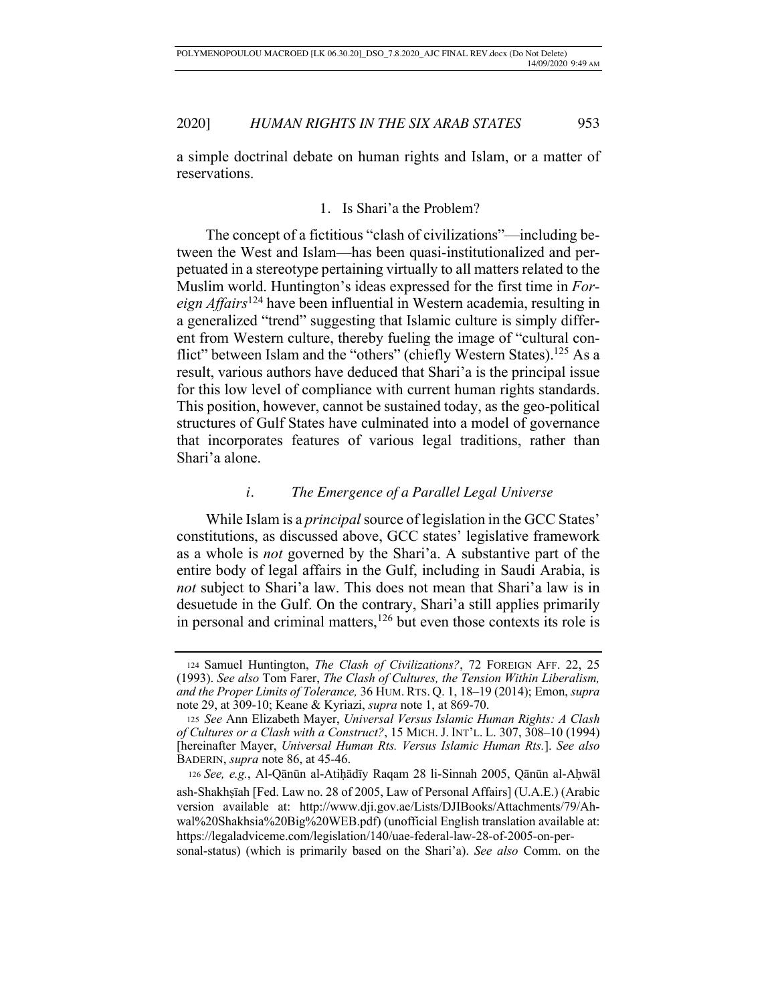a simple doctrinal debate on human rights and Islam, or a matter of reservations.

# 1. Is Shari'a the Problem?

The concept of a fictitious "clash of civilizations"—including between the West and Islam—has been quasi-institutionalized and perpetuated in a stereotype pertaining virtually to all matters related to the Muslim world. Huntington's ideas expressed for the first time in *Foreign Affairs*124 have been influential in Western academia, resulting in a generalized "trend" suggesting that Islamic culture is simply different from Western culture, thereby fueling the image of "cultural conflict" between Islam and the "others" (chiefly Western States).<sup>125</sup> As a result, various authors have deduced that Shari'a is the principal issue for this low level of compliance with current human rights standards. This position, however, cannot be sustained today, as the geo-political structures of Gulf States have culminated into a model of governance that incorporates features of various legal traditions, rather than Shari'a alone.

### *i. The Emergence of a Parallel Legal Universe*

While Islam is a *principal* source of legislation in the GCC States' constitutions, as discussed above, GCC states' legislative framework as a whole is *not* governed by the Shari'a. A substantive part of the entire body of legal affairs in the Gulf, including in Saudi Arabia, is *not* subject to Shari'a law. This does not mean that Shari'a law is in desuetude in the Gulf. On the contrary, Shari'a still applies primarily in personal and criminal matters,  $126$  but even those contexts its role is

<sup>124</sup> Samuel Huntington, *The Clash of Civilizations?*, 72 FOREIGN AFF. 22, 25 (1993). *See also* Tom Farer, *The Clash of Cultures, the Tension Within Liberalism, and the Proper Limits of Tolerance,* 36 HUM. RTS. Q. 1, 18–19 (2014); Emon, *supra* note 29, at 309-10; Keane & Kyriazi, *supra* note 1, at 869-70.

<sup>125</sup> *See* Ann Elizabeth Mayer, *Universal Versus Islamic Human Rights: A Clash of Cultures or a Clash with a Construct?*, 15 MICH. J. INT'L. L. 307, 308–10 (1994) [hereinafter Mayer, *Universal Human Rts. Versus Islamic Human Rts.*]. *See also* BADERIN, *supra* note 86, at 45-46.

<sup>126</sup> *See, e.g.*, Al-Qānūn al-Atiḥādīy Raqam 28 li-Sinnah 2005, Qānūn al-Aḥwāl ash-Shakhṣīah [Fed. Law no. 28 of 2005, Law of Personal Affairs] (U.A.E.) (Arabic version available at: http://www.dji.gov.ae/Lists/DJIBooks/Attachments/79/Ahwal%20Shakhsia%20Big%20WEB.pdf) (unofficial English translation available at: https://legaladviceme.com/legislation/140/uae-federal-law-28-of-2005-on-personal-status) (which is primarily based on the Shari'a). *See also* Comm. on the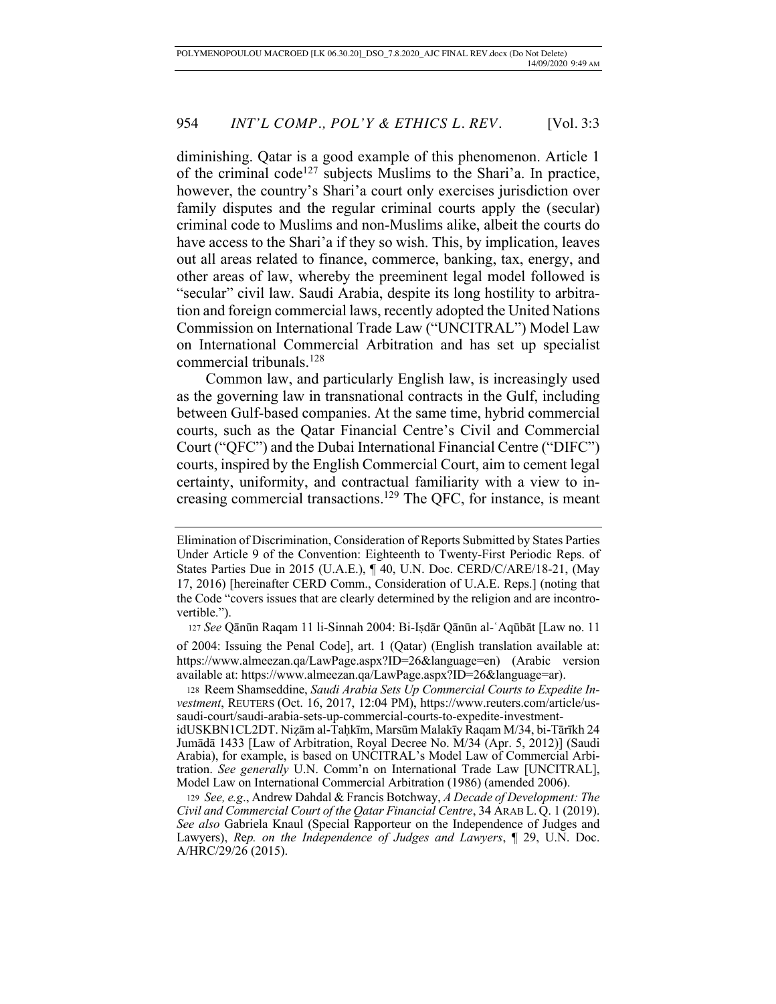diminishing. Qatar is a good example of this phenomenon. Article 1 of the criminal code<sup>127</sup> subjects Muslims to the Shari'a. In practice, however, the country's Shari'a court only exercises jurisdiction over family disputes and the regular criminal courts apply the (secular) criminal code to Muslims and non-Muslims alike, albeit the courts do have access to the Shari'a if they so wish. This, by implication, leaves out all areas related to finance, commerce, banking, tax, energy, and other areas of law, whereby the preeminent legal model followed is "secular" civil law. Saudi Arabia, despite its long hostility to arbitration and foreign commercial laws, recently adopted the United Nations Commission on International Trade Law ("UNCITRAL") Model Law on International Commercial Arbitration and has set up specialist commercial tribunals.128

Common law, and particularly English law, is increasingly used as the governing law in transnational contracts in the Gulf, including between Gulf-based companies. At the same time, hybrid commercial courts, such as the Qatar Financial Centre's Civil and Commercial Court ("QFC") and the Dubai International Financial Centre ("DIFC") courts, inspired by the English Commercial Court, aim to cement legal certainty, uniformity, and contractual familiarity with a view to increasing commercial transactions.129 The QFC, for instance, is meant

<sup>127</sup> *See* Qānūn Raqam 11 li-Sinnah 2004: Bi-Iṣdār Qānūn al-ʿAqūbāt [Law no. 11

of 2004: Issuing the Penal Code], art. 1 (Qatar) (English translation available at: https://www.almeezan.qa/LawPage.aspx?ID=26&language=en) (Arabic version available at: https://www.almeezan.qa/LawPage.aspx?ID=26&language=ar).

<sup>128</sup> Reem Shamseddine, *Saudi Arabia Sets Up Commercial Courts to Expedite Investment*, REUTERS (Oct. 16, 2017, 12:04 PM), https://www.reuters.com/article/ussaudi-court/saudi-arabia-sets-up-commercial-courts-to-expedite-investment-

idUSKBN1CL2DT. Niẓām al-Taḥkīm, Marsūm Malakīy Raqam M/34, bi-Tārīkh 24 Jumādā 1433 [Law of Arbitration, Royal Decree No. M/34 (Apr. 5, 2012)] (Saudi Arabia), for example, is based on UNCITRAL's Model Law of Commercial Arbitration. *See generally* U.N. Comm'n on International Trade Law [UNCITRAL], Model Law on International Commercial Arbitration (1986) (amended 2006).

<sup>129</sup> *See, e.g*., Andrew Dahdal & Francis Botchway, *A Decade of Development: The Civil and Commercial Court of the Qatar Financial Centre*, 34 ARAB L. Q. 1 (2019). *See also* Gabriela Knaul (Special Rapporteur on the Independence of Judges and Lawyers), *R*e*p. on the Independence of Judges and Lawyers*, ¶ 29, U.N. Doc. A/HRC/29/26 (2015).

Elimination of Discrimination, Consideration of Reports Submitted by States Parties Under Article 9 of the Convention: Eighteenth to Twenty-First Periodic Reps. of States Parties Due in 2015 (U.A.E.), ¶ 40, U.N. Doc. CERD/C/ARE/18-21, (May 17, 2016) [hereinafter CERD Comm., Consideration of U.A.E. Reps.] (noting that the Code "covers issues that are clearly determined by the religion and are incontrovertible.").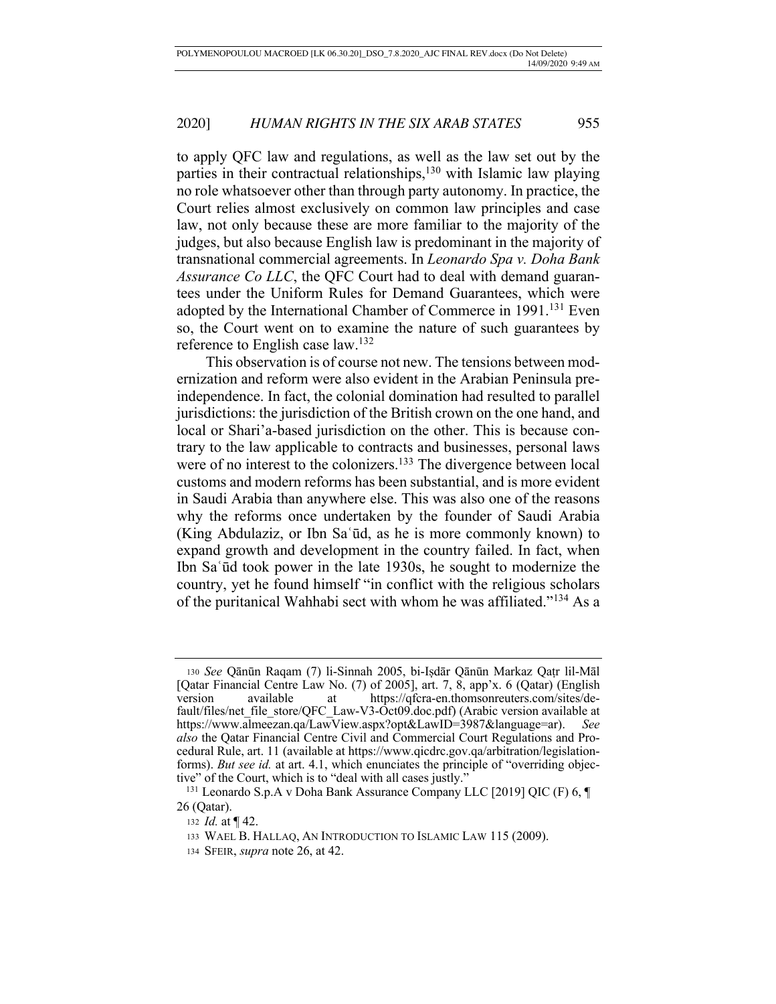to apply QFC law and regulations, as well as the law set out by the parties in their contractual relationships,<sup>130</sup> with Islamic law playing no role whatsoever other than through party autonomy. In practice, the Court relies almost exclusively on common law principles and case law, not only because these are more familiar to the majority of the judges, but also because English law is predominant in the majority of transnational commercial agreements. In *Leonardo Spa v. Doha Bank Assurance Co LLC*, the QFC Court had to deal with demand guarantees under the Uniform Rules for Demand Guarantees, which were adopted by the International Chamber of Commerce in 1991.<sup>131</sup> Even so, the Court went on to examine the nature of such guarantees by reference to English case law.132

This observation is of course not new. The tensions between modernization and reform were also evident in the Arabian Peninsula preindependence. In fact, the colonial domination had resulted to parallel jurisdictions: the jurisdiction of the British crown on the one hand, and local or Shari'a-based jurisdiction on the other. This is because contrary to the law applicable to contracts and businesses, personal laws were of no interest to the colonizers.<sup>133</sup> The divergence between local customs and modern reforms has been substantial, and is more evident in Saudi Arabia than anywhere else. This was also one of the reasons why the reforms once undertaken by the founder of Saudi Arabia (King Abdulaziz, or Ibn Saʿūd, as he is more commonly known) to expand growth and development in the country failed. In fact, when Ibn Saʿūd took power in the late 1930s, he sought to modernize the country, yet he found himself "in conflict with the religious scholars of the puritanical Wahhabi sect with whom he was affiliated."134 As a

<sup>130</sup> *See* Qānūn Raqam (7) li-Sinnah 2005, bi-Iṣdār Qānūn Markaz Qaṭr lil-Māl [Qatar Financial Centre Law No. (7) of 2005], art. 7, 8, app'x. 6 (Qatar) (English version available at https://qfcra-en.thomsonreuters.com/sites/default/files/net\_file\_store/QFC\_Law-V3-Oct09.doc.pdf) (Arabic version available at https://www.almeezan.qa/LawView.aspx?opt&LawID=3987&language=ar). *See also* the Qatar Financial Centre Civil and Commercial Court Regulations and Procedural Rule, art. 11 (available at https://www.qicdrc.gov.qa/arbitration/legislationforms). *But see id.* at art. 4.1, which enunciates the principle of "overriding objective" of the Court, which is to "deal with all cases justly."

 <sup>131</sup> Leonardo S.p.A v Doha Bank Assurance Company LLC [2019] QIC (F) 6, ¶ 26 (Qatar).

<sup>132</sup> *Id.* at ¶ 42.

<sup>133</sup> WAEL B. HALLAQ, AN INTRODUCTION TO ISLAMIC LAW 115 (2009).

<sup>134</sup> SFEIR, *supra* note 26, at 42.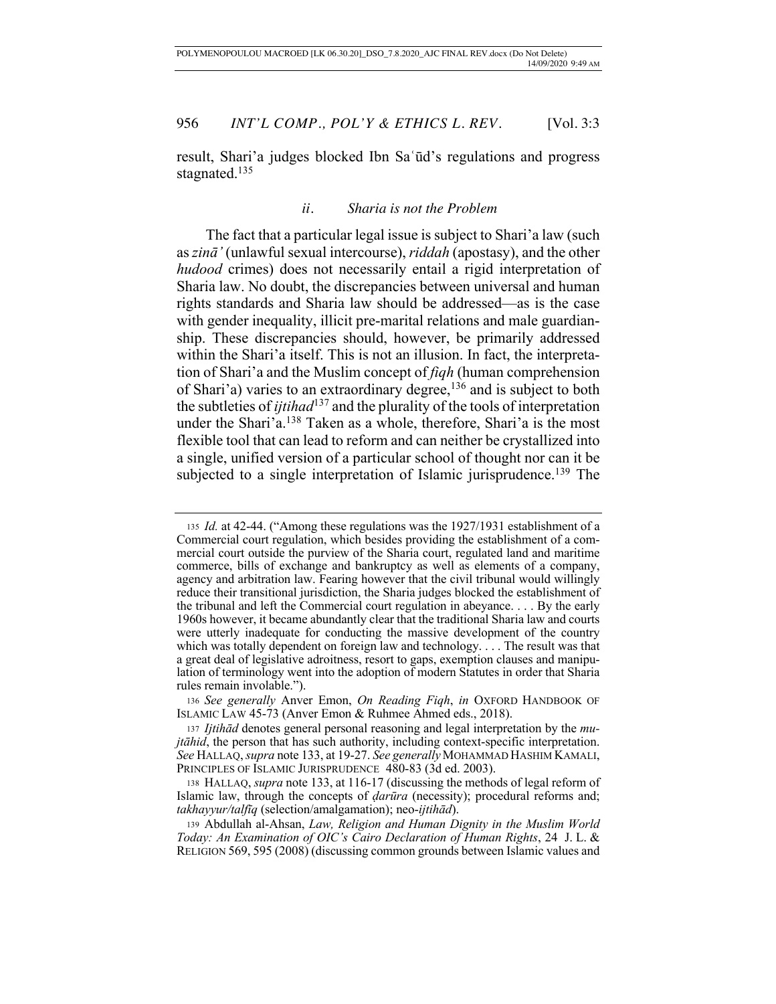result, Shari'a judges blocked Ibn Saʿūd's regulations and progress stagnated.<sup>135</sup>

# *ii. Sharia is not the Problem*

The fact that a particular legal issue is subject to Shari'a law (such as *zinā'* (unlawful sexual intercourse), *riddah* (apostasy), and the other *hudood* crimes) does not necessarily entail a rigid interpretation of Sharia law. No doubt, the discrepancies between universal and human rights standards and Sharia law should be addressed—as is the case with gender inequality, illicit pre-marital relations and male guardianship. These discrepancies should, however, be primarily addressed within the Shari'a itself. This is not an illusion. In fact, the interpretation of Shari'a and the Muslim concept of *fiqh* (human comprehension of Shari'a) varies to an extraordinary degree,<sup>136</sup> and is subject to both the subtleties of *ijtihad*137 and the plurality of the tools of interpretation under the Shari'a.<sup>138</sup> Taken as a whole, therefore, Shari'a is the most flexible tool that can lead to reform and can neither be crystallized into a single, unified version of a particular school of thought nor can it be subjected to a single interpretation of Islamic jurisprudence.<sup>139</sup> The

<sup>135</sup> *Id.* at 42-44. ("Among these regulations was the 1927/1931 establishment of a Commercial court regulation, which besides providing the establishment of a commercial court outside the purview of the Sharia court, regulated land and maritime commerce, bills of exchange and bankruptcy as well as elements of a company, agency and arbitration law. Fearing however that the civil tribunal would willingly reduce their transitional jurisdiction, the Sharia judges blocked the establishment of the tribunal and left the Commercial court regulation in abeyance. . . . By the early 1960s however, it became abundantly clear that the traditional Sharia law and courts were utterly inadequate for conducting the massive development of the country which was totally dependent on foreign law and technology. . . . The result was that a great deal of legislative adroitness, resort to gaps, exemption clauses and manipulation of terminology went into the adoption of modern Statutes in order that Sharia rules remain involable.").

<sup>136</sup> *See generally* Anver Emon, *On Reading Fiqh*, *in* OXFORD HANDBOOK OF ISLAMIC LAW 45-73 (Anver Emon & Ruhmee Ahmed eds., 2018).

<sup>137</sup> *Ijtihād* denotes general personal reasoning and legal interpretation by the *mujtāhid*, the person that has such authority, including context-specific interpretation. *See* HALLAQ, *supra* note 133, at 19-27. *See generally* MOHAMMAD HASHIM KAMALI, PRINCIPLES OF ISLAMIC JURISPRUDENCE 480-83 (3d ed. 2003).

<sup>138</sup> HALLAQ, *supra* note 133, at 116-17 (discussing the methods of legal reform of Islamic law, through the concepts of *ḍarūra* (necessity); procedural reforms and; *takhayyur/talfīq* (selection/amalgamation); neo-*ijtihād*).

<sup>139</sup> Abdullah al-Ahsan, *Law, Religion and Human Dignity in the Muslim World Today: An Examination of OIC's Cairo Declaration of Human Rights*, 24 J. L. & RELIGION 569, 595 (2008) (discussing common grounds between Islamic values and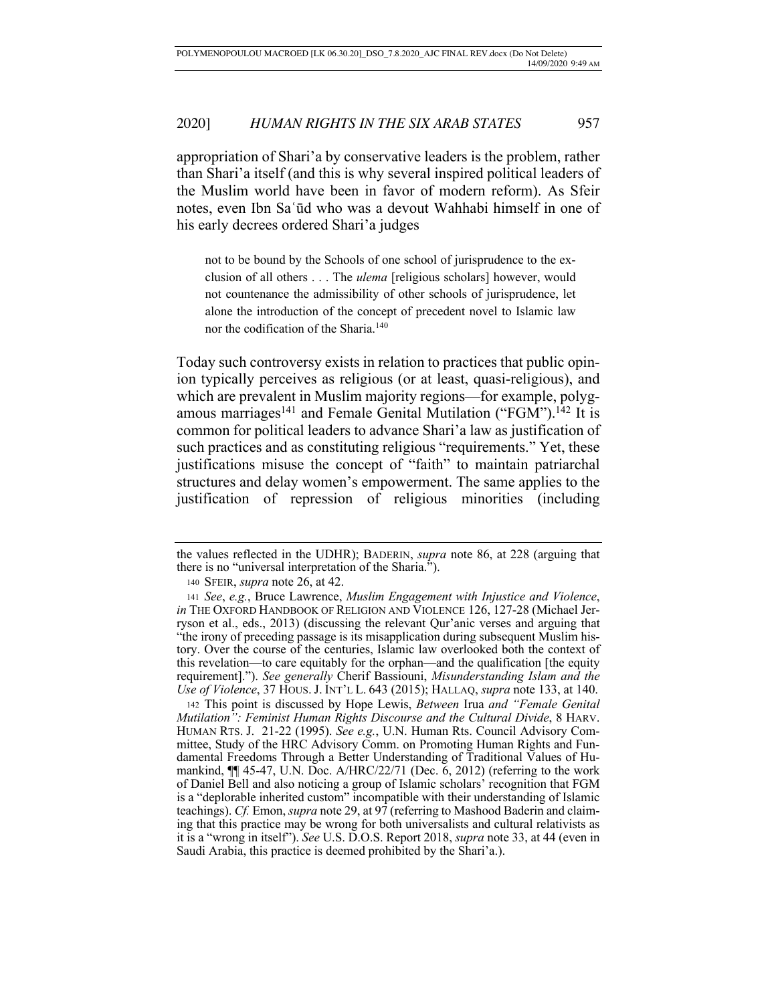appropriation of Shari'a by conservative leaders is the problem, rather than Shari'a itself (and this is why several inspired political leaders of the Muslim world have been in favor of modern reform). As Sfeir notes, even Ibn Saʿūd who was a devout Wahhabi himself in one of his early decrees ordered Shari'a judges

not to be bound by the Schools of one school of jurisprudence to the exclusion of all others . . . The *ulema* [religious scholars] however, would not countenance the admissibility of other schools of jurisprudence, let alone the introduction of the concept of precedent novel to Islamic law nor the codification of the Sharia.140

Today such controversy exists in relation to practices that public opinion typically perceives as religious (or at least, quasi-religious), and which are prevalent in Muslim majority regions—for example, polygamous marriages<sup>141</sup> and Female Genital Mutilation ("FGM").<sup>142</sup> It is common for political leaders to advance Shari'a law as justification of such practices and as constituting religious "requirements." Yet, these justifications misuse the concept of "faith" to maintain patriarchal structures and delay women's empowerment. The same applies to the justification of repression of religious minorities (including

<sup>142</sup> This point is discussed by Hope Lewis, *Between* Irua *and "Female Genital Mutilation": Feminist Human Rights Discourse and the Cultural Divide*, 8 HARV. HUMAN RTS. J. 21-22 (1995). *See e.g.*, U.N. Human Rts. Council Advisory Committee, Study of the HRC Advisory Comm. on Promoting Human Rights and Fundamental Freedoms Through a Better Understanding of Traditional Values of Humankind, ¶¶ 45-47, U.N. Doc. A/HRC/22/71 (Dec. 6, 2012) (referring to the work of Daniel Bell and also noticing a group of Islamic scholars' recognition that FGM is a "deplorable inherited custom" incompatible with their understanding of Islamic teachings). *Cf.* Emon, *supra* note 29, at 97 (referring to Mashood Baderin and claiming that this practice may be wrong for both universalists and cultural relativists as it is a "wrong in itself"). *See* U.S. D.O.S. Report 2018, *supra* note 33, at 44 (even in Saudi Arabia, this practice is deemed prohibited by the Shari'a.).

the values reflected in the UDHR); BADERIN, *supra* note 86, at 228 (arguing that there is no "universal interpretation of the Sharia.").

<sup>140</sup> SFEIR, *supra* note 26, at 42.

<sup>141</sup> *See*, *e.g.*, Bruce Lawrence, *Muslim Engagement with Injustice and Violence*, *in* THE OXFORD HANDBOOK OF RELIGION AND VIOLENCE 126, 127-28 (Michael Jerryson et al., eds., 2013) (discussing the relevant Qur'anic verses and arguing that "the irony of preceding passage is its misapplication during subsequent Muslim history. Over the course of the centuries, Islamic law overlooked both the context of this revelation—to care equitably for the orphan—and the qualification [the equity requirement]."). *See generally* Cherif Bassiouni, *Misunderstanding Islam and the Use of Violence*, 37 HOUS. J. INT'L L. 643 (2015); HALLAQ, *supra* note 133, at 140.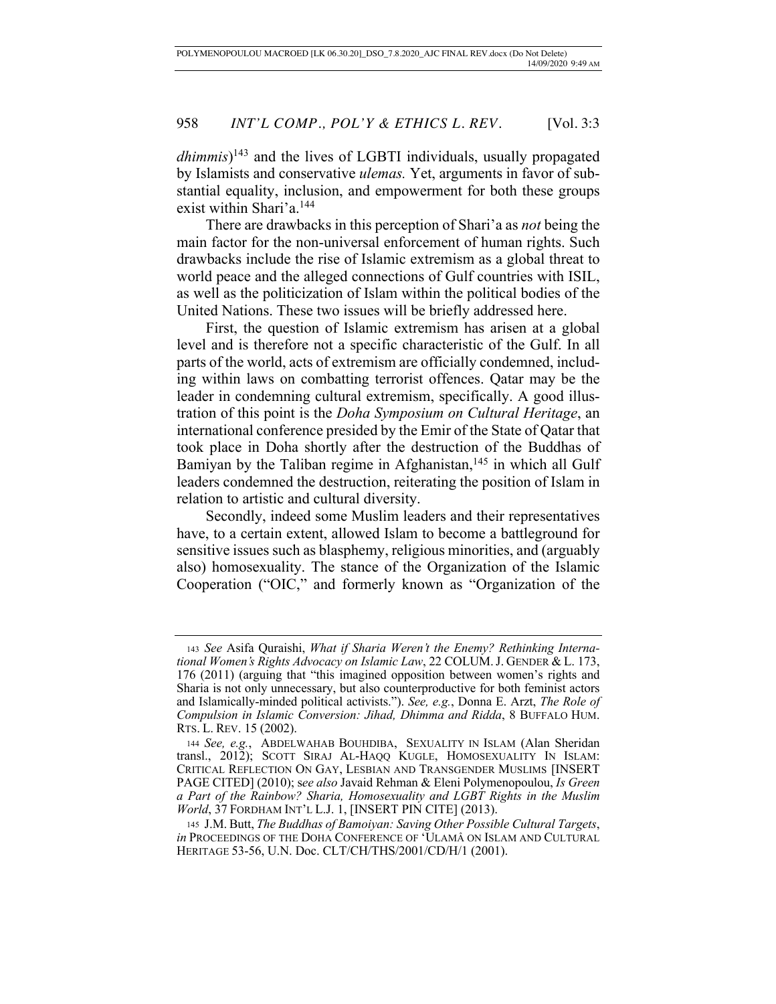*dhimmis*) 143 and the lives of LGBTI individuals, usually propagated by Islamists and conservative *ulemas.* Yet, arguments in favor of substantial equality, inclusion, and empowerment for both these groups exist within Shari'a.<sup>144</sup>

There are drawbacks in this perception of Shari'a as *not* being the main factor for the non-universal enforcement of human rights. Such drawbacks include the rise of Islamic extremism as a global threat to world peace and the alleged connections of Gulf countries with ISIL, as well as the politicization of Islam within the political bodies of the United Nations. These two issues will be briefly addressed here.

First, the question of Islamic extremism has arisen at a global level and is therefore not a specific characteristic of the Gulf. In all parts of the world, acts of extremism are officially condemned, including within laws on combatting terrorist offences. Qatar may be the leader in condemning cultural extremism, specifically. A good illustration of this point is the *Doha Symposium on Cultural Heritage*, an international conference presided by the Emir of the State of Qatar that took place in Doha shortly after the destruction of the Buddhas of Bamiyan by the Taliban regime in Afghanistan, $145$  in which all Gulf leaders condemned the destruction, reiterating the position of Islam in relation to artistic and cultural diversity.

Secondly, indeed some Muslim leaders and their representatives have, to a certain extent, allowed Islam to become a battleground for sensitive issues such as blasphemy, religious minorities, and (arguably also) homosexuality. The stance of the Organization of the Islamic Cooperation ("OIC," and formerly known as "Organization of the

<sup>143</sup> *See* Asifa Quraishi, *What if Sharia Weren't the Enemy? Rethinking International Women's Rights Advocacy on Islamic Law*, 22 COLUM.J. GENDER & L. 173, 176 (2011) (arguing that "this imagined opposition between women's rights and Sharia is not only unnecessary, but also counterproductive for both feminist actors and Islamically-minded political activists."). *See, e.g.*, Donna E. Arzt, *The Role of Compulsion in Islamic Conversion: Jihad, Dhimma and Ridda*, 8 BUFFALO HUM. RTS. L. REV. 15 (2002).

<sup>144</sup> *See, e.g.*, ABDELWAHAB BOUHDIBA, SEXUALITY IN ISLAM (Alan Sheridan transl., 2012); SCOTT SIRAJ AL-HAQQ KUGLE, HOMOSEXUALITY IN ISLAM: CRITICAL REFLECTION ON GAY, LESBIAN AND TRANSGENDER MUSLIMS [INSERT PAGE CITED] (2010); s*ee also* Javaid Rehman & Eleni Polymenopoulou, *Is Green a Part of the Rainbow? Sharia, Homosexuality and LGBT Rights in the Muslim World*, 37 FORDHAM INT'L L.J. 1, [INSERT PIN CITE] (2013).

<sup>145</sup> J.M. Butt, *The Buddhas of Bamoiyan: Saving Other Possible Cultural Targets*, *in* PROCEEDINGS OF THE DOHA CONFERENCE OF 'ULAMÂ ON ISLAM AND CULTURAL HERITAGE 53-56, U.N. Doc. CLT/CH/THS/2001/CD/H/1 (2001).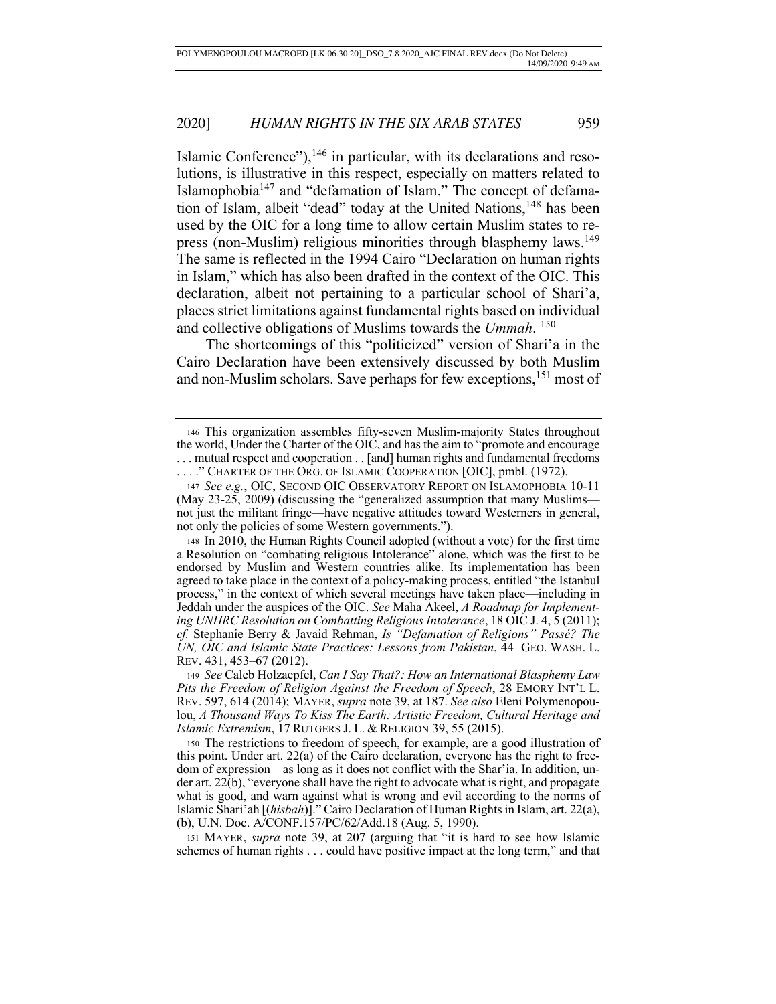Islamic Conference"), $146$  in particular, with its declarations and resolutions, is illustrative in this respect, especially on matters related to Islamophobia147 and "defamation of Islam." The concept of defamation of Islam, albeit "dead" today at the United Nations,<sup>148</sup> has been used by the OIC for a long time to allow certain Muslim states to repress (non-Muslim) religious minorities through blasphemy laws.<sup>149</sup> The same is reflected in the 1994 Cairo "Declaration on human rights in Islam," which has also been drafted in the context of the OIC. This declaration, albeit not pertaining to a particular school of Shari'a, places strict limitations against fundamental rights based on individual and collective obligations of Muslims towards the *Ummah*. 150

The shortcomings of this "politicized" version of Shari'a in the Cairo Declaration have been extensively discussed by both Muslim and non-Muslim scholars. Save perhaps for few exceptions,151 most of

<sup>150</sup> The restrictions to freedom of speech, for example, are a good illustration of this point. Under art. 22(a) of the Cairo declaration, everyone has the right to freedom of expression—as long as it does not conflict with the Shar'ia. In addition, under art. 22(b), "everyone shall have the right to advocate what is right, and propagate what is good, and warn against what is wrong and evil according to the norms of Islamic Shari'ah [(*hisbah*)]." Cairo Declaration of Human Rights in Islam, art. 22(a), (b), U.N. Doc. A/CONF.157/PC/62/Add.18 (Aug. 5, 1990).

151 MAYER, *supra* note 39, at 207 (arguing that "it is hard to see how Islamic schemes of human rights . . . could have positive impact at the long term," and that

<sup>146</sup> This organization assembles fifty-seven Muslim-majority States throughout the world, Under the Charter of the OIC, and has the aim to "promote and encourage . . . mutual respect and cooperation . . [and] human rights and fundamental freedoms ...." CHARTER OF THE ORG. OF ISLAMIC COOPERATION [OIC], pmbl. (1972).

<sup>147</sup> *See e.g.*, OIC, SECOND OIC OBSERVATORY REPORT ON ISLAMOPHOBIA 10-11 (May 23-25, 2009) (discussing the "generalized assumption that many Muslims not just the militant fringe—have negative attitudes toward Westerners in general, not only the policies of some Western governments.").

<sup>148</sup> In 2010, the Human Rights Council adopted (without a vote) for the first time a Resolution on "combating religious Intolerance" alone, which was the first to be endorsed by Muslim and Western countries alike. Its implementation has been agreed to take place in the context of a policy-making process, entitled "the Istanbul process," in the context of which several meetings have taken place—including in Jeddah under the auspices of the OIC. *See* Maha Akeel, *A Roadmap for Implementing UNHRC Resolution on Combatting Religious Intolerance*, 18 OIC J. 4, 5 (2011); *cf.* Stephanie Berry & Javaid Rehman, *Is "Defamation of Religions" Passé? The UN, OIC and Islamic State Practices: Lessons from Pakistan*, 44 GEO. WASH. L. REV. 431, 453–67 (2012).

<sup>149</sup> *See* Caleb Holzaepfel, *Can I Say That?: How an International Blasphemy Law Pits the Freedom of Religion Against the Freedom of Speech*, 28 EMORY INT'L L. REV. 597, 614 (2014); MAYER, *supra* note 39, at 187. *See also* Eleni Polymenopoulou, *A Thousand Ways To Kiss The Earth: Artistic Freedom, Cultural Heritage and Islamic Extremism*, 17 RUTGERS J. L. & RELIGION 39, 55 (2015).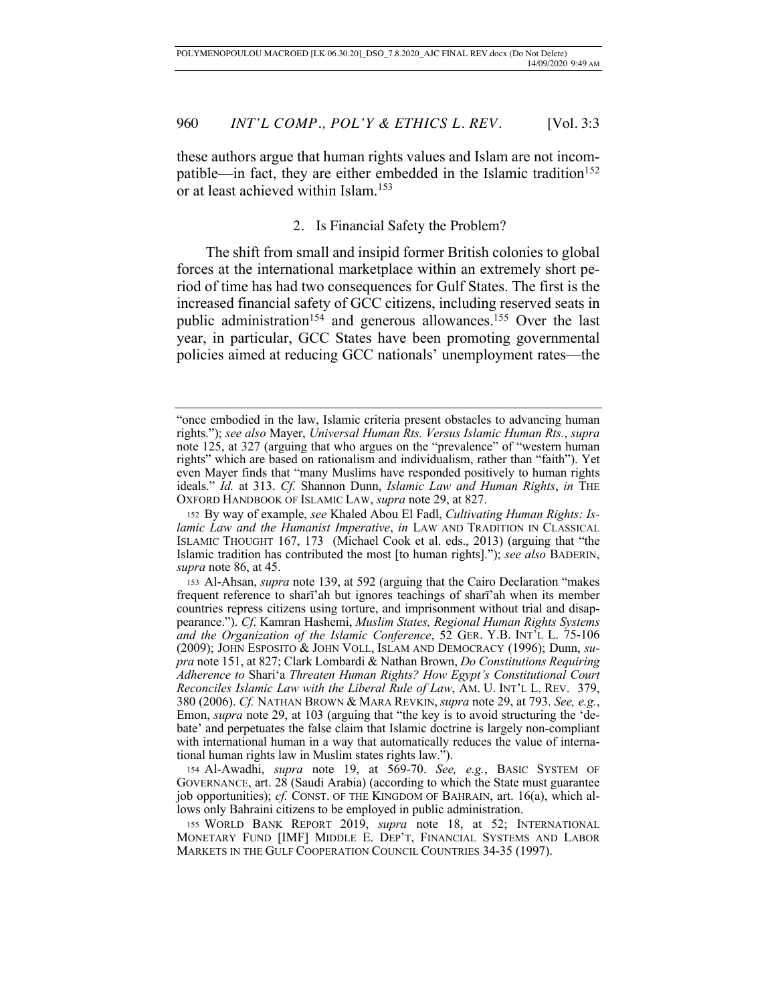these authors argue that human rights values and Islam are not incompatible—in fact, they are either embedded in the Islamic tradition<sup>152</sup> or at least achieved within Islam.153

# 2. Is Financial Safety the Problem?

The shift from small and insipid former British colonies to global forces at the international marketplace within an extremely short period of time has had two consequences for Gulf States. The first is the increased financial safety of GCC citizens, including reserved seats in public administration<sup>154</sup> and generous allowances.<sup>155</sup> Over the last year, in particular, GCC States have been promoting governmental policies aimed at reducing GCC nationals' unemployment rates—the

<sup>&</sup>quot;once embodied in the law, Islamic criteria present obstacles to advancing human rights."); *see also* Mayer, *Universal Human Rts. Versus Islamic Human Rts.*, *supra* note 125, at 327 (arguing that who argues on the "prevalence" of "western human rights" which are based on rationalism and individualism, rather than "faith"). Yet even Mayer finds that "many Muslims have responded positively to human rights ideals." *Id.* at 313. *Cf.* Shannon Dunn, *Islamic Law and Human Rights*, *in* THE OXFORD HANDBOOK OF ISLAMIC LAW, *supra* note 29, at 827.

<sup>152</sup> By way of example, *see* Khaled Abou El Fadl, *Cultivating Human Rights: Islamic Law and the Humanist Imperative*, *in* LAW AND TRADITION IN CLASSICAL ISLAMIC THOUGHT 167, 173 (Michael Cook et al. eds., 2013) (arguing that "the Islamic tradition has contributed the most [to human rights]."); *see also* BADERIN, *supra* note 86, at 45.

<sup>153</sup> Al-Ahsan, *supra* note 139, at 592 (arguing that the Cairo Declaration "makes frequent reference to sharī'ah but ignores teachings of sharī'ah when its member countries repress citizens using torture, and imprisonment without trial and disappearance."). *Cf*. Kamran Hashemi, *Muslim States, Regional Human Rights Systems and the Organization of the Islamic Conference*, 52 GER. Y.B. INT'L L. 75-106 (2009); JOHN ESPOSITO & JOHN VOLL, ISLAM AND DEMOCRACY (1996); Dunn, *supra* note 151, at 827; Clark Lombardi & Nathan Brown, *Do Constitutions Requiring Adherence to* Shari'a *Threaten Human Rights? How Egypt's Constitutional Court Reconciles Islamic Law with the Liberal Rule of Law*, AM. U. INT'L L. REV. 379, 380 (2006). *Cf.* NATHAN BROWN & MARA REVKIN, *supra* note 29, at 793. *See, e.g.*, Emon, *supra* note 29, at 103 (arguing that "the key is to avoid structuring the 'debate' and perpetuates the false claim that Islamic doctrine is largely non-compliant with international human in a way that automatically reduces the value of international human rights law in Muslim states rights law.").

<sup>154</sup> Al-Awadhi, *supra* note 19, at 569-70. *See, e.g.*, BASIC SYSTEM OF GOVERNANCE, art. 28 (Saudi Arabia) (according to which the State must guarantee job opportunities); *cf.* CONST. OF THE KINGDOM OF BAHRAIN, art. 16(a), which allows only Bahraini citizens to be employed in public administration.

<sup>155</sup> WORLD BANK REPORT 2019, *supra* note 18, at 52; INTERNATIONAL MONETARY FUND [IMF] MIDDLE E. DEP'T, FINANCIAL SYSTEMS AND LABOR MARKETS IN THE GULF COOPERATION COUNCIL COUNTRIES 34-35 (1997).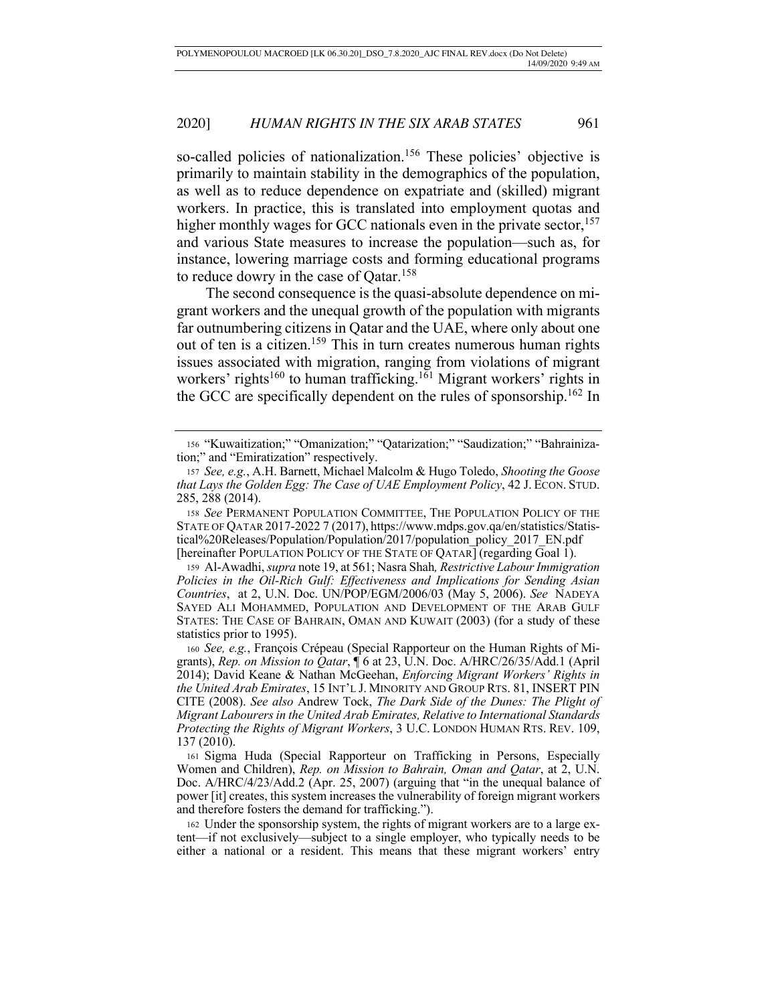so-called policies of nationalization.<sup>156</sup> These policies' objective is primarily to maintain stability in the demographics of the population, as well as to reduce dependence on expatriate and (skilled) migrant workers. In practice, this is translated into employment quotas and higher monthly wages for GCC nationals even in the private sector,  $157$ and various State measures to increase the population—such as, for instance, lowering marriage costs and forming educational programs to reduce dowry in the case of Qatar.<sup>158</sup>

The second consequence is the quasi-absolute dependence on migrant workers and the unequal growth of the population with migrants far outnumbering citizens in Qatar and the UAE, where only about one out of ten is a citizen.159 This in turn creates numerous human rights issues associated with migration, ranging from violations of migrant workers' rights<sup>160</sup> to human trafficking.<sup>161</sup> Migrant workers' rights in the GCC are specifically dependent on the rules of sponsorship.162 In

<sup>158</sup> *See* PERMANENT POPULATION COMMITTEE, THE POPULATION POLICY OF THE STATE OF QATAR 2017-2022 7 (2017), https://www.mdps.gov.qa/en/statistics/Statistical%20Releases/Population/Population/2017/population\_policy\_2017\_EN.pdf [hereinafter POPULATION POLICY OF THE STATE OF QATAR] (regarding Goal 1).

<sup>161</sup> Sigma Huda (Special Rapporteur on Trafficking in Persons, Especially Women and Children), *Rep. on Mission to Bahrain, Oman and Qatar*, at 2, U.N. Doc. A/HRC/4/23/Add.2 (Apr. 25, 2007) (arguing that "in the unequal balance of power [it] creates, this system increases the vulnerability of foreign migrant workers and therefore fosters the demand for trafficking.").

<sup>162</sup> Under the sponsorship system, the rights of migrant workers are to a large extent—if not exclusively—subject to a single employer, who typically needs to be either a national or a resident. This means that these migrant workers' entry

<sup>156</sup> "Kuwaitization;" "Omanization;" "Qatarization;" "Saudization;" "Bahrainization;" and "Emiratization" respectively.

<sup>157</sup> *See, e.g.*, A.H. Barnett, Michael Malcolm & Hugo Toledo, *Shooting the Goose that Lays the Golden Egg: The Case of UAE Employment Policy*, 42 J. ECON. STUD. 285, 288 (2014).

<sup>159</sup> Al-Awadhi, *supra* note 19, at 561; Nasra Shah*, Restrictive Labour Immigration Policies in the Oil-Rich Gulf: Effectiveness and Implications for Sending Asian Countries*, at 2, U.N. Doc. UN/POP/EGM/2006/03 (May 5, 2006). *See* NADEYA SAYED ALI MOHAMMED, POPULATION AND DEVELOPMENT OF THE ARAB GULF STATES: THE CASE OF BAHRAIN, OMAN AND KUWAIT (2003) (for a study of these statistics prior to 1995).

<sup>160</sup> *See, e.g.*, François Crépeau (Special Rapporteur on the Human Rights of Migrants), *Rep. on Mission to Qatar*, ¶ 6 at 23, U.N. Doc. A/HRC/26/35/Add.1 (April 2014); David Keane & Nathan McGeehan, *Enforcing Migrant Workers' Rights in the United Arab Emirates*, 15 INT'L J. MINORITY AND GROUP RTS. 81, INSERT PIN CITE (2008). *See also* Andrew Tock, *The Dark Side of the Dunes: The Plight of Migrant Labourers in the United Arab Emirates, Relative to International Standards Protecting the Rights of Migrant Workers*, 3 U.C. LONDON HUMAN RTS. REV. 109, 137 (2010).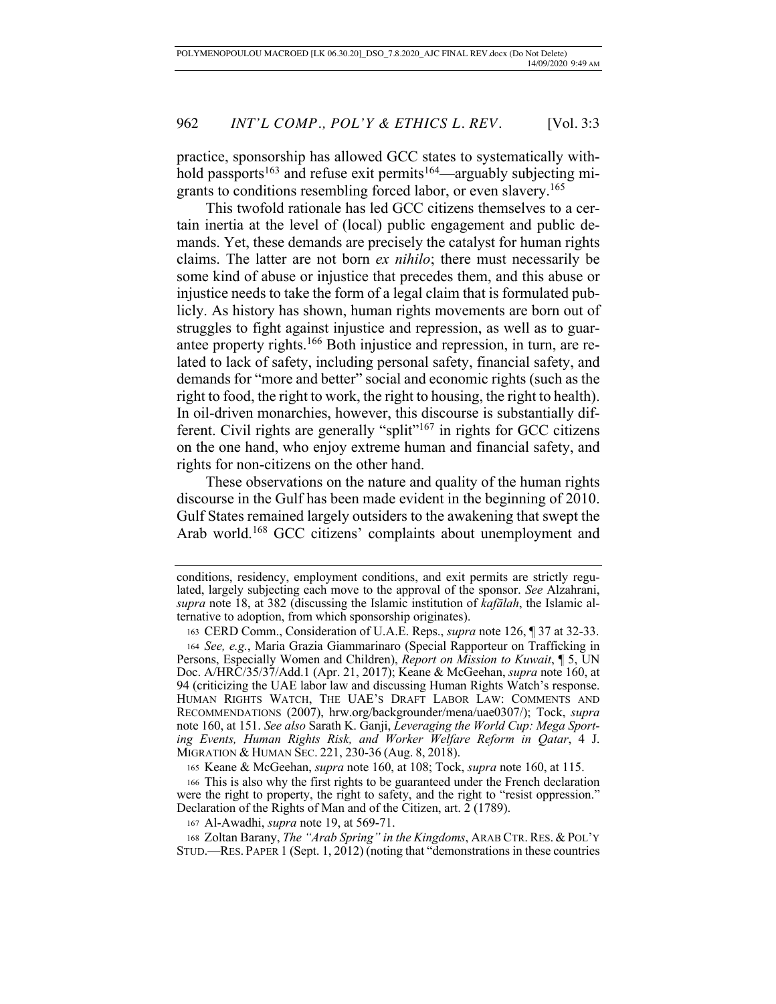practice, sponsorship has allowed GCC states to systematically withhold passports<sup>163</sup> and refuse exit permits<sup>164</sup>—arguably subjecting migrants to conditions resembling forced labor, or even slavery.165

This twofold rationale has led GCC citizens themselves to a certain inertia at the level of (local) public engagement and public demands. Yet, these demands are precisely the catalyst for human rights claims. The latter are not born *ex nihilo*; there must necessarily be some kind of abuse or injustice that precedes them, and this abuse or injustice needs to take the form of a legal claim that is formulated publicly. As history has shown, human rights movements are born out of struggles to fight against injustice and repression, as well as to guarantee property rights.166 Both injustice and repression, in turn, are related to lack of safety, including personal safety, financial safety, and demands for "more and better" social and economic rights (such as the right to food, the right to work, the right to housing, the right to health). In oil-driven monarchies, however, this discourse is substantially different. Civil rights are generally "split"<sup>167</sup> in rights for GCC citizens on the one hand, who enjoy extreme human and financial safety, and rights for non-citizens on the other hand.

These observations on the nature and quality of the human rights discourse in the Gulf has been made evident in the beginning of 2010. Gulf States remained largely outsiders to the awakening that swept the Arab world.168 GCC citizens' complaints about unemployment and

<sup>165</sup> Keane & McGeehan, *supra* note 160, at 108; Tock, *supra* note 160, at 115.

<sup>166</sup> This is also why the first rights to be guaranteed under the French declaration were the right to property, the right to safety, and the right to "resist oppression." Declaration of the Rights of Man and of the Citizen, art.  $2(1789)$ .

<sup>167</sup> Al-Awadhi, *supra* note 19, at 569-71.

<sup>168</sup> Zoltan Barany, *The "Arab Spring" in the Kingdoms*, ARAB CTR. RES. & POL'Y STUD.—RES. PAPER 1 (Sept. 1, 2012) (noting that "demonstrations in these countries

conditions, residency, employment conditions, and exit permits are strictly regulated, largely subjecting each move to the approval of the sponsor. *See* Alzahrani, *supra* note 18, at 382 (discussing the Islamic institution of *kafālah*, the Islamic alternative to adoption, from which sponsorship originates).

<sup>163</sup> CERD Comm., Consideration of U.A.E. Reps., *supra* note 126, ¶ 37 at 32-33.

<sup>164</sup> *See, e.g.*, Maria Grazia Giammarinaro (Special Rapporteur on Trafficking in Persons, Especially Women and Children), *Report on Mission to Kuwait*, ¶ 5, UN Doc. A/HRC/35/37/Add.1 (Apr. 21, 2017); Keane & McGeehan, *supra* note 160, at 94 (criticizing the UAE labor law and discussing Human Rights Watch's response. HUMAN RIGHTS WATCH, THE UAE'S DRAFT LABOR LAW: COMMENTS AND RECOMMENDATIONS (2007), hrw.org/backgrounder/mena/uae0307/); Tock, *supra* note 160, at 151. *See also* Sarath K. Ganji, *Leveraging the World Cup: Mega Sporting Events, Human Rights Risk, and Worker Welfare Reform in Qatar*, 4 J. MIGRATION & HUMAN SEC. 221, 230-36 (Aug. 8, 2018).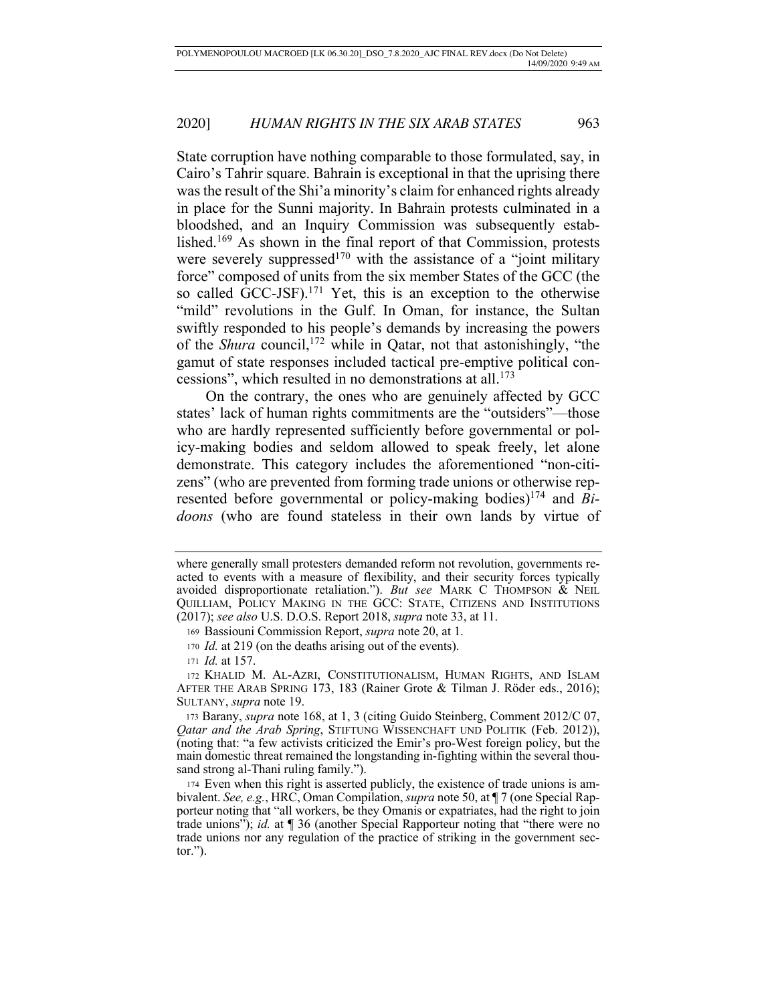State corruption have nothing comparable to those formulated, say, in Cairo's Tahrir square. Bahrain is exceptional in that the uprising there was the result of the Shi'a minority's claim for enhanced rights already in place for the Sunni majority. In Bahrain protests culminated in a bloodshed, and an Inquiry Commission was subsequently established.169 As shown in the final report of that Commission, protests were severely suppressed<sup>170</sup> with the assistance of a "joint military" force" composed of units from the six member States of the GCC (the so called GCC-JSF).<sup>171</sup> Yet, this is an exception to the otherwise "mild" revolutions in the Gulf. In Oman, for instance, the Sultan swiftly responded to his people's demands by increasing the powers of the *Shura* council,172 while in Qatar, not that astonishingly, "the gamut of state responses included tactical pre-emptive political concessions", which resulted in no demonstrations at all.<sup>173</sup>

On the contrary, the ones who are genuinely affected by GCC states' lack of human rights commitments are the "outsiders"—those who are hardly represented sufficiently before governmental or policy-making bodies and seldom allowed to speak freely, let alone demonstrate. This category includes the aforementioned "non-citizens" (who are prevented from forming trade unions or otherwise represented before governmental or policy-making bodies)<sup>174</sup> and  $\overline{Bi}$ *doons* (who are found stateless in their own lands by virtue of

where generally small protesters demanded reform not revolution, governments reacted to events with a measure of flexibility, and their security forces typically avoided disproportionate retaliation."). *But see* MARK C THOMPSON & NEIL QUILLIAM, POLICY MAKING IN THE GCC: STATE, CITIZENS AND INSTITUTIONS (2017); *see also* U.S. D.O.S. Report 2018, *supra* note 33, at 11.

<sup>169</sup> Bassiouni Commission Report, *supra* note 20, at 1.

<sup>170</sup> *Id.* at 219 (on the deaths arising out of the events).

<sup>171</sup> *Id.* at 157.

<sup>172</sup> KHALID M. AL-AZRI, CONSTITUTIONALISM, HUMAN RIGHTS, AND ISLAM AFTER THE ARAB SPRING 173, 183 (Rainer Grote & Tilman J. Röder eds., 2016); SULTANY, *supra* note 19.

<sup>173</sup> Barany, *supra* note 168, at 1, 3 (citing Guido Steinberg, Comment 2012/C 07, *Qatar and the Arab Spring*, STIFTUNG WISSENCHAFT UND POLITIK (Feb. 2012)), (noting that: "a few activists criticized the Emir's pro-West foreign policy, but the main domestic threat remained the longstanding in-fighting within the several thousand strong al-Thani ruling family.").

<sup>174</sup> Even when this right is asserted publicly, the existence of trade unions is ambivalent. *See, e.g.*, HRC, Oman Compilation, *supra* note 50, at ¶ 7 (one Special Rapporteur noting that "all workers, be they Omanis or expatriates, had the right to join trade unions"); *id.* at ¶ 36 (another Special Rapporteur noting that "there were no trade unions nor any regulation of the practice of striking in the government sector.").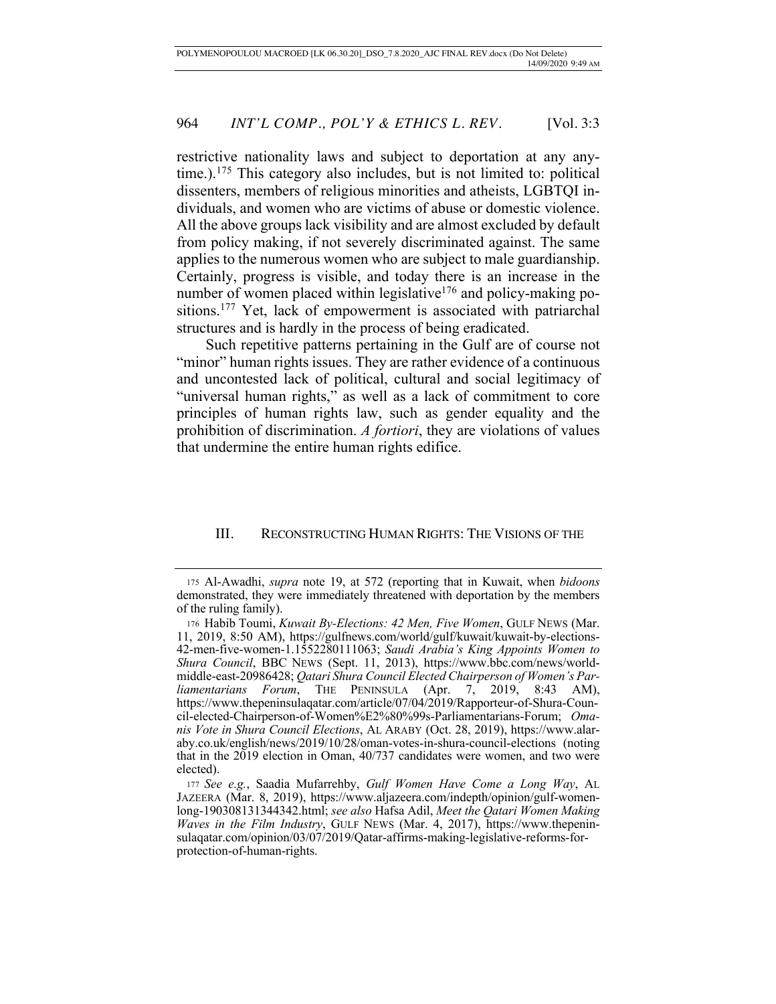restrictive nationality laws and subject to deportation at any anytime.).175 This category also includes, but is not limited to: political dissenters, members of religious minorities and atheists, LGBTQI individuals, and women who are victims of abuse or domestic violence. All the above groups lack visibility and are almost excluded by default from policy making, if not severely discriminated against. The same applies to the numerous women who are subject to male guardianship. Certainly, progress is visible, and today there is an increase in the number of women placed within legislative<sup>176</sup> and policy-making positions.177 Yet, lack of empowerment is associated with patriarchal structures and is hardly in the process of being eradicated.

Such repetitive patterns pertaining in the Gulf are of course not "minor" human rights issues. They are rather evidence of a continuous and uncontested lack of political, cultural and social legitimacy of "universal human rights," as well as a lack of commitment to core principles of human rights law, such as gender equality and the prohibition of discrimination. *A fortiori*, they are violations of values that undermine the entire human rights edifice.

# III. RECONSTRUCTING HUMAN RIGHTS: THE VISIONS OF THE

<sup>175</sup> Al-Awadhi, *supra* note 19, at 572 (reporting that in Kuwait, when *bidoons*  demonstrated, they were immediately threatened with deportation by the members of the ruling family).

<sup>176</sup> Habib Toumi, *Kuwait By-Elections: 42 Men, Five Women*, GULF NEWS (Mar. 11, 2019, 8:50 AM), https://gulfnews.com/world/gulf/kuwait/kuwait-by-elections-42-men-five-women-1.1552280111063; *Saudi Arabia's King Appoints Women to Shura Council*, BBC NEWS (Sept. 11, 2013), https://www.bbc.com/news/worldmiddle-east-20986428; *Qatari Shura Council Elected Chairperson of Women's Parliamentarians Forum*, THE PENINSULA (Apr. 7, 2019, 8:43 AM), https://www.thepeninsulaqatar.com/article/07/04/2019/Rapporteur-of-Shura-Council-elected-Chairperson-of-Women%E2%80%99s-Parliamentarians-Forum; *Omanis Vote in Shura Council Elections*, AL ARABY (Oct. 28, 2019), https://www.alaraby.co.uk/english/news/2019/10/28/oman-votes-in-shura-council-elections (noting that in the 2019 election in Oman, 40/737 candidates were women, and two were elected).

<sup>177</sup> *See e.g.*, Saadia Mufarrehby, *Gulf Women Have Come a Long Way*, AL JAZEERA (Mar. 8, 2019), https://www.aljazeera.com/indepth/opinion/gulf-womenlong-190308131344342.html; *see also* Hafsa Adil, *Meet the Qatari Women Making Waves in the Film Industry*, GULF NEWS (Mar. 4, 2017), https://www.thepeninsulaqatar.com/opinion/03/07/2019/Qatar-affirms-making-legislative-reforms-forprotection-of-human-rights.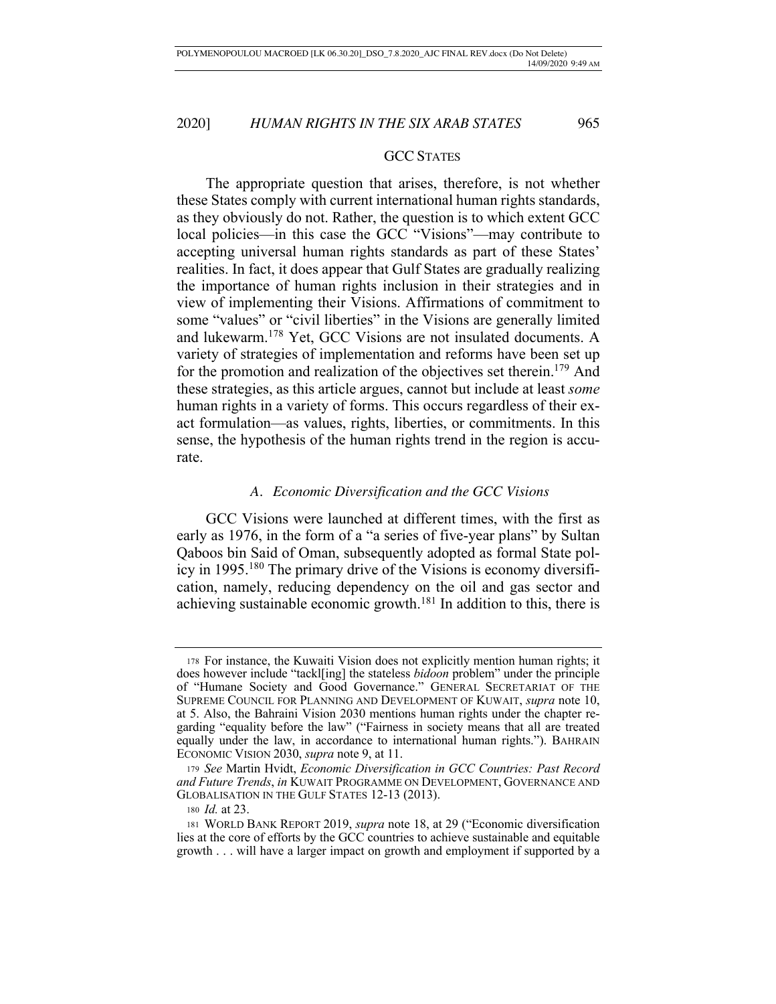# GCC STATES

The appropriate question that arises, therefore, is not whether these States comply with current international human rights standards, as they obviously do not. Rather, the question is to which extent GCC local policies—in this case the GCC "Visions"—may contribute to accepting universal human rights standards as part of these States' realities. In fact, it does appear that Gulf States are gradually realizing the importance of human rights inclusion in their strategies and in view of implementing their Visions. Affirmations of commitment to some "values" or "civil liberties" in the Visions are generally limited and lukewarm.178 Yet, GCC Visions are not insulated documents. A variety of strategies of implementation and reforms have been set up for the promotion and realization of the objectives set therein.<sup>179</sup> And these strategies, as this article argues, cannot but include at least *some*  human rights in a variety of forms. This occurs regardless of their exact formulation—as values, rights, liberties, or commitments. In this sense, the hypothesis of the human rights trend in the region is accurate.

### *A. Economic Diversification and the GCC Visions*

GCC Visions were launched at different times, with the first as early as 1976, in the form of a "a series of five-year plans" by Sultan Qaboos bin Said of Oman, subsequently adopted as formal State policy in 1995.180 The primary drive of the Visions is economy diversification, namely, reducing dependency on the oil and gas sector and achieving sustainable economic growth.<sup>181</sup> In addition to this, there is

<sup>178</sup> For instance, the Kuwaiti Vision does not explicitly mention human rights; it does however include "tackl[ing] the stateless *bidoon* problem" under the principle of "Humane Society and Good Governance." GENERAL SECRETARIAT OF THE SUPREME COUNCIL FOR PLANNING AND DEVELOPMENT OF KUWAIT, *supra* note 10, at 5. Also, the Bahraini Vision 2030 mentions human rights under the chapter regarding "equality before the law" ("Fairness in society means that all are treated equally under the law, in accordance to international human rights."). BAHRAIN ECONOMIC VISION 2030, *supra* note 9, at 11.

<sup>179</sup> *See* Martin Hvidt, *Economic Diversification in GCC Countries: Past Record and Future Trends*, *in* KUWAIT PROGRAMME ON DEVELOPMENT, GOVERNANCE AND GLOBALISATION IN THE GULF STATES 12-13 (2013).

<sup>180</sup> *Id.* at 23.

<sup>181</sup> WORLD BANK REPORT 2019, *supra* note 18, at 29 ("Economic diversification lies at the core of efforts by the GCC countries to achieve sustainable and equitable growth . . . will have a larger impact on growth and employment if supported by a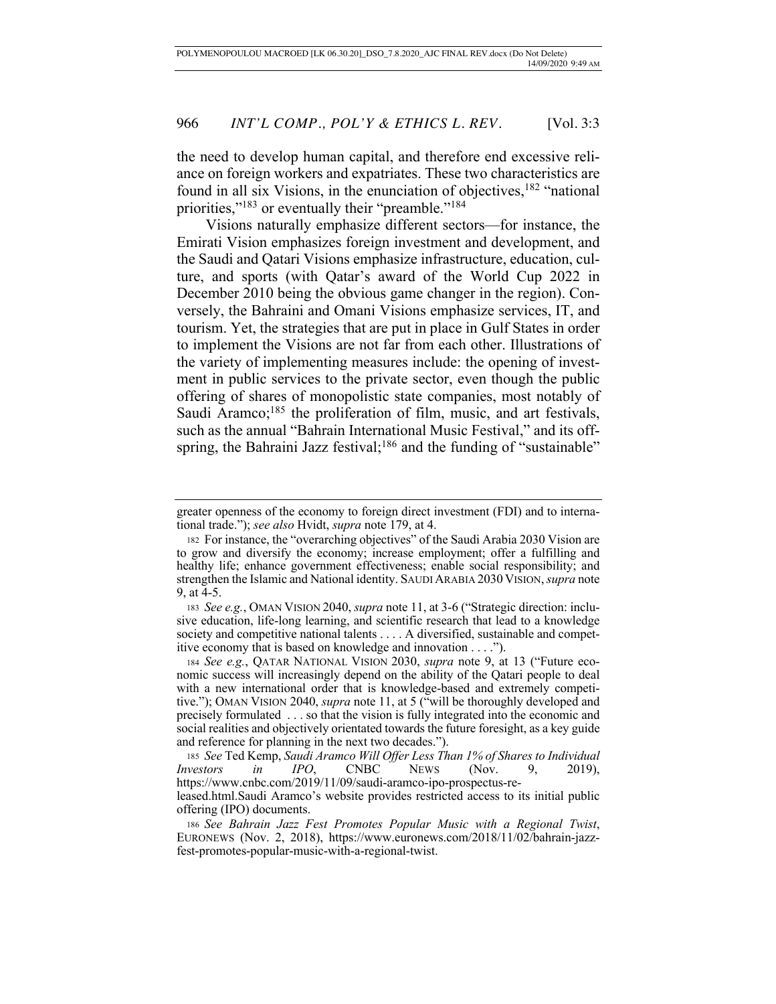the need to develop human capital, and therefore end excessive reliance on foreign workers and expatriates. These two characteristics are found in all six Visions, in the enunciation of objectives,  $182$  "national priorities,"<sup>183</sup> or eventually their "preamble."<sup>184</sup>

Visions naturally emphasize different sectors—for instance, the Emirati Vision emphasizes foreign investment and development, and the Saudi and Qatari Visions emphasize infrastructure, education, culture, and sports (with Qatar's award of the World Cup 2022 in December 2010 being the obvious game changer in the region). Conversely, the Bahraini and Omani Visions emphasize services, IT, and tourism. Yet, the strategies that are put in place in Gulf States in order to implement the Visions are not far from each other. Illustrations of the variety of implementing measures include: the opening of investment in public services to the private sector, even though the public offering of shares of monopolistic state companies, most notably of Saudi Aramco; $185$  the proliferation of film, music, and art festivals, such as the annual "Bahrain International Music Festival," and its offspring, the Bahraini Jazz festival;<sup>186</sup> and the funding of "sustainable"

<sup>185</sup> *See* Ted Kemp, *Saudi Aramco Will Offer Less Than 1% of Shares to Individual Investors in IPO*, CNBC NEWS (Nov. 9, 2019), https://www.cnbc.com/2019/11/09/saudi-aramco-ipo-prospectus-re-

greater openness of the economy to foreign direct investment (FDI) and to international trade."); *see also* Hvidt, *supra* note 179, at 4.

<sup>182</sup> For instance, the "overarching objectives" of the Saudi Arabia 2030 Vision are to grow and diversify the economy; increase employment; offer a fulfilling and healthy life; enhance government effectiveness; enable social responsibility; and strengthen the Islamic and National identity. SAUDI ARABIA 2030 VISION, *supra* note 9, at 4-5.

<sup>183</sup> *See e.g.*, OMAN VISION 2040, *supra* note 11, at 3-6 ("Strategic direction: inclusive education, life-long learning, and scientific research that lead to a knowledge society and competitive national talents . . . . A diversified, sustainable and competitive economy that is based on knowledge and innovation . . . .").

<sup>184</sup> *See e.g.*, QATAR NATIONAL VISION 2030, *supra* note 9, at 13 ("Future economic success will increasingly depend on the ability of the Qatari people to deal with a new international order that is knowledge-based and extremely competitive."); OMAN VISION 2040, *supra* note 11, at 5 ("will be thoroughly developed and precisely formulated . . . so that the vision is fully integrated into the economic and social realities and objectively orientated towards the future foresight, as a key guide and reference for planning in the next two decades.").

leased.html.Saudi Aramco's website provides restricted access to its initial public offering (IPO) documents.

<sup>186</sup> *See Bahrain Jazz Fest Promotes Popular Music with a Regional Twist*, EURONEWS (Nov. 2, 2018), https://www.euronews.com/2018/11/02/bahrain-jazzfest-promotes-popular-music-with-a-regional-twist.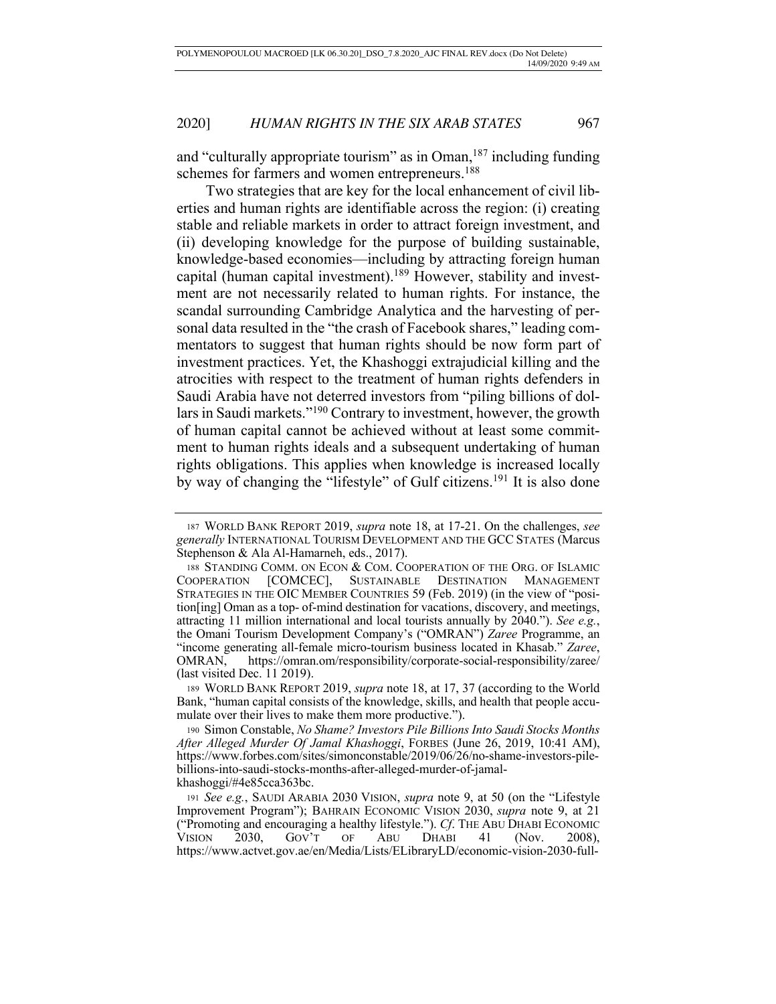and "culturally appropriate tourism" as in Oman,  $187$  including funding schemes for farmers and women entrepreneurs.<sup>188</sup>

 Two strategies that are key for the local enhancement of civil liberties and human rights are identifiable across the region: (i) creating stable and reliable markets in order to attract foreign investment, and (ii) developing knowledge for the purpose of building sustainable, knowledge-based economies—including by attracting foreign human capital (human capital investment).<sup>189</sup> However, stability and investment are not necessarily related to human rights. For instance, the scandal surrounding Cambridge Analytica and the harvesting of personal data resulted in the "the crash of Facebook shares," leading commentators to suggest that human rights should be now form part of investment practices. Yet, the Khashoggi extrajudicial killing and the atrocities with respect to the treatment of human rights defenders in Saudi Arabia have not deterred investors from "piling billions of dollars in Saudi markets."190 Contrary to investment, however, the growth of human capital cannot be achieved without at least some commitment to human rights ideals and a subsequent undertaking of human rights obligations. This applies when knowledge is increased locally by way of changing the "lifestyle" of Gulf citizens.<sup>191</sup> It is also done

<sup>187</sup> WORLD BANK REPORT 2019, *supra* note 18, at 17-21. On the challenges, *see generally* INTERNATIONAL TOURISM DEVELOPMENT AND THE GCC STATES (Marcus Stephenson & Ala Al-Hamarneh, eds., 2017).

<sup>188</sup> STANDING COMM. ON ECON & COM. COOPERATION OF THE ORG. OF ISLAMIC COOPERATION [COMCEC], SUSTAINABLE DESTINATION MANAGEMENT STRATEGIES IN THE OIC MEMBER COUNTRIES 59 (Feb. 2019) (in the view of "position[ing] Oman as a top- of-mind destination for vacations, discovery, and meetings, attracting 11 million international and local tourists annually by 2040."). *See e.g.*, the Omani Tourism Development Company's ("OMRAN") *Zaree* Programme, an "income generating all-female micro-tourism business located in Khasab." *Zaree*, OMRAN, https://omran.om/responsibility/corporate-social-responsibility/zaree/ (last visited Dec. 11 2019).

<sup>189</sup> WORLD BANK REPORT 2019, *supra* note 18, at 17, 37 (according to the World Bank, "human capital consists of the knowledge, skills, and health that people accumulate over their lives to make them more productive.").

<sup>190</sup> Simon Constable, *No Shame? Investors Pile Billions Into Saudi Stocks Months After Alleged Murder Of Jamal Khashoggi*, FORBES (June 26, 2019, 10:41 AM), https://www.forbes.com/sites/simonconstable/2019/06/26/no-shame-investors-pilebillions-into-saudi-stocks-months-after-alleged-murder-of-jamalkhashoggi/#4e85cca363bc.

<sup>191</sup> *See e.g.*, SAUDI ARABIA 2030 VISION, *supra* note 9, at 50 (on the "Lifestyle Improvement Program"); BAHRAIN ECONOMIC VISION 2030, *supra* note 9, at 21 ("Promoting and encouraging a healthy lifestyle."). *Cf*. THE ABU DHABI ECONOMIC VISION 2030, GOV'T OF ABU DHABI 41 (Nov. 2008), https://www.actvet.gov.ae/en/Media/Lists/ELibraryLD/economic-vision-2030-full-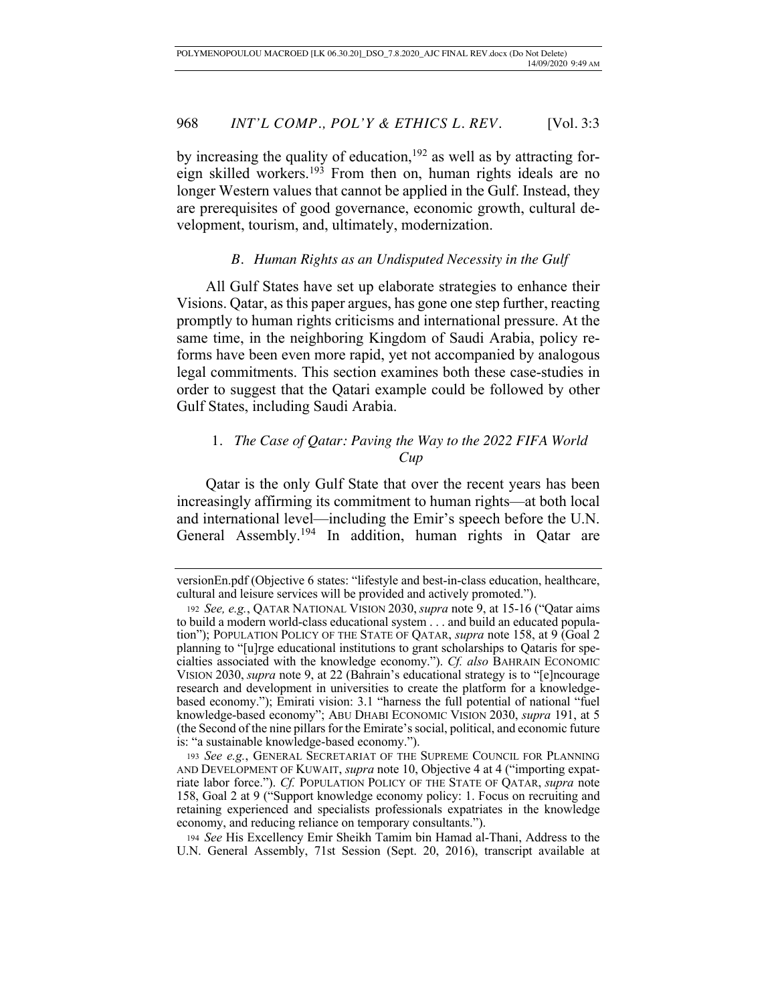by increasing the quality of education,<sup>192</sup> as well as by attracting foreign skilled workers.193 From then on, human rights ideals are no longer Western values that cannot be applied in the Gulf. Instead, they are prerequisites of good governance, economic growth, cultural development, tourism, and, ultimately, modernization.

# *B. Human Rights as an Undisputed Necessity in the Gulf*

All Gulf States have set up elaborate strategies to enhance their Visions. Qatar, as this paper argues, has gone one step further, reacting promptly to human rights criticisms and international pressure. At the same time, in the neighboring Kingdom of Saudi Arabia, policy reforms have been even more rapid, yet not accompanied by analogous legal commitments. This section examines both these case-studies in order to suggest that the Qatari example could be followed by other Gulf States, including Saudi Arabia.

# 1. *The Case of Qatar: Paving the Way to the 2022 FIFA World Cup*

Qatar is the only Gulf State that over the recent years has been increasingly affirming its commitment to human rights—at both local and international level—including the Emir's speech before the U.N. General Assembly.194 In addition, human rights in Qatar are

versionEn.pdf (Objective 6 states: "lifestyle and best-in-class education, healthcare, cultural and leisure services will be provided and actively promoted.").

<sup>192</sup> *See, e.g.*, QATAR NATIONAL VISION 2030, *supra* note 9, at 15-16 ("Qatar aims to build a modern world-class educational system . . . and build an educated population"); POPULATION POLICY OF THE STATE OF QATAR, *supra* note 158, at 9 (Goal 2 planning to "[u]rge educational institutions to grant scholarships to Qataris for specialties associated with the knowledge economy."). *Cf. also* BAHRAIN ECONOMIC VISION 2030, *supra* note 9, at 22 (Bahrain's educational strategy is to "[e]ncourage research and development in universities to create the platform for a knowledgebased economy."); Emirati vision: 3.1 "harness the full potential of national "fuel knowledge-based economy"; ABU DHABI ECONOMIC VISION 2030, *supra* 191, at 5 (the Second of the nine pillars for the Emirate's social, political, and economic future is: "a sustainable knowledge-based economy.").

<sup>193</sup> *See e.g.*, GENERAL SECRETARIAT OF THE SUPREME COUNCIL FOR PLANNING AND DEVELOPMENT OF KUWAIT, *supra* note 10, Objective 4 at 4 ("importing expatriate labor force."). *Cf.* POPULATION POLICY OF THE STATE OF QATAR, *supra* note 158, Goal 2 at 9 ("Support knowledge economy policy: 1. Focus on recruiting and retaining experienced and specialists professionals expatriates in the knowledge economy, and reducing reliance on temporary consultants.").

<sup>194</sup> *See* His Excellency Emir Sheikh Tamim bin Hamad al-Thani, Address to the U.N. General Assembly, 71st Session (Sept. 20, 2016), transcript available at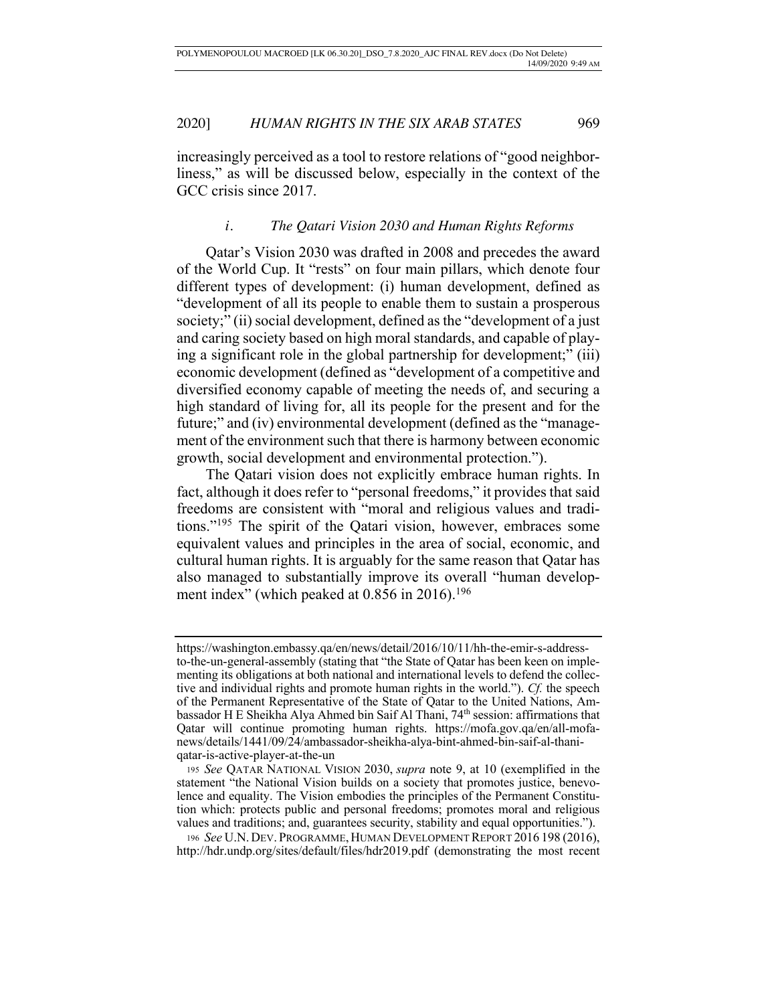increasingly perceived as a tool to restore relations of "good neighborliness," as will be discussed below, especially in the context of the GCC crisis since 2017.

# *i. The Qatari Vision 2030 and Human Rights Reforms*

Qatar's Vision 2030 was drafted in 2008 and precedes the award of the World Cup. It "rests" on four main pillars, which denote four different types of development: (i) human development, defined as "development of all its people to enable them to sustain a prosperous society;" (ii) social development, defined as the "development of a just and caring society based on high moral standards, and capable of playing a significant role in the global partnership for development;" (iii) economic development (defined as "development of a competitive and diversified economy capable of meeting the needs of, and securing a high standard of living for, all its people for the present and for the future;" and (iv) environmental development (defined as the "management of the environment such that there is harmony between economic growth, social development and environmental protection.").

The Qatari vision does not explicitly embrace human rights. In fact, although it does refer to "personal freedoms," it provides that said freedoms are consistent with "moral and religious values and traditions."195 The spirit of the Qatari vision, however, embraces some equivalent values and principles in the area of social, economic, and cultural human rights. It is arguably for the same reason that Qatar has also managed to substantially improve its overall "human development index" (which peaked at 0.856 in 2016).<sup>196</sup>

https://washington.embassy.qa/en/news/detail/2016/10/11/hh-the-emir-s-addressto-the-un-general-assembly (stating that "the State of Qatar has been keen on implementing its obligations at both national and international levels to defend the collective and individual rights and promote human rights in the world."). *Cf.* the speech of the Permanent Representative of the State of Qatar to the United Nations, Ambassador H E Sheikha Alya Ahmed bin Saif Al Thani, 74<sup>th</sup> session: affirmations that Qatar will continue promoting human rights. https://mofa.gov.qa/en/all-mofanews/details/1441/09/24/ambassador-sheikha-alya-bint-ahmed-bin-saif-al-thaniqatar-is-active-player-at-the-un

<sup>195</sup> *See* QATAR NATIONAL VISION 2030, *supra* note 9, at 10 (exemplified in the statement "the National Vision builds on a society that promotes justice, benevolence and equality. The Vision embodies the principles of the Permanent Constitution which: protects public and personal freedoms; promotes moral and religious values and traditions; and, guarantees security, stability and equal opportunities.").

<sup>196</sup> *See* U.N. DEV. PROGRAMME, HUMAN DEVELOPMENT REPORT 2016 198 (2016), http://hdr.undp.org/sites/default/files/hdr2019.pdf (demonstrating the most recent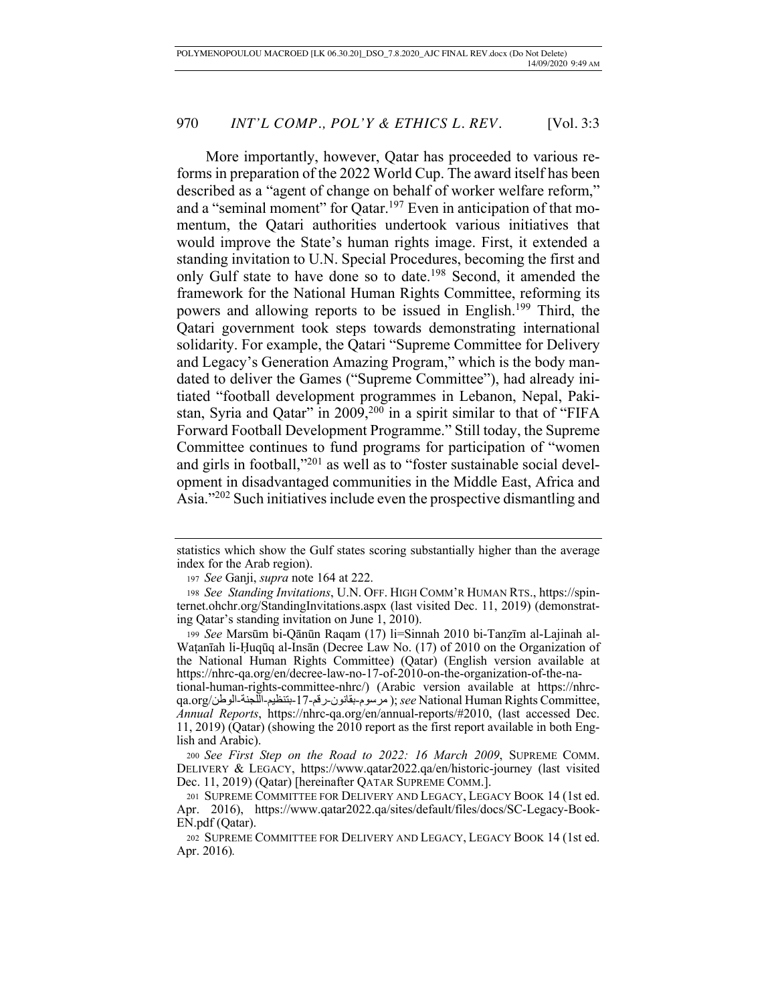More importantly, however, Qatar has proceeded to various reforms in preparation of the 2022 World Cup. The award itself has been described as a "agent of change on behalf of worker welfare reform," and a "seminal moment" for Qatar.<sup>197</sup> Even in anticipation of that momentum, the Qatari authorities undertook various initiatives that would improve the State's human rights image. First, it extended a standing invitation to U.N. Special Procedures, becoming the first and only Gulf state to have done so to date.<sup>198</sup> Second, it amended the framework for the National Human Rights Committee, reforming its powers and allowing reports to be issued in English.199 Third, the Qatari government took steps towards demonstrating international solidarity. For example, the Qatari "Supreme Committee for Delivery and Legacy's Generation Amazing Program," which is the body mandated to deliver the Games ("Supreme Committee"), had already initiated "football development programmes in Lebanon, Nepal, Pakistan, Syria and Qatar" in  $2009,^{200}$  in a spirit similar to that of "FIFA Forward Football Development Programme." Still today, the Supreme Committee continues to fund programs for participation of "women and girls in football,"201 as well as to "foster sustainable social development in disadvantaged communities in the Middle East, Africa and Asia."202 Such initiatives include even the prospective dismantling and

tional-human-rights-committee-nhrc/) (Arabic version available at https://nhrcqa.org/ نطولا - ةنجللا - میظنتب -17- مقر - نوناقب - موسرم ;( *see* National Human Rights Committee, *Annual Reports*, https://nhrc-qa.org/en/annual-reports/#2010, (last accessed Dec. 11, 2019) (Qatar) (showing the 2010 report as the first report available in both English and Arabic).

<sup>200</sup> *See First Step on the Road to 2022: 16 March 2009*, SUPREME COMM. DELIVERY & LEGACY, https://www.qatar2022.qa/en/historic-journey (last visited Dec. 11, 2019) (Qatar) [hereinafter QATAR SUPREME COMM.].

statistics which show the Gulf states scoring substantially higher than the average index for the Arab region).

<sup>197</sup> *See* Ganji, *supra* note 164 at 222.

<sup>198</sup> *See Standing Invitations*, U.N. OFF. HIGH COMM'R HUMAN RTS., https://spinternet.ohchr.org/StandingInvitations.aspx (last visited Dec. 11, 2019) (demonstrating Qatar's standing invitation on June 1, 2010).

<sup>199</sup> *See* Marsūm bi-Qānūn Raqam (17) li=Sinnah 2010 bi-Tanẓīm al-Lajinah al-Waṭanīah li-Ḥuqūq al-Insān (Decree Law No. (17) of 2010 on the Organization of the National Human Rights Committee) (Qatar) (English version available at https://nhrc-qa.org/en/decree-law-no-17-of-2010-on-the-organization-of-the-na-

<sup>201</sup> SUPREME COMMITTEE FOR DELIVERY AND LEGACY, LEGACY BOOK 14 (1st ed. Apr. 2016), https://www.qatar2022.qa/sites/default/files/docs/SC-Legacy-Book-EN.pdf (Qatar).

<sup>202</sup> SUPREME COMMITTEE FOR DELIVERY AND LEGACY, LEGACY BOOK 14 (1st ed. Apr. 2016)*.*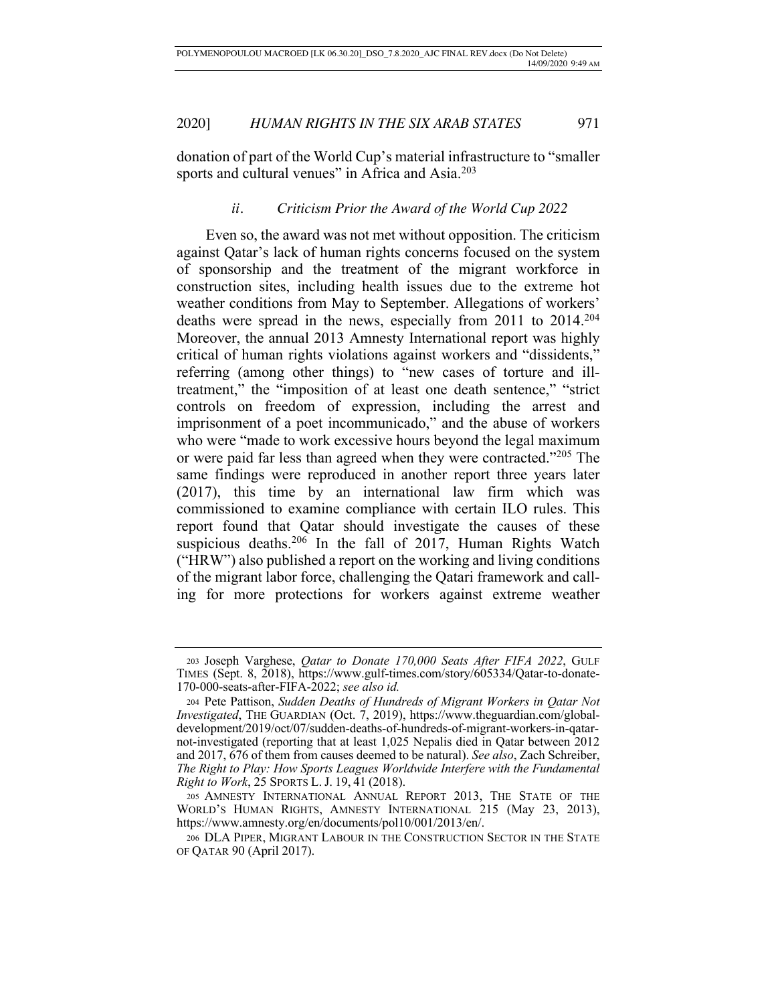donation of part of the World Cup's material infrastructure to "smaller sports and cultural venues" in Africa and Asia.<sup>203</sup>

# *ii. Criticism Prior the Award of the World Cup 2022*

Even so, the award was not met without opposition. The criticism against Qatar's lack of human rights concerns focused on the system of sponsorship and the treatment of the migrant workforce in construction sites, including health issues due to the extreme hot weather conditions from May to September. Allegations of workers' deaths were spread in the news, especially from 2011 to 2014.204 Moreover, the annual 2013 Amnesty International report was highly critical of human rights violations against workers and "dissidents," referring (among other things) to "new cases of torture and illtreatment," the "imposition of at least one death sentence," "strict controls on freedom of expression, including the arrest and imprisonment of a poet incommunicado," and the abuse of workers who were "made to work excessive hours beyond the legal maximum or were paid far less than agreed when they were contracted."205 The same findings were reproduced in another report three years later (2017), this time by an international law firm which was commissioned to examine compliance with certain ILO rules. This report found that Qatar should investigate the causes of these suspicious deaths.<sup>206</sup> In the fall of 2017, Human Rights Watch ("HRW") also published a report on the working and living conditions of the migrant labor force, challenging the Qatari framework and calling for more protections for workers against extreme weather

<sup>203</sup> Joseph Varghese, *Qatar to Donate 170,000 Seats After FIFA 2022*, GULF TIMES (Sept. 8, 2018), https://www.gulf-times.com/story/605334/Qatar-to-donate-170-000-seats-after-FIFA-2022; *see also id.* 

<sup>204</sup> Pete Pattison, *Sudden Deaths of Hundreds of Migrant Workers in Qatar Not Investigated*, THE GUARDIAN (Oct. 7, 2019), https://www.theguardian.com/globaldevelopment/2019/oct/07/sudden-deaths-of-hundreds-of-migrant-workers-in-qatarnot-investigated (reporting that at least 1,025 Nepalis died in Qatar between 2012 and 2017, 676 of them from causes deemed to be natural). *See also*, Zach Schreiber, *The Right to Play: How Sports Leagues Worldwide Interfere with the Fundamental Right to Work*, 25 SPORTS L. J. 19, 41 (2018).

<sup>205</sup> AMNESTY INTERNATIONAL ANNUAL REPORT 2013, THE STATE OF THE WORLD'S HUMAN RIGHTS, AMNESTY INTERNATIONAL 215 (May 23, 2013), https://www.amnesty.org/en/documents/pol10/001/2013/en/.

<sup>206</sup> DLA PIPER, MIGRANT LABOUR IN THE CONSTRUCTION SECTOR IN THE STATE OF QATAR 90 (April 2017).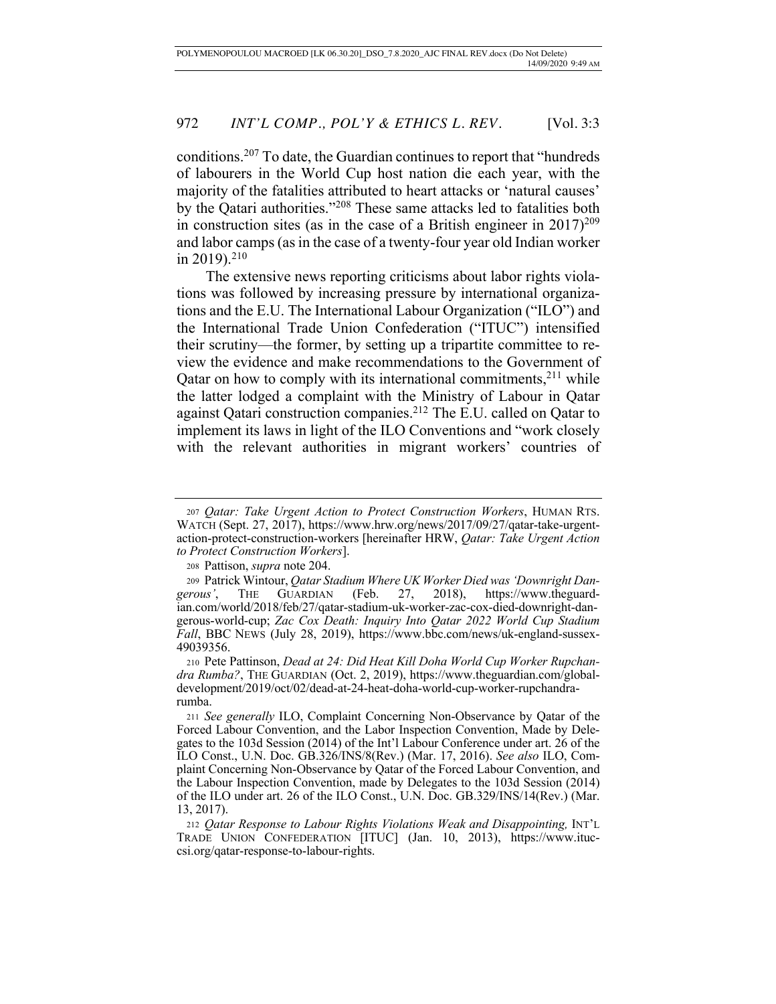conditions.207 To date, the Guardian continues to report that "hundreds of labourers in the World Cup host nation die each year, with the majority of the fatalities attributed to heart attacks or 'natural causes' by the Qatari authorities."208 These same attacks led to fatalities both in construction sites (as in the case of a British engineer in  $2017)^{209}$ and labor camps (as in the case of a twenty-four year old Indian worker in 2019).<sup>210</sup>

The extensive news reporting criticisms about labor rights violations was followed by increasing pressure by international organizations and the E.U. The International Labour Organization ("ILO") and the International Trade Union Confederation ("ITUC") intensified their scrutiny—the former, by setting up a tripartite committee to review the evidence and make recommendations to the Government of Qatar on how to comply with its international commitments, $2^{11}$  while the latter lodged a complaint with the Ministry of Labour in Qatar against Qatari construction companies.212 The E.U. called on Qatar to implement its laws in light of the ILO Conventions and "work closely with the relevant authorities in migrant workers' countries of

<sup>207</sup> *Qatar: Take Urgent Action to Protect Construction Workers*, HUMAN RTS. WATCH (Sept. 27, 2017), https://www.hrw.org/news/2017/09/27/qatar-take-urgentaction-protect-construction-workers [hereinafter HRW, *Qatar: Take Urgent Action to Protect Construction Workers*].

<sup>208</sup> Pattison, *supra* note 204.

<sup>209</sup> Patrick Wintour, *Qatar Stadium Where UK Worker Died was 'Downright Dangerous'*, THE GUARDIAN (Feb. 27, 2018), https://www.theguardian.com/world/2018/feb/27/qatar-stadium-uk-worker-zac-cox-died-downright-dangerous-world-cup; *Zac Cox Death: Inquiry Into Qatar 2022 World Cup Stadium Fall*, BBC NEWS (July 28, 2019), https://www.bbc.com/news/uk-england-sussex-49039356.

<sup>210</sup> Pete Pattinson, *Dead at 24: Did Heat Kill Doha World Cup Worker Rupchandra Rumba?*, THE GUARDIAN (Oct. 2, 2019), https://www.theguardian.com/globaldevelopment/2019/oct/02/dead-at-24-heat-doha-world-cup-worker-rupchandrarumba.

<sup>211</sup> *See generally* ILO, Complaint Concerning Non-Observance by Qatar of the Forced Labour Convention, and the Labor Inspection Convention, Made by Delegates to the 103d Session (2014) of the Int'l Labour Conference under art. 26 of the ILO Const., U.N. Doc. GB.326/INS/8(Rev.) (Mar. 17, 2016). *See also* ILO, Complaint Concerning Non-Observance by Qatar of the Forced Labour Convention, and the Labour Inspection Convention, made by Delegates to the 103d Session (2014) of the ILO under art. 26 of the ILO Const., U.N. Doc. GB.329/INS/14(Rev.) (Mar. 13, 2017).

<sup>212</sup> *Qatar Response to Labour Rights Violations Weak and Disappointing,* INT'L TRADE UNION CONFEDERATION [ITUC] (Jan. 10, 2013), https://www.ituccsi.org/qatar-response-to-labour-rights.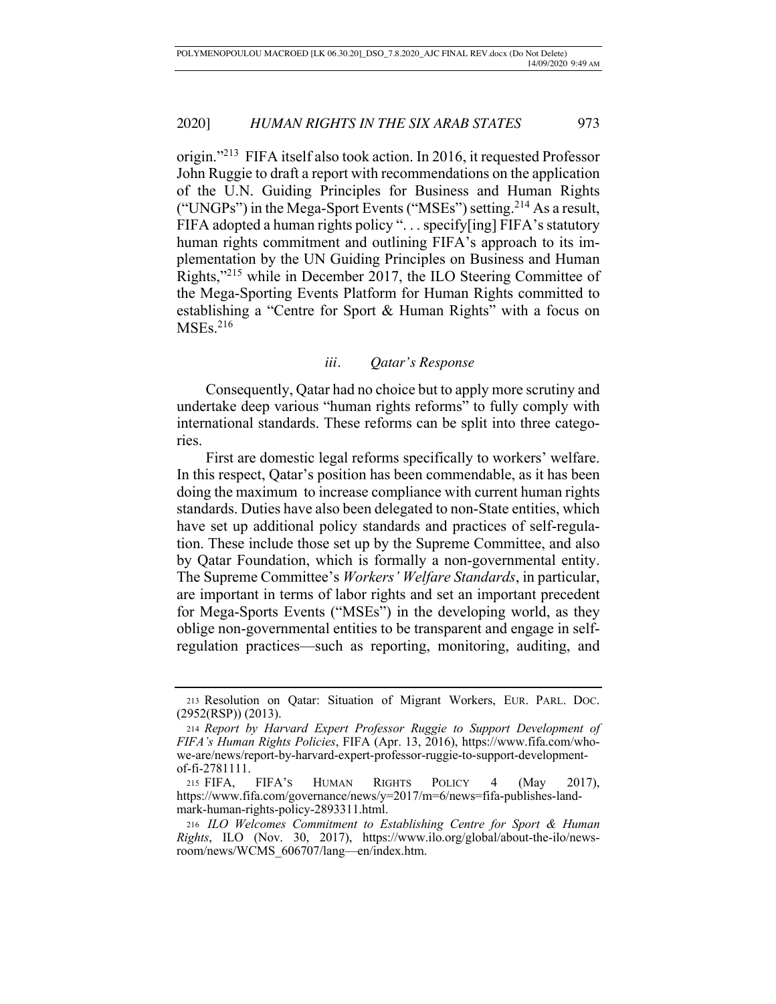origin."213 FIFA itself also took action. In 2016, it requested Professor John Ruggie to draft a report with recommendations on the application of the U.N. Guiding Principles for Business and Human Rights ("UNGPs") in the Mega-Sport Events ("MSEs") setting.214 As a result, FIFA adopted a human rights policy ". . . specify[ing] FIFA's statutory human rights commitment and outlining FIFA's approach to its implementation by the UN Guiding Principles on Business and Human Rights,"215 while in December 2017, the ILO Steering Committee of the Mega-Sporting Events Platform for Human Rights committed to establishing a "Centre for Sport & Human Rights" with a focus on  $MSEs.<sup>216</sup>$ 

# *iii. Qatar's Response*

Consequently, Qatar had no choice but to apply more scrutiny and undertake deep various "human rights reforms" to fully comply with international standards. These reforms can be split into three categories.

First are domestic legal reforms specifically to workers' welfare. In this respect, Qatar's position has been commendable, as it has been doing the maximum to increase compliance with current human rights standards. Duties have also been delegated to non-State entities, which have set up additional policy standards and practices of self-regulation. These include those set up by the Supreme Committee, and also by Qatar Foundation, which is formally a non-governmental entity. The Supreme Committee's *Workers' Welfare Standards*, in particular, are important in terms of labor rights and set an important precedent for Mega-Sports Events ("MSEs") in the developing world, as they oblige non-governmental entities to be transparent and engage in selfregulation practices—such as reporting, monitoring, auditing, and

<sup>213</sup> Resolution on Qatar: Situation of Migrant Workers, EUR. PARL. DOC. (2952(RSP)) (2013).

<sup>214</sup> *Report by Harvard Expert Professor Ruggie to Support Development of FIFA's Human Rights Policies*, FIFA (Apr. 13, 2016), https://www.fifa.com/whowe-are/news/report-by-harvard-expert-professor-ruggie-to-support-developmentof-fi-2781111.

<sup>215</sup> FIFA, FIFA'S HUMAN RIGHTS POLICY 4 (May 2017), https://www.fifa.com/governance/news/y=2017/m=6/news=fifa-publishes-landmark-human-rights-policy-2893311.html.

<sup>216</sup> *ILO Welcomes Commitment to Establishing Centre for Sport & Human Rights*, ILO (Nov. 30, 2017), https://www.ilo.org/global/about-the-ilo/newsroom/news/WCMS\_606707/lang—en/index.htm.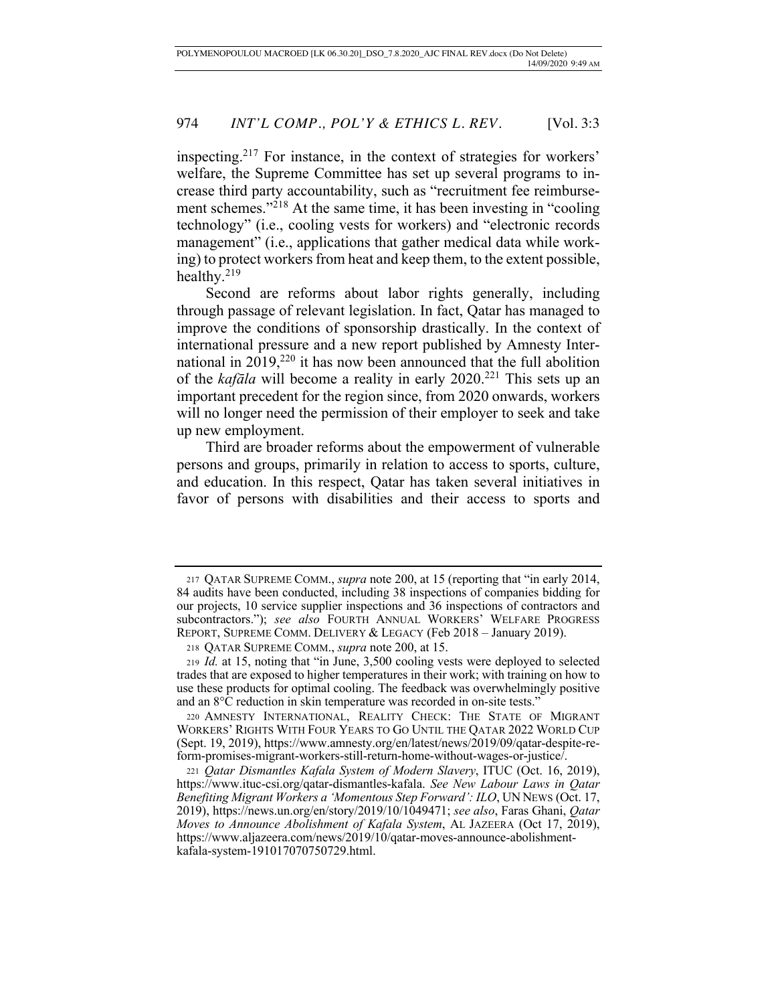inspecting.217 For instance, in the context of strategies for workers' welfare, the Supreme Committee has set up several programs to increase third party accountability, such as "recruitment fee reimbursement schemes."<sup>218</sup> At the same time, it has been investing in "cooling" technology" (i.e., cooling vests for workers) and "electronic records management" (i.e., applications that gather medical data while working) to protect workers from heat and keep them, to the extent possible, healthy.219

Second are reforms about labor rights generally, including through passage of relevant legislation. In fact, Qatar has managed to improve the conditions of sponsorship drastically. In the context of international pressure and a new report published by Amnesty International in  $2019$ <sup>220</sup> it has now been announced that the full abolition of the *kafāla* will become a reality in early 2020.221 This sets up an important precedent for the region since, from 2020 onwards, workers will no longer need the permission of their employer to seek and take up new employment.

Third are broader reforms about the empowerment of vulnerable persons and groups, primarily in relation to access to sports, culture, and education. In this respect, Qatar has taken several initiatives in favor of persons with disabilities and their access to sports and

<sup>217</sup> QATAR SUPREME COMM., *supra* note 200, at 15 (reporting that "in early 2014, 84 audits have been conducted, including 38 inspections of companies bidding for our projects, 10 service supplier inspections and 36 inspections of contractors and subcontractors."); see also FOURTH ANNUAL WORKERS' WELFARE PROGRESS REPORT, SUPREME COMM. DELIVERY & LEGACY (Feb 2018 – January 2019).

<sup>218</sup> QATAR SUPREME COMM., *supra* note 200, at 15.

<sup>219</sup> *Id.* at 15, noting that "in June, 3,500 cooling vests were deployed to selected trades that are exposed to higher temperatures in their work; with training on how to use these products for optimal cooling. The feedback was overwhelmingly positive and an 8°C reduction in skin temperature was recorded in on-site tests."

<sup>220</sup> AMNESTY INTERNATIONAL, REALITY CHECK: THE STATE OF MIGRANT WORKERS' RIGHTS WITH FOUR YEARS TO GO UNTIL THE QATAR 2022 WORLD CUP (Sept. 19, 2019), https://www.amnesty.org/en/latest/news/2019/09/qatar-despite-reform-promises-migrant-workers-still-return-home-without-wages-or-justice/.

<sup>221</sup> *Qatar Dismantles Kafala System of Modern Slavery*, ITUC (Oct. 16, 2019), https://www.ituc-csi.org/qatar-dismantles-kafala. *See New Labour Laws in Qatar Benefiting Migrant Workers a 'Momentous Step Forward': ILO*, UN NEWS (Oct. 17, 2019), https://news.un.org/en/story/2019/10/1049471; *see also*, Faras Ghani, *Qatar Moves to Announce Abolishment of Kafala System*, AL JAZEERA (Oct 17, 2019), https://www.aljazeera.com/news/2019/10/qatar-moves-announce-abolishmentkafala-system-191017070750729.html.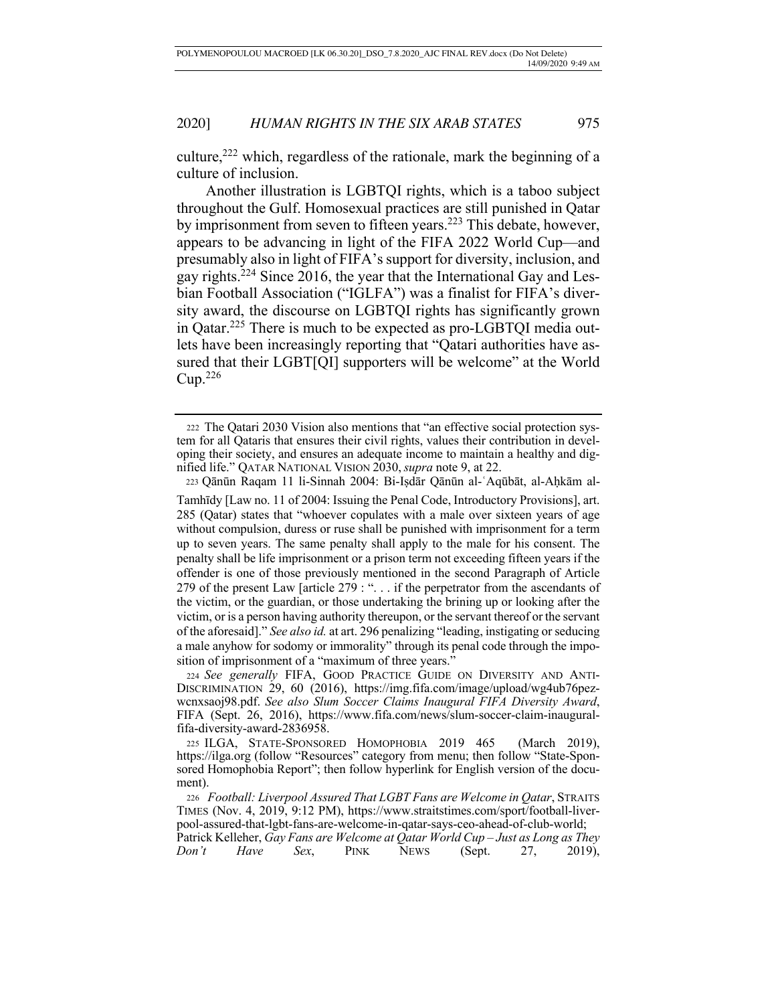culture,<sup>222</sup> which, regardless of the rationale, mark the beginning of a culture of inclusion.

Another illustration is LGBTQI rights, which is a taboo subject throughout the Gulf. Homosexual practices are still punished in Qatar by imprisonment from seven to fifteen years.<sup>223</sup> This debate, however, appears to be advancing in light of the FIFA 2022 World Cup—and presumably also in light of FIFA's support for diversity, inclusion, and gay rights.224 Since 2016, the year that the International Gay and Lesbian Football Association ("IGLFA") was a finalist for FIFA's diversity award, the discourse on LGBTQI rights has significantly grown in Qatar.225 There is much to be expected as pro-LGBTQI media outlets have been increasingly reporting that "Qatari authorities have assured that their LGBT[QI] supporters will be welcome" at the World  $Cup.<sup>226</sup>$ 

<sup>222</sup> The Qatari 2030 Vision also mentions that "an effective social protection system for all Qataris that ensures their civil rights, values their contribution in developing their society, and ensures an adequate income to maintain a healthy and dignified life." QATAR NATIONAL VISION 2030, *supra* note 9, at 22.

 <sup>223</sup> Qānūn Raqam 11 li-Sinnah 2004: Bi-Iṣdār Qānūn al-ʿAqūbāt, al-Aḥkām al-

Tamhīdy [Law no. 11 of 2004: Issuing the Penal Code, Introductory Provisions], art. 285 (Qatar) states that "whoever copulates with a male over sixteen years of age without compulsion, duress or ruse shall be punished with imprisonment for a term up to seven years. The same penalty shall apply to the male for his consent. The penalty shall be life imprisonment or a prison term not exceeding fifteen years if the offender is one of those previously mentioned in the second Paragraph of Article 279 of the present Law [article 279 : ". . . if the perpetrator from the ascendants of the victim, or the guardian, or those undertaking the brining up or looking after the victim, or is a person having authority thereupon, or the servant thereof or the servant of the aforesaid]." *See also id.* at art. 296 penalizing "leading, instigating or seducing a male anyhow for sodomy or immorality" through its penal code through the imposition of imprisonment of a "maximum of three years."

<sup>224</sup> *See generally* FIFA, GOOD PRACTICE GUIDE ON DIVERSITY AND ANTI-DISCRIMINATION 29, 60 (2016), https://img.fifa.com/image/upload/wg4ub76pezwcnxsaoj98.pdf. *See also Slum Soccer Claims Inaugural FIFA Diversity Award*, FIFA (Sept. 26, 2016), https://www.fifa.com/news/slum-soccer-claim-inauguralfifa-diversity-award-2836958.

<sup>225</sup> ILGA, STATE-SPONSORED HOMOPHOBIA 2019 465 (March 2019), https://ilga.org (follow "Resources" category from menu; then follow "State-Sponsored Homophobia Report"; then follow hyperlink for English version of the document).

<sup>226</sup> *Football: Liverpool Assured That LGBT Fans are Welcome in Qatar*, STRAITS TIMES (Nov. 4, 2019, 9:12 PM), https://www.straitstimes.com/sport/football-liverpool-assured-that-lgbt-fans-are-welcome-in-qatar-says-ceo-ahead-of-club-world;

Patrick Kelleher, *Gay Fans are Welcome at Qatar World Cup – Just as Long as They Don't Have Sex*, PINK NEWS (Sept. 27, 2019),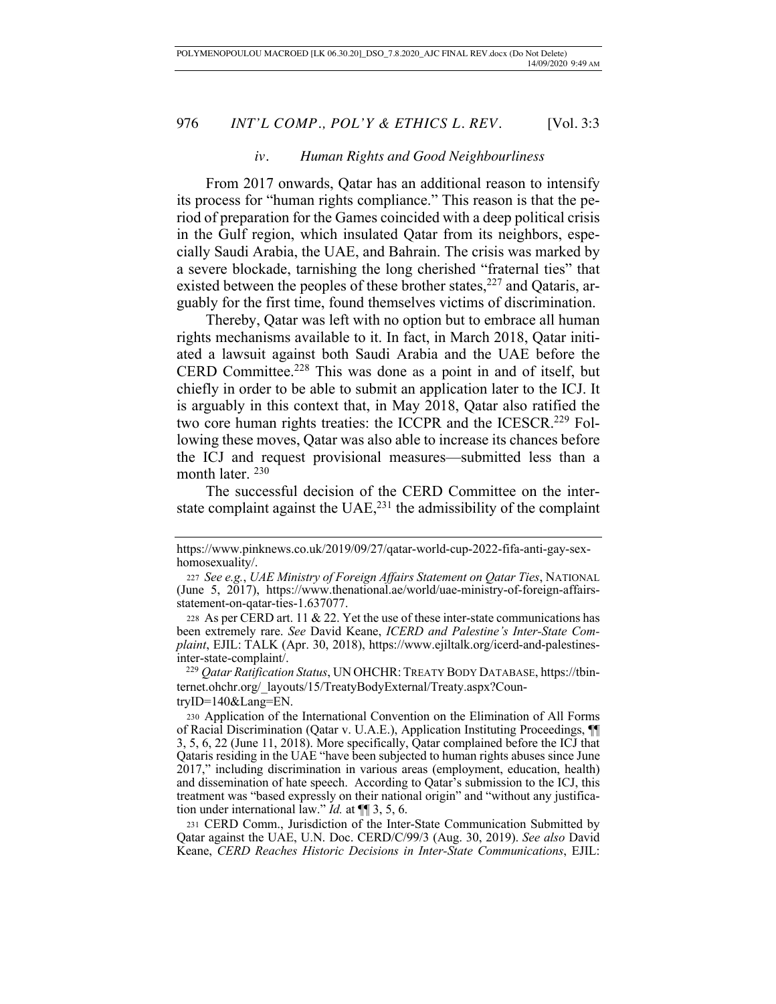#### *iv. Human Rights and Good Neighbourliness*

From 2017 onwards, Qatar has an additional reason to intensify its process for "human rights compliance." This reason is that the period of preparation for the Games coincided with a deep political crisis in the Gulf region, which insulated Qatar from its neighbors, especially Saudi Arabia, the UAE, and Bahrain. The crisis was marked by a severe blockade, tarnishing the long cherished "fraternal ties" that existed between the peoples of these brother states, $227$  and Qataris, arguably for the first time, found themselves victims of discrimination.

Thereby, Qatar was left with no option but to embrace all human rights mechanisms available to it. In fact, in March 2018, Qatar initiated a lawsuit against both Saudi Arabia and the UAE before the CERD Committee.<sup>228</sup> This was done as a point in and of itself, but chiefly in order to be able to submit an application later to the ICJ. It is arguably in this context that, in May 2018, Qatar also ratified the two core human rights treaties: the ICCPR and the ICESCR.<sup>229</sup> Following these moves, Qatar was also able to increase its chances before the ICJ and request provisional measures—submitted less than a month later.  $^{230}$ 

The successful decision of the CERD Committee on the interstate complaint against the  $UAE<sub>z</sub><sup>231</sup>$  the admissibility of the complaint

 229 *Qatar Ratification Status*, UN OHCHR: TREATY BODY DATABASE, https://tbinternet.ohchr.org/\_layouts/15/TreatyBodyExternal/Treaty.aspx?CountryID=140&Lang=EN.

https://www.pinknews.co.uk/2019/09/27/qatar-world-cup-2022-fifa-anti-gay-sexhomosexuality/.

<sup>227</sup> *See e.g.*, *UAE Ministry of Foreign Affairs Statement on Qatar Ties*, NATIONAL (June 5, 2017), https://www.thenational.ae/world/uae-ministry-of-foreign-affairsstatement-on-qatar-ties-1.637077.

<sup>228</sup> As per CERD art. 11 & 22. Yet the use of these inter-state communications has been extremely rare. *See* David Keane, *ICERD and Palestine's Inter-State Complaint*, EJIL: TALK (Apr. 30, 2018), https://www.ejiltalk.org/icerd-and-palestinesinter-state-complaint/.

<sup>230</sup> Application of the International Convention on the Elimination of All Forms of Racial Discrimination (Qatar v. U.A.E.), Application Instituting Proceedings, ¶¶ 3, 5, 6, 22 (June 11, 2018). More specifically, Qatar complained before the ICJ that Qataris residing in the UAE "have been subjected to human rights abuses since June 2017," including discrimination in various areas (employment, education, health) and dissemination of hate speech. According to Qatar's submission to the ICJ, this treatment was "based expressly on their national origin" and "without any justification under international law." *Id.* at ¶¶ 3, 5, 6.

<sup>231</sup> CERD Comm., Jurisdiction of the Inter-State Communication Submitted by Qatar against the UAE, U.N. Doc. CERD/C/99/3 (Aug. 30, 2019). *See also* David Keane, *CERD Reaches Historic Decisions in Inter-State Communications*, EJIL: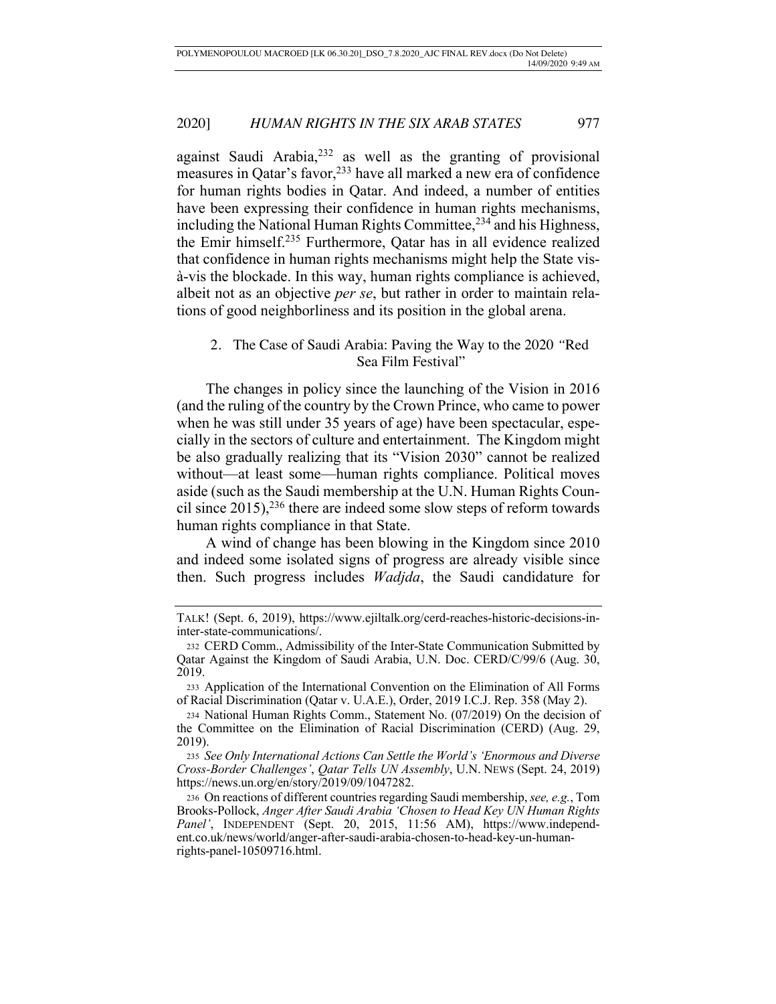against Saudi Arabia,232 as well as the granting of provisional measures in Qatar's favor,233 have all marked a new era of confidence for human rights bodies in Qatar. And indeed, a number of entities have been expressing their confidence in human rights mechanisms, including the National Human Rights Committee,<sup>234</sup> and his Highness, the Emir himself.235 Furthermore, Qatar has in all evidence realized that confidence in human rights mechanisms might help the State visà-vis the blockade. In this way, human rights compliance is achieved, albeit not as an objective *per se*, but rather in order to maintain relations of good neighborliness and its position in the global arena.

# 2. The Case of Saudi Arabia: Paving the Way to the 2020 *"*Red Sea Film Festival"

The changes in policy since the launching of the Vision in 2016 (and the ruling of the country by the Crown Prince, who came to power when he was still under 35 years of age) have been spectacular, especially in the sectors of culture and entertainment. The Kingdom might be also gradually realizing that its "Vision 2030" cannot be realized without—at least some—human rights compliance. Political moves aside (such as the Saudi membership at the U.N. Human Rights Council since  $2015$ ,<sup>236</sup> there are indeed some slow steps of reform towards human rights compliance in that State.

A wind of change has been blowing in the Kingdom since 2010 and indeed some isolated signs of progress are already visible since then. Such progress includes *Wadjda*, the Saudi candidature for

<sup>235</sup> *See Only International Actions Can Settle the World's 'Enormous and Diverse Cross-Border Challenges'*, *Qatar Tells UN Assembly*, U.N. NEWS (Sept. 24, 2019) https://news.un.org/en/story/2019/09/1047282.

<sup>236</sup> On reactions of different countries regarding Saudi membership, *see, e.g.*, Tom Brooks-Pollock, *Anger After Saudi Arabia 'Chosen to Head Key UN Human Rights*  Panel', INDEPENDENT (Sept. 20, 2015, 11:56 AM), https://www.independent.co.uk/news/world/anger-after-saudi-arabia-chosen-to-head-key-un-humanrights-panel-10509716.html.

TALK! (Sept. 6, 2019), https://www.ejiltalk.org/cerd-reaches-historic-decisions-ininter-state-communications/.

<sup>232</sup> CERD Comm., Admissibility of the Inter-State Communication Submitted by Qatar Against the Kingdom of Saudi Arabia, U.N. Doc. CERD/C/99/6 (Aug. 30, 2019.

<sup>233</sup> Application of the International Convention on the Elimination of All Forms of Racial Discrimination (Qatar v. U.A.E.), Order, 2019 I.C.J. Rep. 358 (May 2).

<sup>234</sup> National Human Rights Comm., Statement No. (07/2019) On the decision of the Committee on the Elimination of Racial Discrimination (CERD) (Aug. 29, 2019).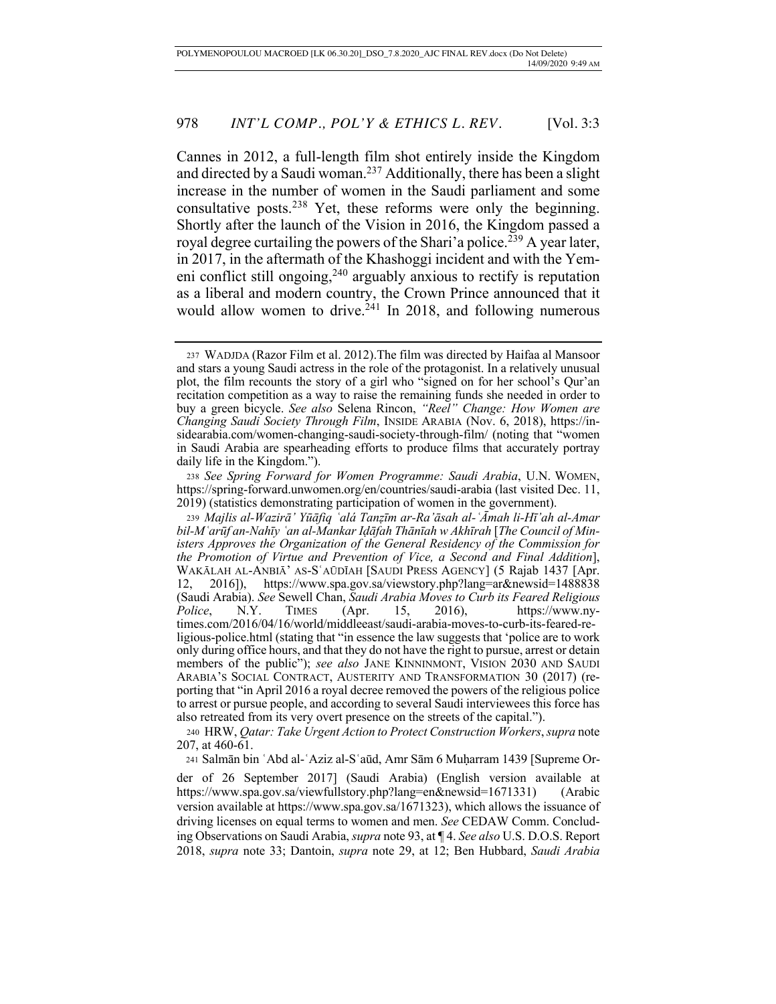Cannes in 2012, a full-length film shot entirely inside the Kingdom and directed by a Saudi woman.237 Additionally, there has been a slight increase in the number of women in the Saudi parliament and some consultative posts.238 Yet, these reforms were only the beginning. Shortly after the launch of the Vision in 2016, the Kingdom passed a royal degree curtailing the powers of the Shari'a police.<sup>239</sup> A year later, in 2017, in the aftermath of the Khashoggi incident and with the Yemeni conflict still ongoing,  $240$  arguably anxious to rectify is reputation as a liberal and modern country, the Crown Prince announced that it would allow women to drive.<sup> $241$ </sup> In 2018, and following numerous

<sup>240</sup> HRW, *Qatar: Take Urgent Action to Protect Construction Workers*, *supra* note 207, at 460-61.

241 Salmān bin ʿAbd al-ʿAziz al-Sʿaūd, Amr Sām 6 Muḥarram 1439 [Supreme Or-

der of 26 September 2017] (Saudi Arabia) (English version available at https://www.spa.gov.sa/viewfullstory.php?lang=en&newsid=1671331) (Arabic version available at https://www.spa.gov.sa/1671323), which allows the issuance of driving licenses on equal terms to women and men. *See* CEDAW Comm. Concluding Observations on Saudi Arabia, *supra* note 93, at ¶ 4. *See also* U.S. D.O.S. Report 2018, *supra* note 33; Dantoin, *supra* note 29, at 12; Ben Hubbard, *Saudi Arabia* 

<sup>237</sup> WADJDA (Razor Film et al. 2012).The film was directed by Haifaa al Mansoor and stars a young Saudi actress in the role of the protagonist. In a relatively unusual plot, the film recounts the story of a girl who "signed on for her school's Qur'an recitation competition as a way to raise the remaining funds she needed in order to buy a green bicycle. *See also* Selena Rincon, *"Reel" Change: How Women are Changing Saudi Society Through Film*, INSIDE ARABIA (Nov. 6, 2018), https://insidearabia.com/women-changing-saudi-society-through-film/ (noting that "women in Saudi Arabia are spearheading efforts to produce films that accurately portray daily life in the Kingdom.").

<sup>238</sup> *See Spring Forward for Women Programme: Saudi Arabia*, U.N. WOMEN, https://spring-forward.unwomen.org/en/countries/saudi-arabia (last visited Dec. 11, 2019) (statistics demonstrating participation of women in the government).

<sup>239</sup> *Majlis al-Wazirā' Yūāfiq ʿalá Tanẓīm ar-Ra'āsah al-ʿĀmah li-Hī'ah al-Amar bil-Mʿarūf an-Nahīy ʿan al-Mankar Iḍāfah Thānīah w Akhīrah* [*The Council of Ministers Approves the Organization of the General Residency of the Commission for the Promotion of Virtue and Prevention of Vice, a Second and Final Addition*], WAKĀLAH AL-ANBIĀ' AS-SʿAŪDĪAH [SAUDI PRESS AGENCY] (5 Rajab 1437 [Apr. 12, 2016]), https://www.spa.gov.sa/viewstory.php?lang=ar&newsid=1488838 (Saudi Arabia). *See* Sewell Chan, *Saudi Arabia Moves to Curb its Feared Religious Police*, N.Y. TIMES (Apr. 15, 2016), https://www.nytimes.com/2016/04/16/world/middleeast/saudi-arabia-moves-to-curb-its-feared-religious-police.html (stating that "in essence the law suggests that 'police are to work only during office hours, and that they do not have the right to pursue, arrest or detain members of the public"); *see also* JANE KINNINMONT, VISION 2030 AND SAUDI ARABIA'S SOCIAL CONTRACT, AUSTERITY AND TRANSFORMATION 30 (2017) (reporting that "in April 2016 a royal decree removed the powers of the religious police to arrest or pursue people, and according to several Saudi interviewees this force has also retreated from its very overt presence on the streets of the capital.").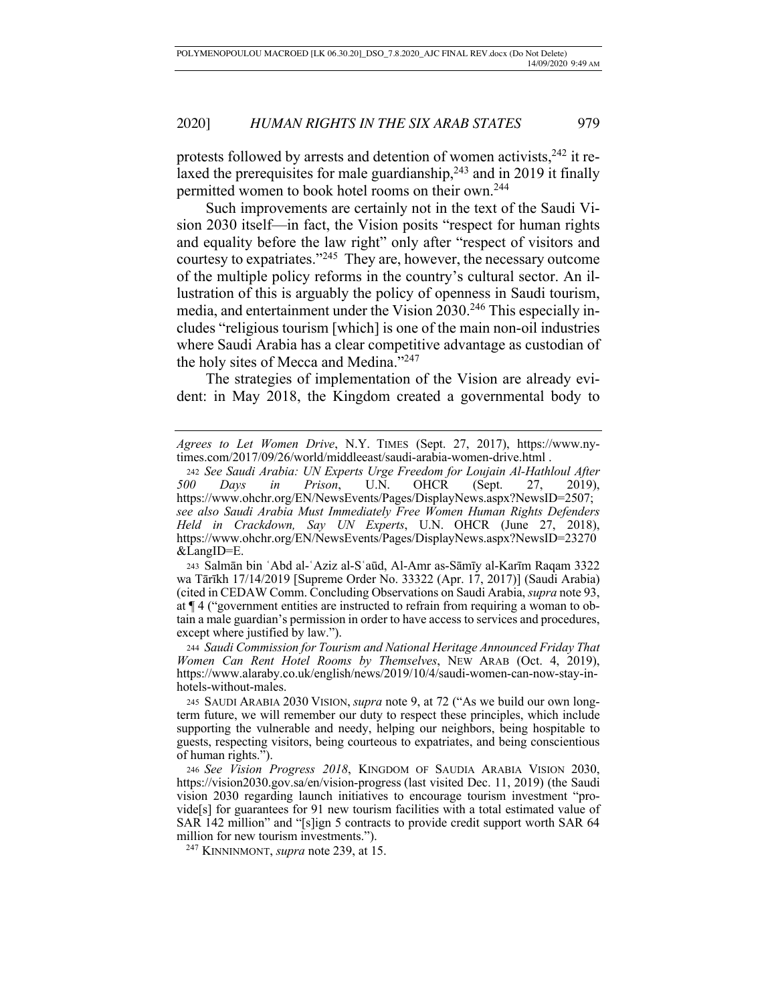protests followed by arrests and detention of women activists,  $242$  it relaxed the prerequisites for male guardianship,  $243$  and in 2019 it finally permitted women to book hotel rooms on their own.244

Such improvements are certainly not in the text of the Saudi Vision 2030 itself—in fact, the Vision posits "respect for human rights and equality before the law right" only after "respect of visitors and courtesy to expatriates."245 They are, however, the necessary outcome of the multiple policy reforms in the country's cultural sector. An illustration of this is arguably the policy of openness in Saudi tourism, media, and entertainment under the Vision 2030.246 This especially includes "religious tourism [which] is one of the main non-oil industries where Saudi Arabia has a clear competitive advantage as custodian of the holy sites of Mecca and Medina."247

The strategies of implementation of the Vision are already evident: in May 2018, the Kingdom created a governmental body to

<sup>243</sup> Salmān bin ʿAbd al-ʿAziz al-Sʿaūd, Al-Amr as-Sāmīy al-Karīm Raqam 3322 wa Tārīkh 17/14/2019 [Supreme Order No. 33322 (Apr. 17, 2017)] (Saudi Arabia) (cited in CEDAW Comm. Concluding Observations on Saudi Arabia, *supra* note 93, at ¶ 4 ("government entities are instructed to refrain from requiring a woman to obtain a male guardian's permission in order to have access to services and procedures, except where justified by law.").

<sup>244</sup> *Saudi Commission for Tourism and National Heritage Announced Friday That Women Can Rent Hotel Rooms by Themselves*, NEW ARAB (Oct. 4, 2019), https://www.alaraby.co.uk/english/news/2019/10/4/saudi-women-can-now-stay-inhotels-without-males.

245 SAUDI ARABIA 2030 VISION, *supra* note 9, at 72 ("As we build our own longterm future, we will remember our duty to respect these principles, which include supporting the vulnerable and needy, helping our neighbors, being hospitable to guests, respecting visitors, being courteous to expatriates, and being conscientious of human rights.").

<sup>246</sup> *See Vision Progress 2018*, KINGDOM OF SAUDIA ARABIA VISION 2030, https://vision2030.gov.sa/en/vision-progress (last visited Dec. 11, 2019) (the Saudi vision 2030 regarding launch initiatives to encourage tourism investment "provide[s] for guarantees for 91 new tourism facilities with a total estimated value of SAR 142 million" and "[s]ign 5 contracts to provide credit support worth SAR 64 million for new tourism investments.").

247 KINNINMONT, *supra* note 239, at 15.

*Agrees to Let Women Drive*, N.Y. TIMES (Sept. 27, 2017), https://www.nytimes.com/2017/09/26/world/middleeast/saudi-arabia-women-drive.html .

<sup>242</sup> *See Saudi Arabia: UN Experts Urge Freedom for Loujain Al-Hathloul After 500 Days in Prison*, U.N. OHCR (Sept. 27, 2019), https://www.ohchr.org/EN/NewsEvents/Pages/DisplayNews.aspx?NewsID=2507; *see also Saudi Arabia Must Immediately Free Women Human Rights Defenders Held in Crackdown, Say UN Experts*, U.N. OHCR (June 27, 2018), https://www.ohchr.org/EN/NewsEvents/Pages/DisplayNews.aspx?NewsID=23270 &LangID=E.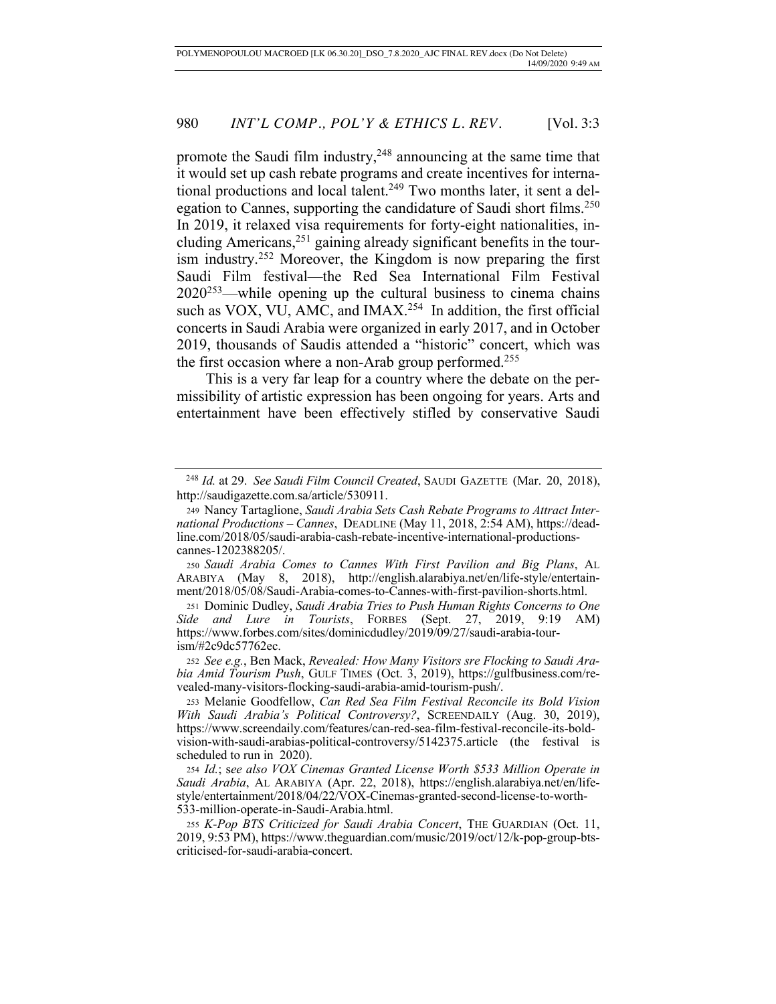promote the Saudi film industry,<sup>248</sup> announcing at the same time that it would set up cash rebate programs and create incentives for international productions and local talent.<sup>249</sup> Two months later, it sent a delegation to Cannes, supporting the candidature of Saudi short films.<sup>250</sup> In 2019, it relaxed visa requirements for forty-eight nationalities, including Americans, $251$  gaining already significant benefits in the tourism industry.252 Moreover, the Kingdom is now preparing the first Saudi Film festival—the Red Sea International Film Festival  $2020^{253}$ —while opening up the cultural business to cinema chains such as VOX, VU, AMC, and IMAX.<sup>254</sup> In addition, the first official concerts in Saudi Arabia were organized in early 2017, and in October 2019, thousands of Saudis attended a "historic" concert, which was the first occasion where a non-Arab group performed.<sup>255</sup>

This is a very far leap for a country where the debate on the permissibility of artistic expression has been ongoing for years. Arts and entertainment have been effectively stifled by conservative Saudi

<sup>250</sup> *Saudi Arabia Comes to Cannes With First Pavilion and Big Plans*, AL ARABIYA (May 8, 2018), http://english.alarabiya.net/en/life-style/entertainment/2018/05/08/Saudi-Arabia-comes-to-Cannes-with-first-pavilion-shorts.html.

<sup>251</sup> Dominic Dudley, *Saudi Arabia Tries to Push Human Rights Concerns to One Side and Lure in Tourists*, FORBES (Sept. 27, 2019, 9:19 AM) https://www.forbes.com/sites/dominicdudley/2019/09/27/saudi-arabia-tourism/#2c9dc57762ec.

<sup>252</sup> *See e.g.*, Ben Mack, *Revealed: How Many Visitors sre Flocking to Saudi Arabia Amid Tourism Push*, GULF TIMES (Oct. 3, 2019), https://gulfbusiness.com/revealed-many-visitors-flocking-saudi-arabia-amid-tourism-push/.

<sup>253</sup> Melanie Goodfellow, *Can Red Sea Film Festival Reconcile its Bold Vision With Saudi Arabia's Political Controversy?*, SCREENDAILY (Aug. 30, 2019), https://www.screendaily.com/features/can-red-sea-film-festival-reconcile-its-boldvision-with-saudi-arabias-political-controversy/5142375.article (the festival is scheduled to run in 2020).

<sup>254</sup> *Id.*; s*ee also VOX Cinemas Granted License Worth \$533 Million Operate in Saudi Arabia*, AL ARABIYA (Apr. 22, 2018), https://english.alarabiya.net/en/lifestyle/entertainment/2018/04/22/VOX-Cinemas-granted-second-license-to-worth-533-million-operate-in-Saudi-Arabia.html.

<sup>255</sup> *K-Pop BTS Criticized for Saudi Arabia Concert*, THE GUARDIAN (Oct. 11, 2019, 9:53 PM), https://www.theguardian.com/music/2019/oct/12/k-pop-group-btscriticised-for-saudi-arabia-concert.

 <sup>248</sup> *Id.* at 29. *See Saudi Film Council Created*, SAUDI GAZETTE (Mar. 20, 2018), http://saudigazette.com.sa/article/530911.

<sup>249</sup> Nancy Tartaglione, *Saudi Arabia Sets Cash Rebate Programs to Attract International Productions – Cannes*, DEADLINE (May 11, 2018, 2:54 AM), https://deadline.com/2018/05/saudi-arabia-cash-rebate-incentive-international-productionscannes-1202388205/.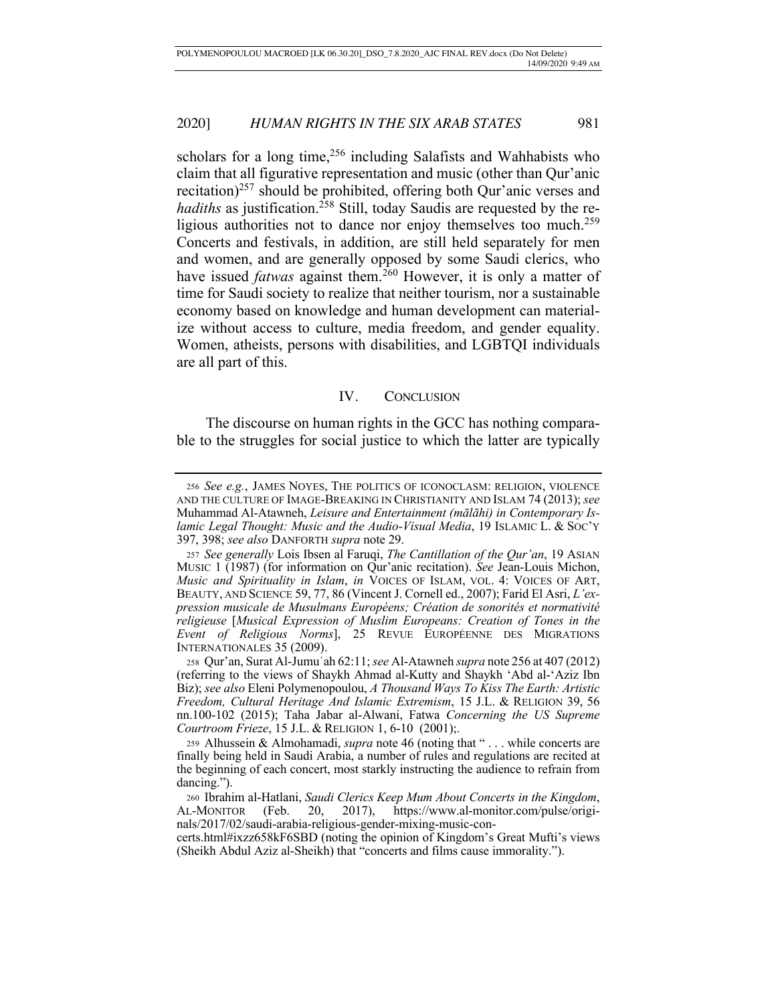scholars for a long time,  $256$  including Salafists and Wahhabists who claim that all figurative representation and music (other than Qur'anic recitation)<sup>257</sup> should be prohibited, offering both Qur'anic verses and *hadiths* as justification.<sup>258</sup> Still, today Saudis are requested by the religious authorities not to dance nor enjoy themselves too much.<sup>259</sup> Concerts and festivals, in addition, are still held separately for men and women, and are generally opposed by some Saudi clerics, who have issued *fatwas* against them.<sup>260</sup> However, it is only a matter of time for Saudi society to realize that neither tourism, nor a sustainable economy based on knowledge and human development can materialize without access to culture, media freedom, and gender equality. Women, atheists, persons with disabilities, and LGBTQI individuals are all part of this.

# IV. CONCLUSION

The discourse on human rights in the GCC has nothing comparable to the struggles for social justice to which the latter are typically

<sup>256</sup> *See e.g.*, JAMES NOYES, THE POLITICS OF ICONOCLASM: RELIGION, VIOLENCE AND THE CULTURE OF IMAGE-BREAKING IN CHRISTIANITY AND ISLAM 74 (2013); *see*  Muhammad Al-Atawneh, *Leisure and Entertainment (mālāhi) in Contemporary Islamic Legal Thought: Music and the Audio-Visual Media*, 19 ISLAMIC L. & SOC'Y 397, 398; *see also* DANFORTH *supra* note 29.

<sup>257</sup> *See generally* Lois Ibsen al Faruqi, *The Cantillation of the Qur'an*, 19 ASIAN MUSIC 1 (1987) (for information on Qur'anic recitation). *See* Jean-Louis Michon, *Music and Spirituality in Islam*, *in* VOICES OF ISLAM, VOL. 4: VOICES OF ART, BEAUTY, AND SCIENCE 59, 77, 86 (Vincent J. Cornell ed., 2007); Farid El Asri, *L'expression musicale de Musulmans Européens; Création de sonorités et normativité religieuse* [*Musical Expression of Muslim Europeans: Creation of Tones in the Event of Religious Norms*], 25 REVUE EUROPÉENNE DES MIGRATIONS INTERNATIONALES 35 (2009).

<sup>258</sup> Qur'an, Surat Al-Jumuʿah 62:11; *see* Al-Atawneh *supra* note 256 at 407 (2012) (referring to the views of Shaykh Ahmad al-Kutty and Shaykh 'Abd al-'Aziz Ibn Biz); *see also* Eleni Polymenopoulou, *A Thousand Ways To Kiss The Earth: Artistic Freedom, Cultural Heritage And Islamic Extremism*, 15 J.L. & RELIGION 39, 56 nn.100-102 (2015); Taha Jabar al-Alwani, Fatwa *Concerning the US Supreme Courtroom Frieze*, 15 J.L. & RELIGION 1, 6-10 (2001);.

<sup>259</sup> Alhussein & Almohamadi, *supra* note 46 (noting that " . . . while concerts are finally being held in Saudi Arabia, a number of rules and regulations are recited at the beginning of each concert, most starkly instructing the audience to refrain from dancing.").

<sup>260</sup> Ibrahim al-Hatlani, *Saudi Clerics Keep Mum About Concerts in the Kingdom*, AL-MONITOR (Feb. 20, 2017), https://www.al-monitor.com/pulse/originals/2017/02/saudi-arabia-religious-gender-mixing-music-con-

certs.html#ixzz658kF6SBD (noting the opinion of Kingdom's Great Mufti's views (Sheikh Abdul Aziz al-Sheikh) that "concerts and films cause immorality.").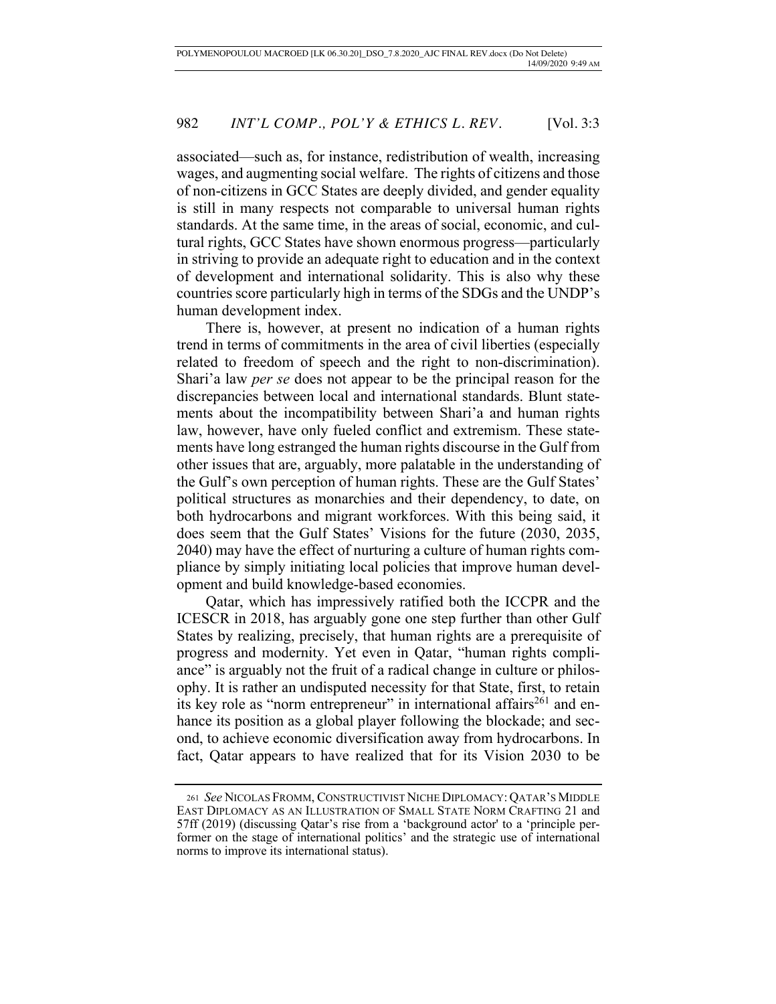associated—such as, for instance, redistribution of wealth, increasing wages, and augmenting social welfare. The rights of citizens and those of non-citizens in GCC States are deeply divided, and gender equality is still in many respects not comparable to universal human rights standards. At the same time, in the areas of social, economic, and cultural rights, GCC States have shown enormous progress—particularly in striving to provide an adequate right to education and in the context of development and international solidarity. This is also why these countries score particularly high in terms of the SDGs and the UNDP's human development index.

There is, however, at present no indication of a human rights trend in terms of commitments in the area of civil liberties (especially related to freedom of speech and the right to non-discrimination). Shari'a law *per se* does not appear to be the principal reason for the discrepancies between local and international standards. Blunt statements about the incompatibility between Shari'a and human rights law, however, have only fueled conflict and extremism. These statements have long estranged the human rights discourse in the Gulf from other issues that are, arguably, more palatable in the understanding of the Gulf's own perception of human rights. These are the Gulf States' political structures as monarchies and their dependency, to date, on both hydrocarbons and migrant workforces. With this being said, it does seem that the Gulf States' Visions for the future (2030, 2035, 2040) may have the effect of nurturing a culture of human rights compliance by simply initiating local policies that improve human development and build knowledge-based economies.

Qatar, which has impressively ratified both the ICCPR and the ICESCR in 2018, has arguably gone one step further than other Gulf States by realizing, precisely, that human rights are a prerequisite of progress and modernity. Yet even in Qatar, "human rights compliance" is arguably not the fruit of a radical change in culture or philosophy. It is rather an undisputed necessity for that State, first, to retain its key role as "norm entrepreneur" in international affairs<sup>261</sup> and enhance its position as a global player following the blockade; and second, to achieve economic diversification away from hydrocarbons. In fact, Qatar appears to have realized that for its Vision 2030 to be

<sup>261</sup> *See* NICOLAS FROMM, CONSTRUCTIVIST NICHE DIPLOMACY: QATAR'S MIDDLE EAST DIPLOMACY AS AN ILLUSTRATION OF SMALL STATE NORM CRAFTING 21 and 57ff (2019) (discussing Qatar's rise from a 'background actor' to a 'principle performer on the stage of international politics' and the strategic use of international norms to improve its international status).